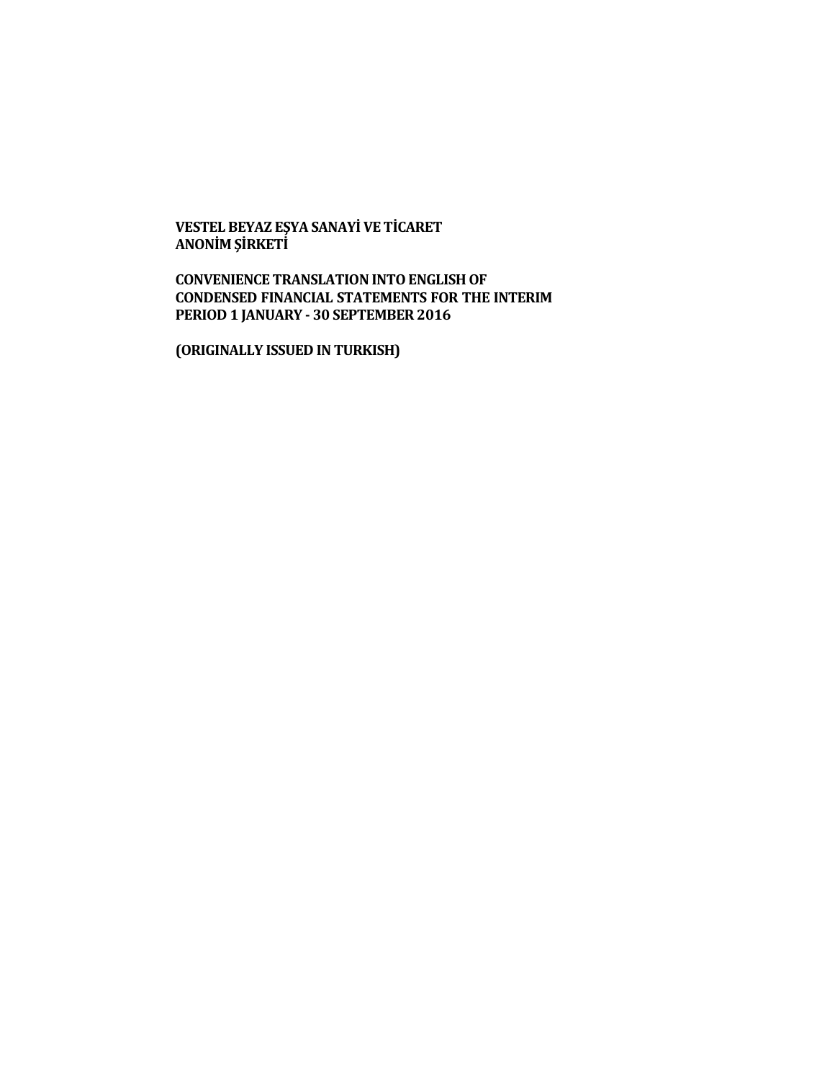**VESTEL BEYAZ EŞYA SANAYİ VE TİCARET ANONİM ŞİRKETİ**

**CONVENIENCE TRANSLATION INTO ENGLISH OF CONDENSED FINANCIAL STATEMENTS FOR THE INTERIM PERIOD 1 JANUARY - 30 SEPTEMBER 2016**

**(ORIGINALLY ISSUED IN TURKISH)**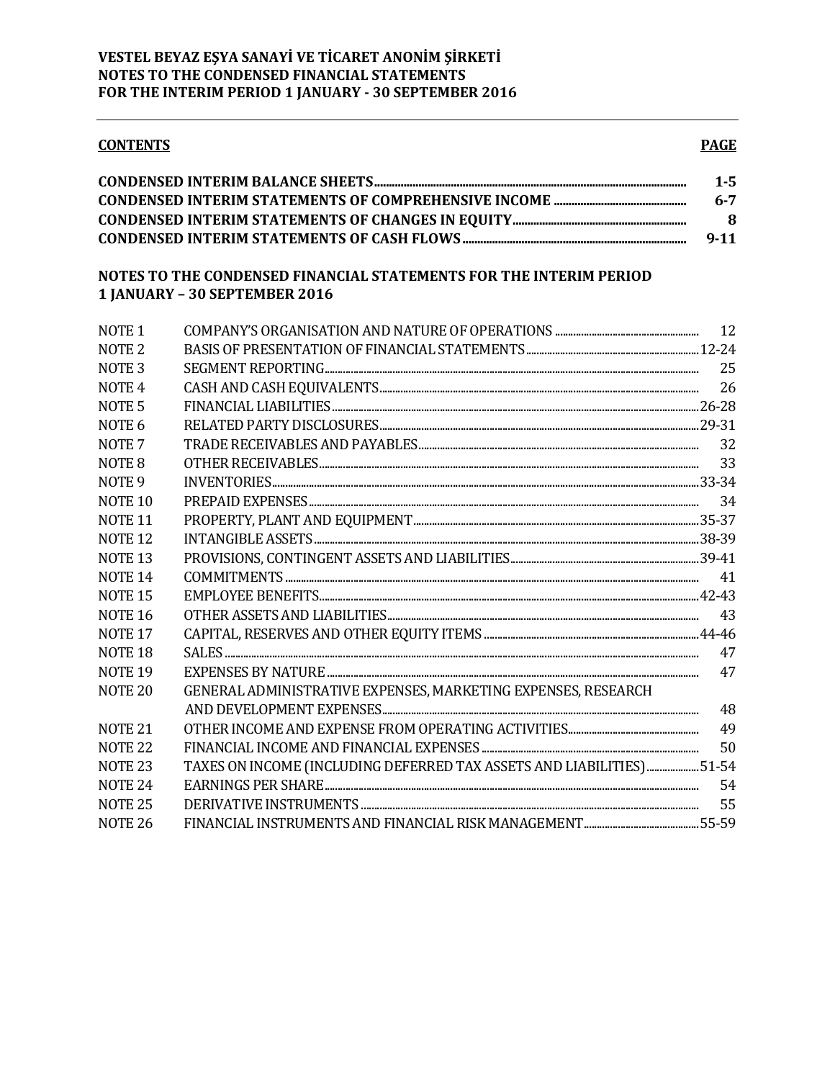| <b>CONTENTS</b> | ${\bf P}$ |
|-----------------|-----------|
|                 |           |
|                 |           |

| $6 - 7$  |
|----------|
| 8        |
| $9 - 11$ |

## NOTES TO THE CONDENSED FINANCIAL STATEMENTS FOR THE INTERIM PERIOD 1 JANUARY - 30 SEPTEMBER 2016

| NOTE <sub>1</sub>  |                                                                      |    |
|--------------------|----------------------------------------------------------------------|----|
| NOTE <sub>2</sub>  |                                                                      |    |
| NOTE <sub>3</sub>  |                                                                      |    |
| NOTE <sub>4</sub>  |                                                                      |    |
| NOTE <sub>5</sub>  |                                                                      |    |
| NOTE 6             |                                                                      |    |
| NOTE <sub>7</sub>  |                                                                      | 32 |
| NOTE <sub>8</sub>  |                                                                      |    |
| NOTE <sub>9</sub>  |                                                                      |    |
| NOTE <sub>10</sub> |                                                                      |    |
| NOTE <sub>11</sub> |                                                                      |    |
| NOTE <sub>12</sub> |                                                                      |    |
| NOTE <sub>13</sub> |                                                                      |    |
| <b>NOTE 14</b>     |                                                                      |    |
| NOTE <sub>15</sub> |                                                                      |    |
| NOTE <sub>16</sub> |                                                                      | 43 |
| NOTE <sub>17</sub> |                                                                      |    |
| NOTE <sub>18</sub> |                                                                      | 47 |
| NOTE <sub>19</sub> |                                                                      |    |
| <b>NOTE 20</b>     | GENERAL ADMINISTRATIVE EXPENSES, MARKETING EXPENSES, RESEARCH        |    |
|                    |                                                                      | 48 |
| NOTE <sub>21</sub> |                                                                      | 49 |
| <b>NOTE 22</b>     |                                                                      | 50 |
| NOTE <sub>23</sub> | TAXES ON INCOME (INCLUDING DEFERRED TAX ASSETS AND LIABILITIES)51-54 |    |
| NOTE <sub>24</sub> |                                                                      | 54 |
| NOTE <sub>25</sub> |                                                                      | 55 |
| <b>NOTE 26</b>     |                                                                      |    |

 $1 - 5$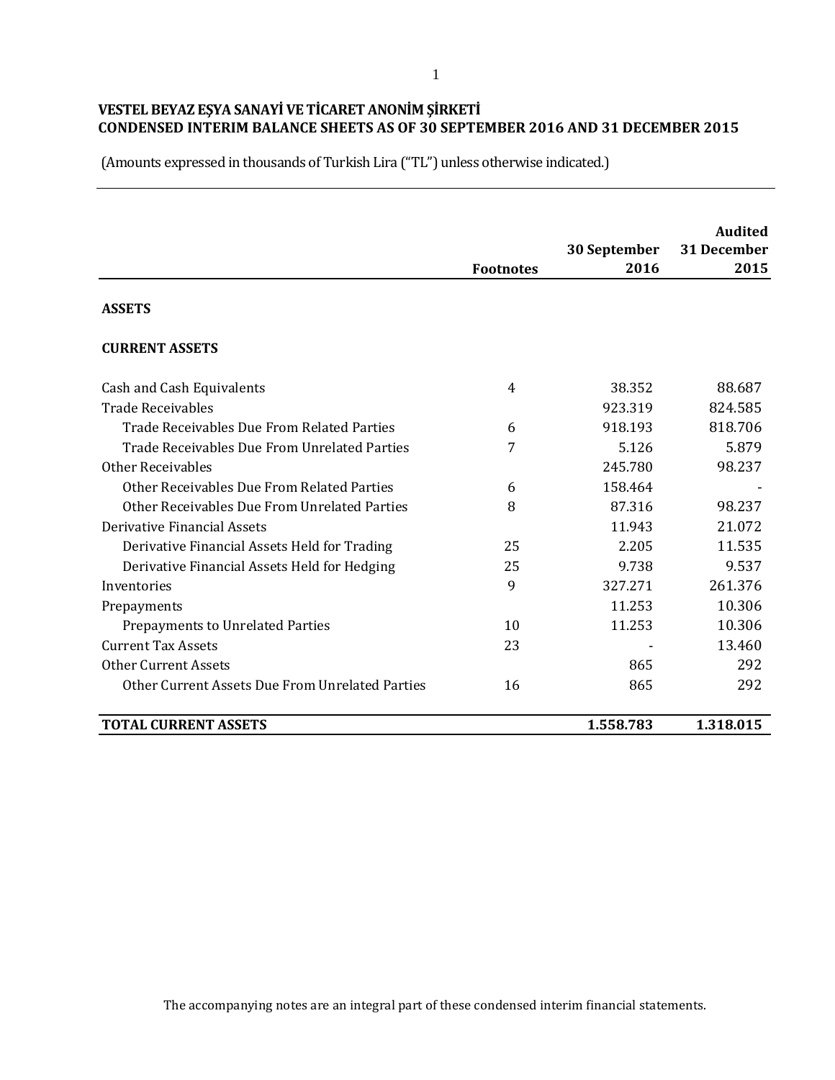(Amounts expressed in thousands of Turkish Lira ("TL") unless otherwise indicated.)

|                                                 | <b>Footnotes</b> | 30 September<br>2016 | <b>Audited</b><br>31 December<br>2015 |
|-------------------------------------------------|------------------|----------------------|---------------------------------------|
| <b>ASSETS</b>                                   |                  |                      |                                       |
| <b>CURRENT ASSETS</b>                           |                  |                      |                                       |
| Cash and Cash Equivalents                       | 4                | 38.352               | 88.687                                |
| <b>Trade Receivables</b>                        |                  | 923.319              | 824.585                               |
| Trade Receivables Due From Related Parties      | 6                | 918.193              | 818.706                               |
| Trade Receivables Due From Unrelated Parties    | 7                | 5.126                | 5.879                                 |
| <b>Other Receivables</b>                        |                  | 245.780              | 98.237                                |
| Other Receivables Due From Related Parties      | 6                | 158.464              |                                       |
| Other Receivables Due From Unrelated Parties    | 8                | 87.316               | 98.237                                |
| Derivative Financial Assets                     |                  | 11.943               | 21.072                                |
| Derivative Financial Assets Held for Trading    | 25               | 2.205                | 11.535                                |
| Derivative Financial Assets Held for Hedging    | 25               | 9.738                | 9.537                                 |
| Inventories                                     | 9                | 327.271              | 261.376                               |
| Prepayments                                     |                  | 11.253               | 10.306                                |
| Prepayments to Unrelated Parties                | 10               | 11.253               | 10.306                                |
| <b>Current Tax Assets</b>                       | 23               |                      | 13.460                                |
| <b>Other Current Assets</b>                     |                  | 865                  | 292                                   |
| Other Current Assets Due From Unrelated Parties | 16               | 865                  | 292                                   |
| <b>TOTAL CURRENT ASSETS</b>                     |                  | 1.558.783            | 1.318.015                             |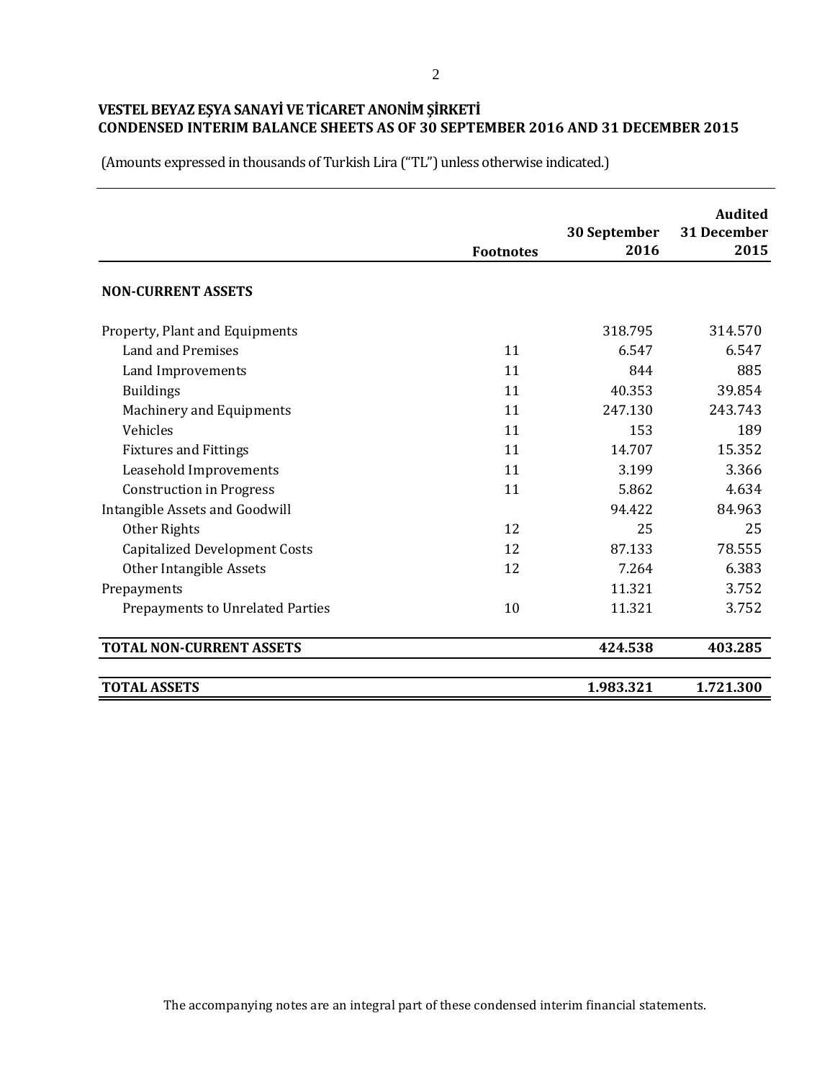(Amounts expressed in thousands of Turkish Lira ("TL") unless otherwise indicated.)

|                                      | <b>Footnotes</b> | 30 September<br>2016 | <b>Audited</b><br>31 December<br>2015 |
|--------------------------------------|------------------|----------------------|---------------------------------------|
| <b>NON-CURRENT ASSETS</b>            |                  |                      |                                       |
| Property, Plant and Equipments       |                  | 318.795              | 314.570                               |
| <b>Land and Premises</b>             | 11               | 6.547                | 6.547                                 |
| Land Improvements                    | 11               | 844                  | 885                                   |
| <b>Buildings</b>                     | 11               | 40.353               | 39.854                                |
| Machinery and Equipments             | 11               | 247.130              | 243.743                               |
| Vehicles                             | 11               | 153                  | 189                                   |
| <b>Fixtures and Fittings</b>         | 11               | 14.707               | 15.352                                |
| Leasehold Improvements               | 11               | 3.199                | 3.366                                 |
| <b>Construction in Progress</b>      | 11               | 5.862                | 4.634                                 |
| Intangible Assets and Goodwill       |                  | 94.422               | 84.963                                |
| Other Rights                         | 12               | 25                   | 25                                    |
| <b>Capitalized Development Costs</b> | 12               | 87.133               | 78.555                                |
| Other Intangible Assets              | 12               | 7.264                | 6.383                                 |
| Prepayments                          |                  | 11.321               | 3.752                                 |
| Prepayments to Unrelated Parties     | 10               | 11.321               | 3.752                                 |
| <b>TOTAL NON-CURRENT ASSETS</b>      |                  | 424.538              | 403.285                               |
| <b>TOTAL ASSETS</b>                  |                  | 1.983.321            | 1.721.300                             |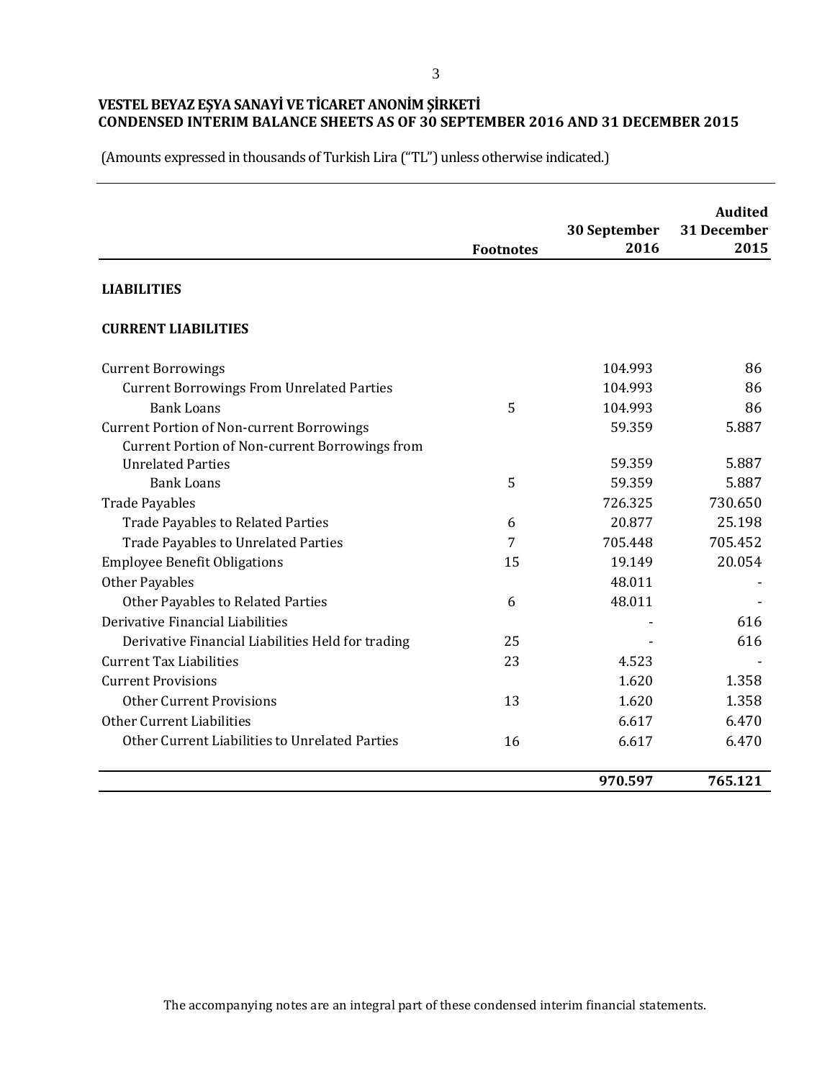(Amounts expressed in thousands of Turkish Lira ("TL") unless otherwise indicated.)

|                                                       |                  | 30 September | <b>Audited</b><br>31 December |
|-------------------------------------------------------|------------------|--------------|-------------------------------|
|                                                       | <b>Footnotes</b> | 2016         | 2015                          |
| <b>LIABILITIES</b>                                    |                  |              |                               |
| <b>CURRENT LIABILITIES</b>                            |                  |              |                               |
| <b>Current Borrowings</b>                             |                  | 104.993      | 86                            |
| <b>Current Borrowings From Unrelated Parties</b>      |                  | 104.993      | 86                            |
| <b>Bank Loans</b>                                     | 5                | 104.993      | 86                            |
| <b>Current Portion of Non-current Borrowings</b>      |                  | 59.359       | 5.887                         |
| <b>Current Portion of Non-current Borrowings from</b> |                  |              |                               |
| <b>Unrelated Parties</b>                              |                  | 59.359       | 5.887                         |
| <b>Bank Loans</b>                                     | 5                | 59.359       | 5.887                         |
| <b>Trade Payables</b>                                 |                  | 726.325      | 730.650                       |
| <b>Trade Payables to Related Parties</b>              | 6                | 20.877       | 25.198                        |
| <b>Trade Payables to Unrelated Parties</b>            | 7                | 705.448      | 705.452                       |
| <b>Employee Benefit Obligations</b>                   | 15               | 19.149       | 20.054                        |
| <b>Other Payables</b>                                 |                  | 48.011       |                               |
| Other Payables to Related Parties                     | 6                | 48.011       |                               |
| Derivative Financial Liabilities                      |                  |              | 616                           |
| Derivative Financial Liabilities Held for trading     | 25               |              | 616                           |
| <b>Current Tax Liabilities</b>                        | 23               | 4.523        |                               |
| <b>Current Provisions</b>                             |                  | 1.620        | 1.358                         |
| <b>Other Current Provisions</b>                       | 13               | 1.620        | 1.358                         |
| <b>Other Current Liabilities</b>                      |                  | 6.617        | 6.470                         |
| Other Current Liabilities to Unrelated Parties        | 16               | 6.617        | 6.470                         |
|                                                       |                  | 970.597      | 765.121                       |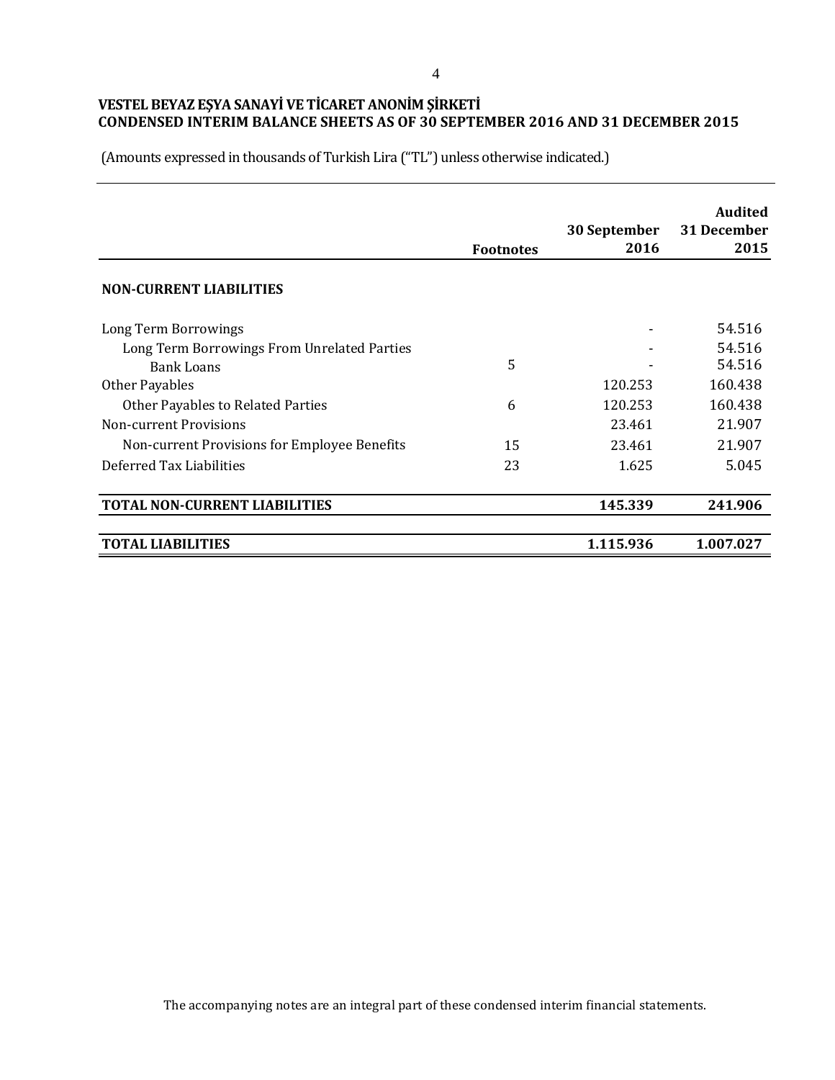(Amounts expressed in thousands of Turkish Lira ("TL") unless otherwise indicated.)

|                                              | <b>Footnotes</b> | 30 September<br>2016 | <b>Audited</b><br>31 December<br>2015 |
|----------------------------------------------|------------------|----------------------|---------------------------------------|
| <b>NON-CURRENT LIABILITIES</b>               |                  |                      |                                       |
| Long Term Borrowings                         |                  |                      | 54.516                                |
| Long Term Borrowings From Unrelated Parties  |                  |                      | 54.516                                |
| Bank Loans                                   | 5                |                      | 54.516                                |
| Other Payables                               |                  | 120.253              | 160.438                               |
| <b>Other Payables to Related Parties</b>     | 6                | 120.253              | 160.438                               |
| Non-current Provisions                       |                  | 23.461               | 21.907                                |
| Non-current Provisions for Employee Benefits | 15               | 23.461               | 21.907                                |
| Deferred Tax Liabilities                     | 23               | 1.625                | 5.045                                 |
| <b>TOTAL NON-CURRENT LIABILITIES</b>         |                  | 145.339              | 241.906                               |
| <b>TOTAL LIABILITIES</b>                     |                  | 1.115.936            | 1.007.027                             |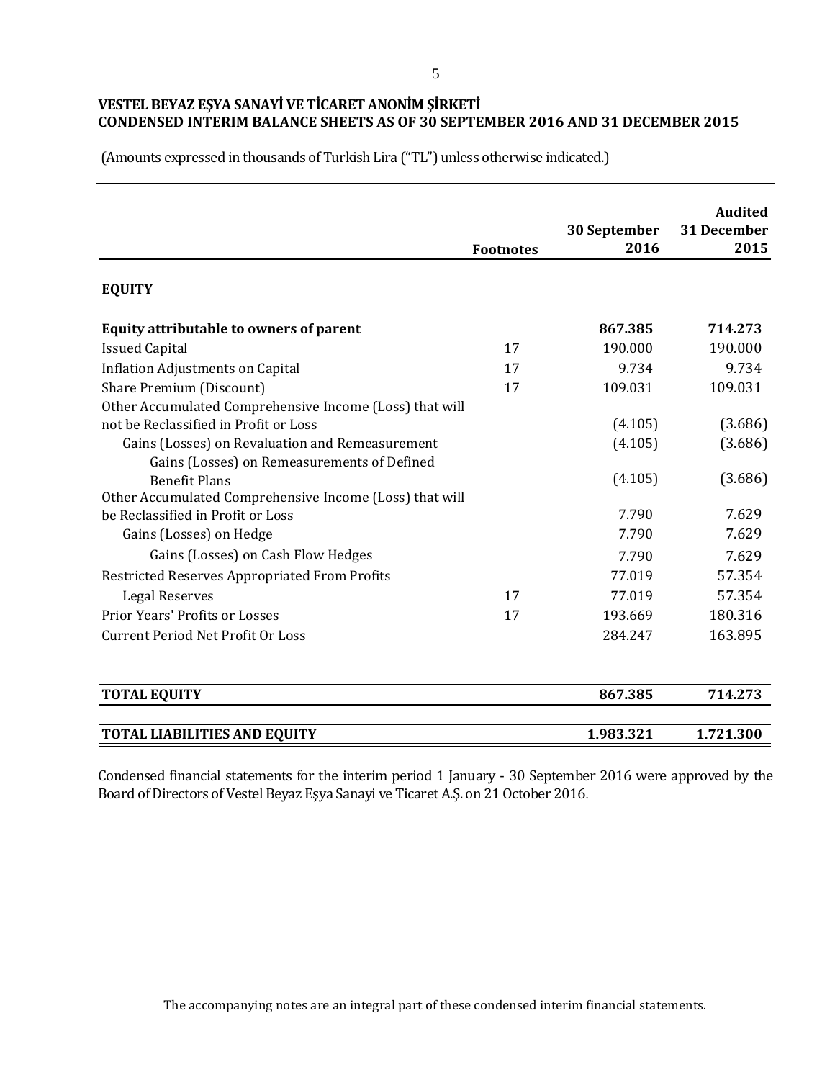(Amounts expressed in thousands of Turkish Lira ("TL") unless otherwise indicated.)

|                                                         |                  | 30 September | <b>Audited</b><br>31 December |
|---------------------------------------------------------|------------------|--------------|-------------------------------|
|                                                         | <b>Footnotes</b> | 2016         | 2015                          |
| <b>EQUITY</b>                                           |                  |              |                               |
| Equity attributable to owners of parent                 |                  | 867.385      | 714.273                       |
| <b>Issued Capital</b>                                   | 17               | 190.000      | 190.000                       |
| <b>Inflation Adjustments on Capital</b>                 | 17               | 9.734        | 9.734                         |
| Share Premium (Discount)                                | 17               | 109.031      | 109.031                       |
| Other Accumulated Comprehensive Income (Loss) that will |                  |              |                               |
| not be Reclassified in Profit or Loss                   |                  | (4.105)      | (3.686)                       |
| Gains (Losses) on Revaluation and Remeasurement         |                  | (4.105)      | (3.686)                       |
| Gains (Losses) on Remeasurements of Defined             |                  |              |                               |
| <b>Benefit Plans</b>                                    |                  | (4.105)      | (3.686)                       |
| Other Accumulated Comprehensive Income (Loss) that will |                  |              |                               |
| be Reclassified in Profit or Loss                       |                  | 7.790        | 7.629                         |
| Gains (Losses) on Hedge                                 |                  | 7.790        | 7.629                         |
| Gains (Losses) on Cash Flow Hedges                      |                  | 7.790        | 7.629                         |
| Restricted Reserves Appropriated From Profits           |                  | 77.019       | 57.354                        |
| <b>Legal Reserves</b>                                   | 17               | 77.019       | 57.354                        |
| Prior Years' Profits or Losses                          | 17               | 193.669      | 180.316                       |
| <b>Current Period Net Profit Or Loss</b>                |                  | 284.247      | 163.895                       |
| <b>TOTAL EQUITY</b>                                     |                  | 867.385      | 714.273                       |
| <b>TOTAL LIABILITIES AND EQUITY</b>                     |                  | 1.983.321    | 1.721.300                     |

Condensed financial statements for the interim period 1 January - 30 September 2016 were approved by the Board of Directors of Vestel Beyaz Eşya Sanayi ve Ticaret A.Ş. on 21 October 2016.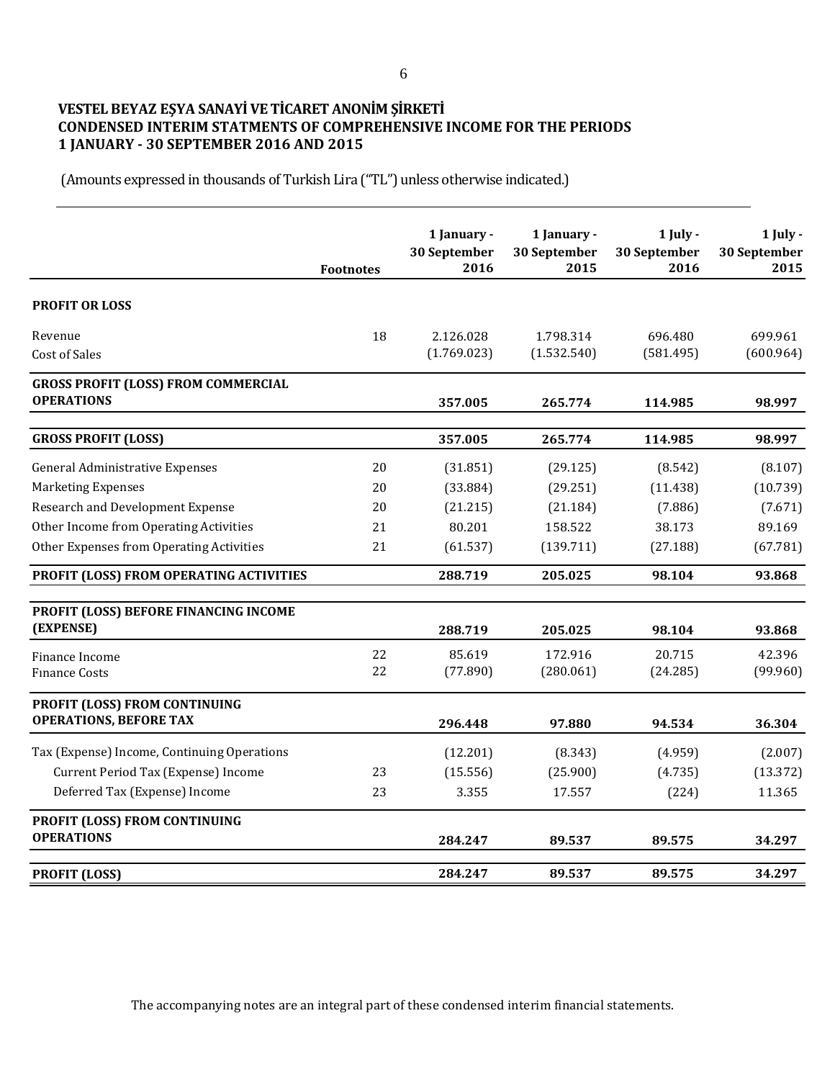# **VESTEL BEYAZ EŞYA SANAYİ VE TİCARET ANONİM ŞİRKETİ CONDENSED INTERIM STATMENTS OF COMPREHENSIVE INCOME FOR THE PERIODS 1 JANUARY - 30 SEPTEMBER 2016 AND 2015**

(Amounts expressed in thousands of Turkish Lira ("TL") unless otherwise indicated.)

|                                                                     | <b>Footnotes</b> | 1 January -<br>30 September<br>2016 | 1 January -<br>30 September<br>2015 | $1$ July -<br>30 September<br>2016 | $1$ July -<br>30 September<br>2015 |
|---------------------------------------------------------------------|------------------|-------------------------------------|-------------------------------------|------------------------------------|------------------------------------|
| <b>PROFIT OR LOSS</b>                                               |                  |                                     |                                     |                                    |                                    |
| Revenue<br><b>Cost of Sales</b>                                     | 18               | 2.126.028<br>(1.769.023)            | 1.798.314<br>(1.532.540)            | 696.480<br>(581.495)               | 699.961<br>(600.964)               |
| <b>GROSS PROFIT (LOSS) FROM COMMERCIAL</b><br><b>OPERATIONS</b>     |                  | 357.005                             | 265.774                             | 114.985                            | 98.997                             |
| <b>GROSS PROFIT (LOSS)</b>                                          |                  | 357.005                             | 265.774                             | 114.985                            | 98.997                             |
| <b>General Administrative Expenses</b><br><b>Marketing Expenses</b> | 20<br>20         | (31.851)<br>(33.884)                | (29.125)<br>(29.251)                | (8.542)<br>(11.438)                | (8.107)<br>(10.739)                |
| Research and Development Expense                                    | 20               | (21.215)                            | (21.184)                            | (7.886)                            | (7.671)                            |
| Other Income from Operating Activities                              | 21               | 80.201                              | 158.522                             | 38.173                             | 89.169                             |
| Other Expenses from Operating Activities                            | 21               | (61.537)                            | (139.711)                           | (27.188)                           | (67.781)                           |
| PROFIT (LOSS) FROM OPERATING ACTIVITIES                             |                  | 288.719                             | 205.025                             | 98.104                             | 93.868                             |
| PROFIT (LOSS) BEFORE FINANCING INCOME<br>(EXPENSE)                  |                  | 288.719                             | 205.025                             | 98.104                             | 93.868                             |
| Finance Income<br><b>Finance Costs</b>                              | 22<br>22         | 85.619<br>(77.890)                  | 172.916<br>(280.061)                | 20.715<br>(24.285)                 | 42.396<br>(99.960)                 |
| PROFIT (LOSS) FROM CONTINUING<br><b>OPERATIONS, BEFORE TAX</b>      |                  | 296.448                             | 97.880                              | 94.534                             | 36.304                             |
| Tax (Expense) Income, Continuing Operations                         |                  | (12.201)                            | (8.343)                             | (4.959)                            | (2.007)                            |
| Current Period Tax (Expense) Income                                 | 23               | (15.556)                            | (25.900)                            | (4.735)                            | (13.372)                           |
| Deferred Tax (Expense) Income                                       | 23               | 3.355                               | 17.557                              | (224)                              | 11.365                             |
| PROFIT (LOSS) FROM CONTINUING<br><b>OPERATIONS</b>                  |                  | 284.247                             | 89.537                              | 89.575                             | 34.297                             |
| <b>PROFIT (LOSS)</b>                                                |                  | 284.247                             | 89.537                              | 89.575                             | 34.297                             |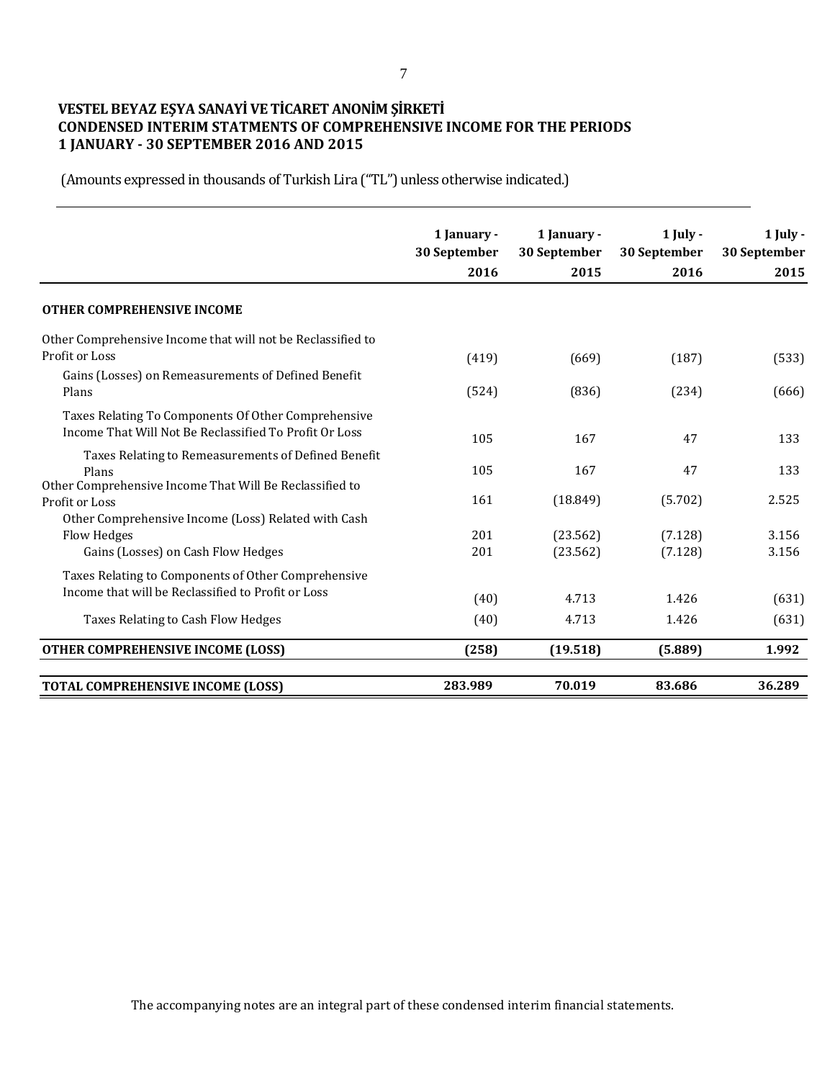# **VESTEL BEYAZ EŞYA SANAYİ VE TİCARET ANONİM ŞİRKETİ CONDENSED INTERIM STATMENTS OF COMPREHENSIVE INCOME FOR THE PERIODS 1 JANUARY - 30 SEPTEMBER 2016 AND 2015**

(Amounts expressed in thousands of Turkish Lira ("TL") unless otherwise indicated.)

|                                                                                                                                  | 1 January -<br>30 September<br>2016 | 1 January -<br>30 September<br>2015 | $1$ July -<br>30 September<br>2016 | $1$ July -<br>30 September<br>2015 |
|----------------------------------------------------------------------------------------------------------------------------------|-------------------------------------|-------------------------------------|------------------------------------|------------------------------------|
| <b>OTHER COMPREHENSIVE INCOME</b>                                                                                                |                                     |                                     |                                    |                                    |
| Other Comprehensive Income that will not be Reclassified to<br>Profit or Loss                                                    | (419)                               | (669)                               | (187)                              | (533)                              |
| Gains (Losses) on Remeasurements of Defined Benefit<br>Plans                                                                     | (524)                               | (836)                               | (234)                              | (666)                              |
| Taxes Relating To Components Of Other Comprehensive<br>Income That Will Not Be Reclassified To Profit Or Loss                    | 105                                 | 167                                 | 47                                 | 133                                |
| Taxes Relating to Remeasurements of Defined Benefit<br>Plans                                                                     | 105                                 | 167                                 | 47                                 | 133                                |
| Other Comprehensive Income That Will Be Reclassified to<br>Profit or Loss<br>Other Comprehensive Income (Loss) Related with Cash | 161                                 | (18.849)                            | (5.702)                            | 2.525                              |
| <b>Flow Hedges</b><br>Gains (Losses) on Cash Flow Hedges                                                                         | 201<br>201                          | (23.562)<br>(23.562)                | (7.128)<br>(7.128)                 | 3.156<br>3.156                     |
| Taxes Relating to Components of Other Comprehensive<br>Income that will be Reclassified to Profit or Loss                        | (40)                                | 4.713                               | 1.426                              | (631)                              |
| Taxes Relating to Cash Flow Hedges                                                                                               | (40)                                | 4.713                               | 1.426                              | (631)                              |
| <b>OTHER COMPREHENSIVE INCOME (LOSS)</b>                                                                                         | (258)                               | (19.518)                            | (5.889)                            | 1.992                              |
| <b>TOTAL COMPREHENSIVE INCOME (LOSS)</b>                                                                                         | 283.989                             | 70.019                              | 83.686                             | 36.289                             |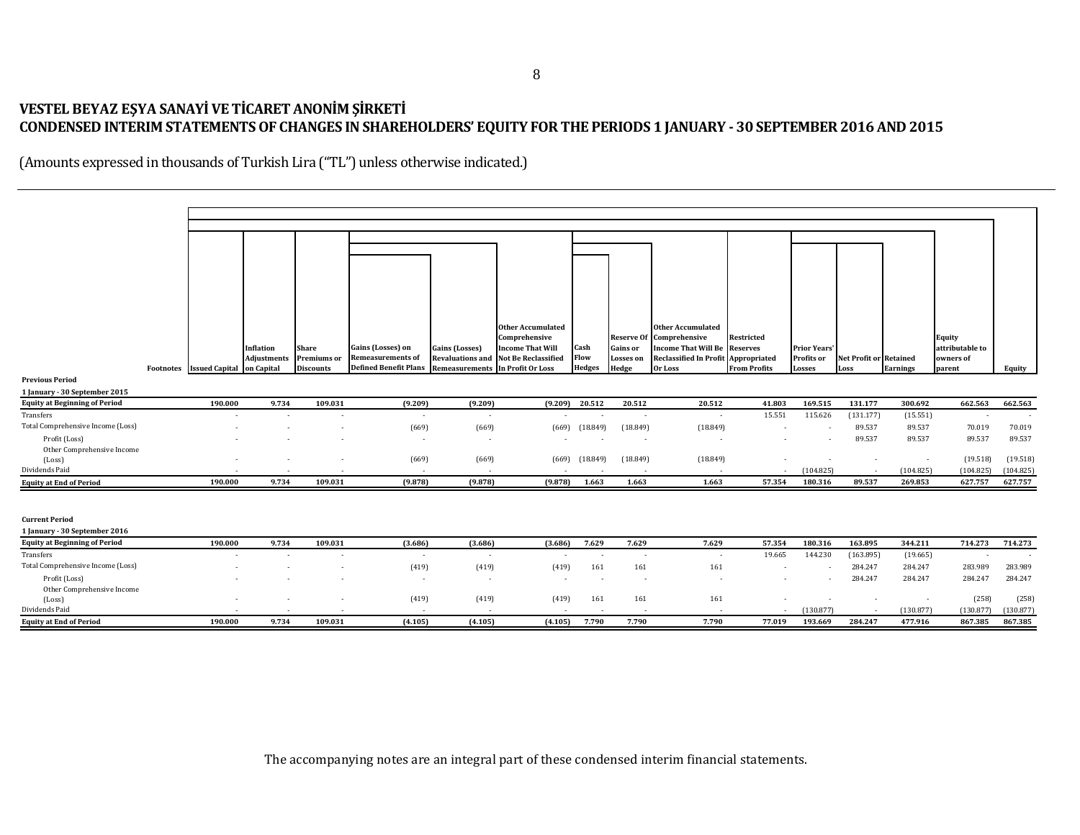# **VESTEL BEYAZ EŞYA SANAYİ VE TİCARET ANONİM ŞİRKETİ CONDENSED INTERIM STATEMENTS OF CHANGES IN SHAREHOLDERS' EQUITY FOR THE PERIODS 1 JANUARY - 30 SEPTEMBER 2016 AND 2015**

(Amounts expressed in thousands of Turkish Lira ("TL") unless otherwise indicated.)

| <b>Other Accumulated</b><br><b>Other Accumulated</b>                                                                                                                                                                                                          |                          |           |
|---------------------------------------------------------------------------------------------------------------------------------------------------------------------------------------------------------------------------------------------------------------|--------------------------|-----------|
| Comprehensive<br>Comprehensive<br><b>Restricted</b><br>Reserve Of                                                                                                                                                                                             | Equity                   |           |
| Gains (Losses) on<br><b>Income That Will</b><br>Cash<br><b>Gains</b> or<br><b>Income That Will Be Reserves</b><br>Inflation<br><b>Share</b><br>Gains (Losses)<br><b>Prior Years'</b>                                                                          | attributable to          |           |
| Flow<br><b>Remeasurements of</b><br><b>Revaluations and</b><br><b>Not Be Reclassified</b><br><b>Reclassified In Profit</b><br>Profits or<br>Adjustments<br>Premiums or<br><b>Losses</b> on<br>Appropriated<br><b>Net Profit or Retained</b>                   | owners of                |           |
| <b>Hedges</b><br><b>Defined Benefit Plans</b><br><b>Remeasurements</b> In Profit Or Loss<br>Hedge<br>Or Loss<br><b>From Profits</b><br><b>Earnings</b><br>Footnotes Issued Capital on Capital<br><b>Discounts</b><br>Losses<br>Loss<br><b>Previous Period</b> | parent                   | Equity    |
|                                                                                                                                                                                                                                                               |                          |           |
| 1 January - 30 September 2015<br><b>Equity at Beginning of Period</b><br>190.000<br>9.734<br>109.031<br>(9.209)<br>(9.209)<br>(9.209)<br>20.512<br>20.512<br>20.512<br>41.803<br>131.177<br>300.692<br>169.515                                                | 662.563                  | 662.563   |
| Transfers<br>15.551<br>115.626<br>(131.177)<br>(15.551)<br>$\sim$<br>$\sim$<br>$\overline{\phantom{a}}$<br>$\sim$<br>٠<br>$\sim$                                                                                                                              | $\overline{\phantom{a}}$ |           |
| Total Comprehensive Income (Loss)<br>(669)<br>(669)<br>(18.849)<br>(18.849)<br>(18.849)<br>89.537<br>89.537<br>(669)<br>$\sim$                                                                                                                                | 70.019                   | 70.019    |
| Profit (Loss)<br>89.537<br>89.537<br>$\overline{\phantom{a}}$<br>$\sim$<br>$\sim$<br>$\sim$<br>$\overline{\phantom{a}}$                                                                                                                                       | 89.537                   | 89.537    |
| Other Comprehensive Income                                                                                                                                                                                                                                    |                          |           |
| (669)<br>(669)<br>(669)<br>(18.849)<br>(18.849)<br>(18.849)<br>(Loss)<br>$\sim$                                                                                                                                                                               | (19.518)                 | (19.518)  |
| Dividends Paid<br>(104.825)<br>(104.825)<br>$\sim$                                                                                                                                                                                                            | (104.825)                | (104.825) |
| (9.878)<br>190.000<br>9.734<br>109.031<br>(9.878)<br>(9.878)<br>1.663<br>1.663<br>1.663<br>57.354<br>180.316<br>89.537<br>269.853<br><b>Equity at End of Period</b>                                                                                           | 627.757                  | 627.757   |
|                                                                                                                                                                                                                                                               |                          |           |
|                                                                                                                                                                                                                                                               |                          |           |
| <b>Current Period</b>                                                                                                                                                                                                                                         |                          |           |
| 1 January - 30 September 2016                                                                                                                                                                                                                                 |                          |           |
| <b>Equity at Beginning of Period</b><br>190.000<br>9.734<br>109.031<br>(3.686)<br>(3.686)<br>(3.686)<br>7.629<br>7.629<br>7.629<br>57.354<br>180.316<br>163.895<br>344.211                                                                                    | 714.273                  | 714.273   |
| Transfers<br>19.665<br>144.230<br>(163.895)<br>(19.665)<br>$\sim$<br>$\overline{\phantom{a}}$<br>$\overline{\phantom{a}}$<br>$\sim$<br>$\overline{\phantom{a}}$<br>$\sim$<br>$\overline{\phantom{a}}$                                                         | $\sim$                   |           |
| Total Comprehensive Income (Loss)<br>(419)<br>161<br>161<br>284.247<br>(419)<br>(419)<br>161<br>284.247<br>$\overline{\phantom{a}}$<br>$\sim$<br>$\sim$                                                                                                       | 283.989                  | 283.989   |
| Profit (Loss)<br>284.247<br>284.247<br>$\sim$<br>$\overline{\phantom{a}}$<br>$\overline{\phantom{a}}$<br>$\sim$<br>$\blacksquare$<br>$\overline{\phantom{a}}$<br>$\overline{\phantom{a}}$                                                                     | 284.247                  | 284.247   |
| Other Comprehensive Income<br>(419)<br>(419)<br>(419)<br>161<br>161<br>161<br>(Loss)                                                                                                                                                                          | (258)                    | (258)     |
| Dividends Paid<br>(130.877)<br>(130.877)                                                                                                                                                                                                                      | (130.877)                | (130.877) |
| 7.790<br>190.000<br>9.734<br>109.031<br>(4.105)<br>(4.105)<br>7.790<br>7.790<br>77.019<br>193.669<br>284.247<br>477.916<br><b>Equity at End of Period</b><br>(4.105)                                                                                          | 867.385                  | 867.385   |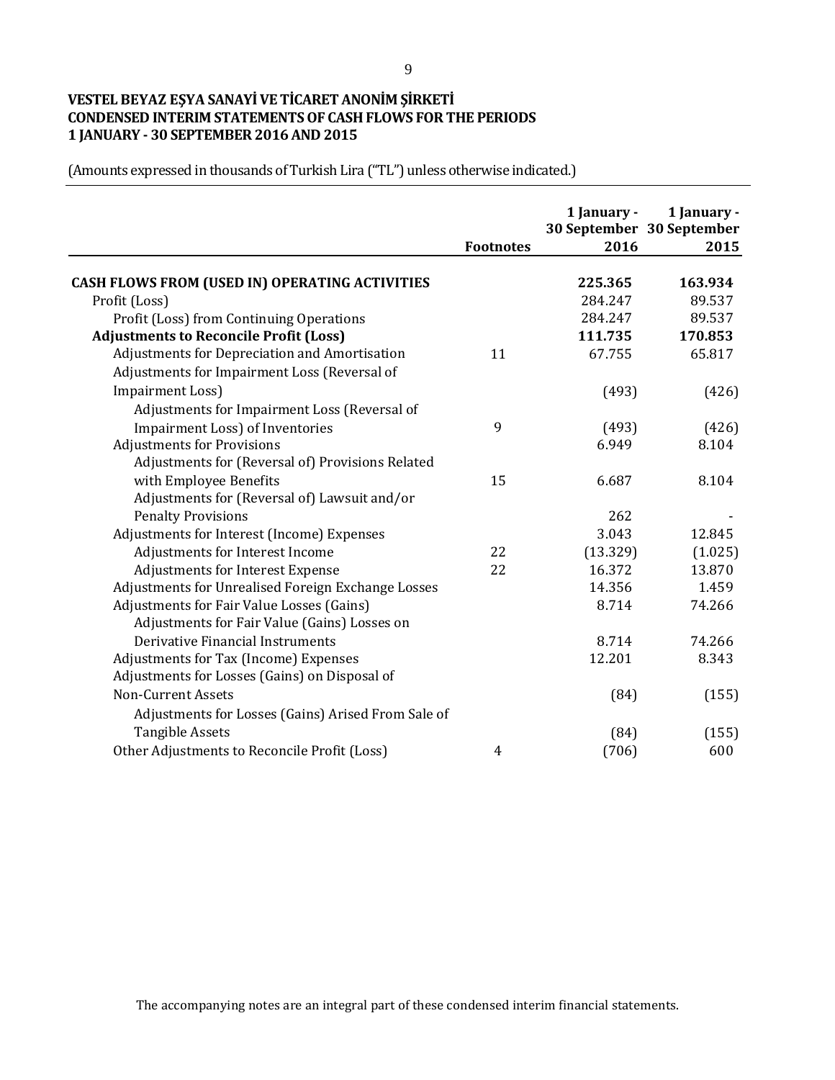# **VESTEL BEYAZ EŞYA SANAYİ VE TİCARET ANONİM ŞİRKETİ CONDENSED INTERIM STATEMENTS OF CASH FLOWS FOR THE PERIODS 1 JANUARY - 30 SEPTEMBER 2016 AND 2015**

(Amounts expressed in thousands of Turkish Lira ("TL") unless otherwise indicated.)

|                                                       | <b>Footnotes</b> | 1 January -<br>2016 | 1 January -<br>30 September 30 September<br>2015 |
|-------------------------------------------------------|------------------|---------------------|--------------------------------------------------|
| <b>CASH FLOWS FROM (USED IN) OPERATING ACTIVITIES</b> |                  | 225.365             | 163.934                                          |
| Profit (Loss)                                         |                  | 284.247             | 89.537                                           |
| Profit (Loss) from Continuing Operations              |                  | 284.247             | 89.537                                           |
| <b>Adjustments to Reconcile Profit (Loss)</b>         |                  | 111.735             | 170.853                                          |
| Adjustments for Depreciation and Amortisation         | 11               | 67.755              | 65.817                                           |
| Adjustments for Impairment Loss (Reversal of          |                  |                     |                                                  |
| <b>Impairment Loss)</b>                               |                  | (493)               | (426)                                            |
| Adjustments for Impairment Loss (Reversal of          |                  |                     |                                                  |
| Impairment Loss) of Inventories                       | 9                | (493)               | (426)                                            |
| <b>Adjustments for Provisions</b>                     |                  | 6.949               | 8.104                                            |
| Adjustments for (Reversal of) Provisions Related      |                  |                     |                                                  |
| with Employee Benefits                                | 15               | 6.687               | 8.104                                            |
| Adjustments for (Reversal of) Lawsuit and/or          |                  |                     |                                                  |
| <b>Penalty Provisions</b>                             |                  | 262                 |                                                  |
| Adjustments for Interest (Income) Expenses            |                  | 3.043               | 12.845                                           |
| Adjustments for Interest Income                       | 22               | (13.329)            | (1.025)                                          |
| Adjustments for Interest Expense                      | 22               | 16.372              | 13.870                                           |
| Adjustments for Unrealised Foreign Exchange Losses    |                  | 14.356              | 1.459                                            |
| Adjustments for Fair Value Losses (Gains)             |                  | 8.714               | 74.266                                           |
| Adjustments for Fair Value (Gains) Losses on          |                  |                     |                                                  |
| Derivative Financial Instruments                      |                  | 8.714               | 74.266                                           |
| Adjustments for Tax (Income) Expenses                 |                  | 12.201              | 8.343                                            |
| Adjustments for Losses (Gains) on Disposal of         |                  |                     |                                                  |
| <b>Non-Current Assets</b>                             |                  | (84)                | (155)                                            |
| Adjustments for Losses (Gains) Arised From Sale of    |                  |                     |                                                  |
| <b>Tangible Assets</b>                                |                  | (84)                | (155)                                            |
| Other Adjustments to Reconcile Profit (Loss)          | $\overline{4}$   | (706)               | 600                                              |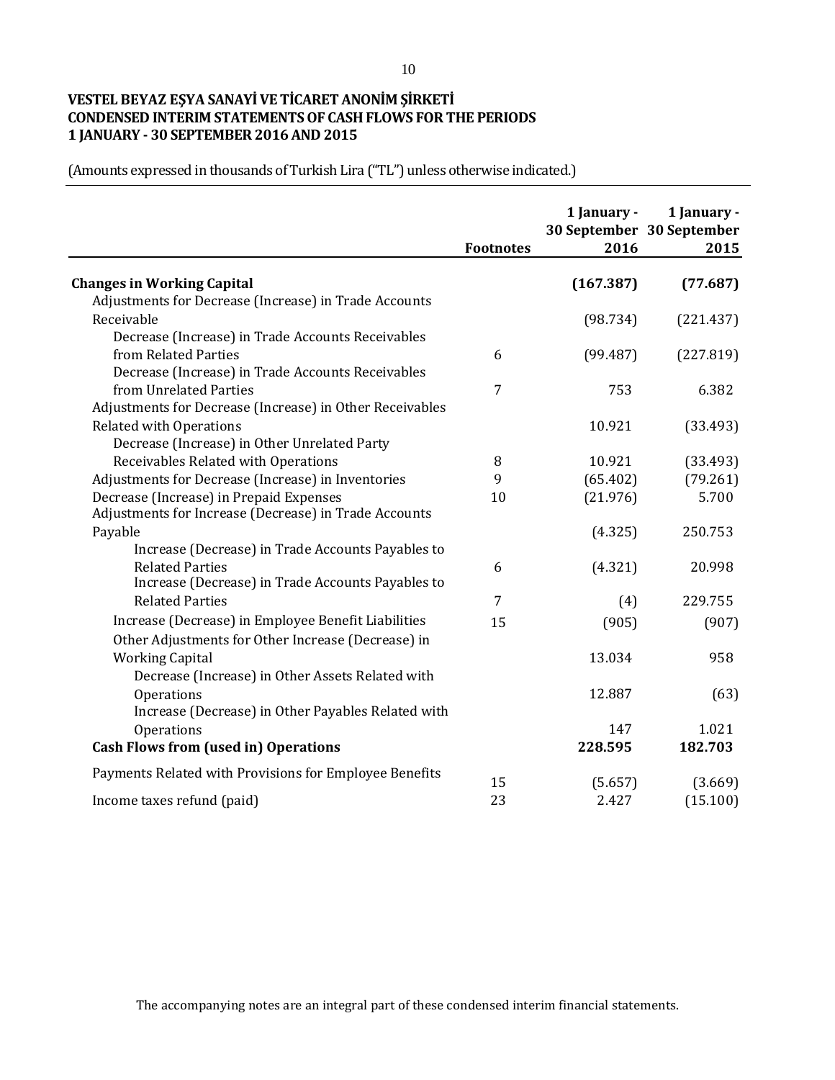# **VESTEL BEYAZ EŞYA SANAYİ VE TİCARET ANONİM ŞİRKETİ CONDENSED INTERIM STATEMENTS OF CASH FLOWS FOR THE PERIODS 1 JANUARY - 30 SEPTEMBER 2016 AND 2015**

(Amounts expressed in thousands of Turkish Lira ("TL") unless otherwise indicated.)

|                                                                                                           | <b>Footnotes</b> | 1 January -<br>2016 | 1 January -<br>30 September 30 September<br>2015 |
|-----------------------------------------------------------------------------------------------------------|------------------|---------------------|--------------------------------------------------|
| <b>Changes in Working Capital</b>                                                                         |                  | (167.387)           | (77.687)                                         |
| Adjustments for Decrease (Increase) in Trade Accounts                                                     |                  |                     |                                                  |
| Receivable                                                                                                |                  | (98.734)            | (221.437)                                        |
| Decrease (Increase) in Trade Accounts Receivables                                                         |                  |                     |                                                  |
| from Related Parties                                                                                      | 6                | (99.487)            | (227.819)                                        |
| Decrease (Increase) in Trade Accounts Receivables                                                         |                  |                     |                                                  |
| from Unrelated Parties                                                                                    | 7                | 753                 | 6.382                                            |
| Adjustments for Decrease (Increase) in Other Receivables                                                  |                  |                     |                                                  |
| <b>Related with Operations</b>                                                                            |                  | 10.921              | (33.493)                                         |
| Decrease (Increase) in Other Unrelated Party                                                              |                  |                     |                                                  |
| Receivables Related with Operations                                                                       | 8                | 10.921              | (33.493)                                         |
| Adjustments for Decrease (Increase) in Inventories                                                        | 9                | (65.402)            | (79.261)                                         |
| Decrease (Increase) in Prepaid Expenses<br>Adjustments for Increase (Decrease) in Trade Accounts          | 10               | (21.976)            | 5.700                                            |
| Payable                                                                                                   |                  | (4.325)             | 250.753                                          |
| Increase (Decrease) in Trade Accounts Payables to                                                         |                  |                     |                                                  |
| <b>Related Parties</b><br>Increase (Decrease) in Trade Accounts Payables to                               | 6                | (4.321)             | 20.998                                           |
| <b>Related Parties</b>                                                                                    | 7                | (4)                 | 229.755                                          |
| Increase (Decrease) in Employee Benefit Liabilities<br>Other Adjustments for Other Increase (Decrease) in | 15               | (905)               | (907)                                            |
| <b>Working Capital</b><br>Decrease (Increase) in Other Assets Related with                                |                  | 13.034              | 958                                              |
| Operations<br>Increase (Decrease) in Other Payables Related with                                          |                  | 12.887              | (63)                                             |
| Operations                                                                                                |                  | 147                 | 1.021                                            |
| <b>Cash Flows from (used in) Operations</b>                                                               |                  | 228.595             | 182.703                                          |
| Payments Related with Provisions for Employee Benefits                                                    | 15               | (5.657)             | (3.669)                                          |
| Income taxes refund (paid)                                                                                | 23               | 2.427               | (15.100)                                         |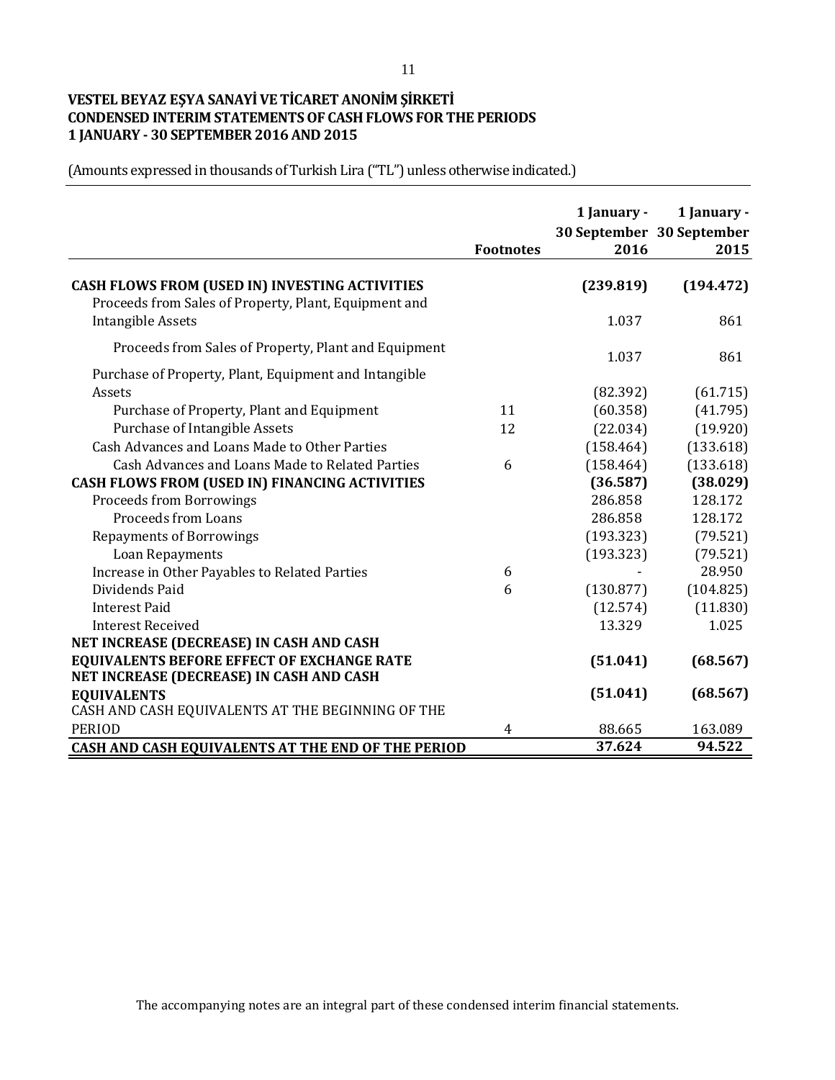# **VESTEL BEYAZ EŞYA SANAYİ VE TİCARET ANONİM ŞİRKETİ CONDENSED INTERIM STATEMENTS OF CASH FLOWS FOR THE PERIODS 1 JANUARY - 30 SEPTEMBER 2016 AND 2015**

(Amounts expressed in thousands of Turkish Lira ("TL") unless otherwise indicated.)

|                                                                                                         | <b>Footnotes</b> | 1 January -<br>2016 | 1 January -<br>30 September 30 September<br>2015 |
|---------------------------------------------------------------------------------------------------------|------------------|---------------------|--------------------------------------------------|
| CASH FLOWS FROM (USED IN) INVESTING ACTIVITIES<br>Proceeds from Sales of Property, Plant, Equipment and |                  | (239.819)           | (194.472)                                        |
| <b>Intangible Assets</b>                                                                                |                  | 1.037               | 861                                              |
| Proceeds from Sales of Property, Plant and Equipment                                                    |                  | 1.037               | 861                                              |
| Purchase of Property, Plant, Equipment and Intangible                                                   |                  |                     |                                                  |
| Assets                                                                                                  |                  | (82.392)            | (61.715)                                         |
| Purchase of Property, Plant and Equipment                                                               | 11               | (60.358)            | (41.795)                                         |
| Purchase of Intangible Assets                                                                           | 12               | (22.034)            | (19.920)                                         |
| Cash Advances and Loans Made to Other Parties                                                           |                  | (158.464)           | (133.618)                                        |
| Cash Advances and Loans Made to Related Parties                                                         | 6                | (158.464)           | (133.618)                                        |
| CASH FLOWS FROM (USED IN) FINANCING ACTIVITIES                                                          |                  | (36.587)            | (38.029)                                         |
| <b>Proceeds from Borrowings</b>                                                                         |                  | 286.858             | 128.172                                          |
| <b>Proceeds from Loans</b>                                                                              |                  | 286.858             | 128.172                                          |
| <b>Repayments of Borrowings</b>                                                                         |                  | (193.323)           | (79.521)                                         |
| Loan Repayments                                                                                         |                  | (193.323)           | (79.521)                                         |
| Increase in Other Payables to Related Parties                                                           | 6                |                     | 28.950                                           |
| Dividends Paid                                                                                          | 6                | (130.877)           | (104.825)                                        |
| <b>Interest Paid</b>                                                                                    |                  | (12.574)            | (11.830)                                         |
| <b>Interest Received</b>                                                                                |                  | 13.329              | 1.025                                            |
| NET INCREASE (DECREASE) IN CASH AND CASH                                                                |                  |                     |                                                  |
| <b>EQUIVALENTS BEFORE EFFECT OF EXCHANGE RATE</b><br>NET INCREASE (DECREASE) IN CASH AND CASH           |                  | (51.041)            | (68.567)                                         |
| <b>EQUIVALENTS</b>                                                                                      |                  | (51.041)            | (68.567)                                         |
| CASH AND CASH EQUIVALENTS AT THE BEGINNING OF THE                                                       |                  |                     |                                                  |
| <b>PERIOD</b>                                                                                           | 4                | 88.665              | 163.089                                          |
| CASH AND CASH EQUIVALENTS AT THE END OF THE PERIOD                                                      |                  | 37.624              | 94.522                                           |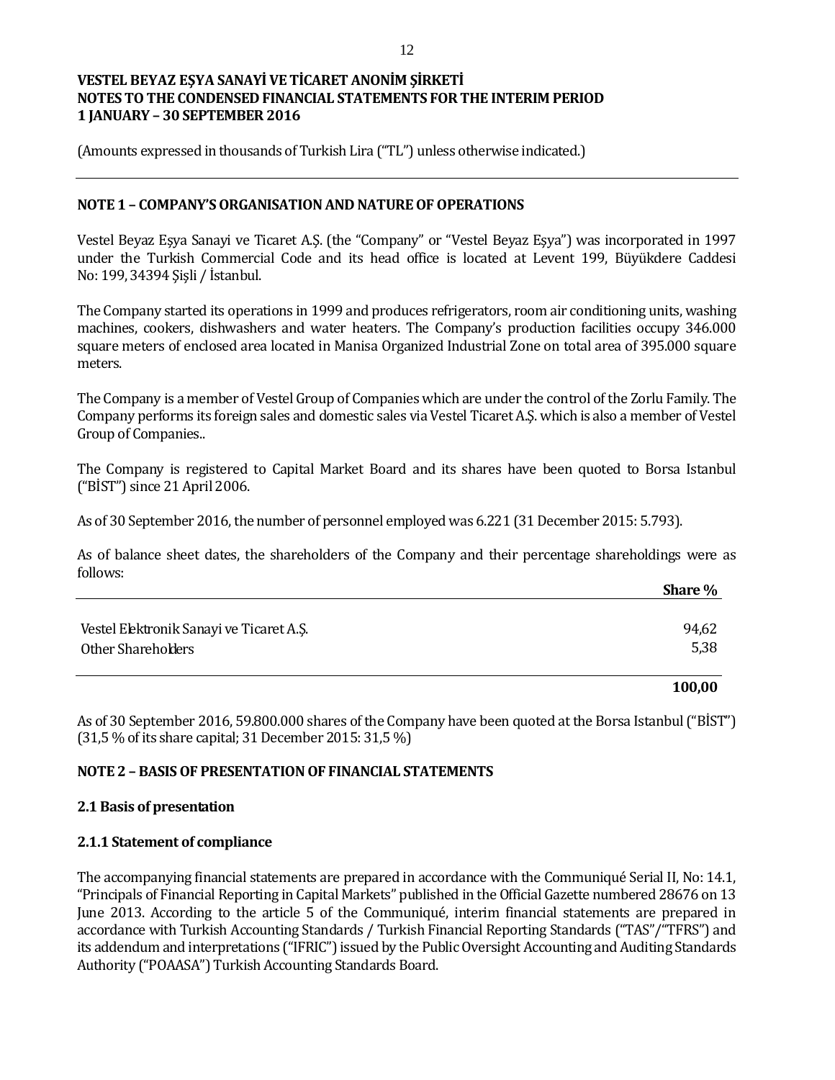(Amounts expressed in thousands of Turkish Lira ("TL") unless otherwise indicated.)

#### **NOTE 1 – COMPANY'S ORGANISATION AND NATURE OF OPERATIONS**

Vestel Beyaz Eşya Sanayi ve Ticaret A.Ş. (the "Company" or "Vestel Beyaz Eşya") was incorporated in 1997 under the Turkish Commercial Code and its head office is located at Levent 199, Büyükdere Caddesi No: 199, 34394 Şişli / İstanbul.

The Company started its operations in 1999 and produces refrigerators, room air conditioning units, washing machines, cookers, dishwashers and water heaters. The Company's production facilities occupy 346.000 square meters of enclosed area located in Manisa Organized Industrial Zone on total area of 395.000 square meters.

The Company is a member of Vestel Group of Companies which are under the control of the Zorlu Family. The Company performs its foreign sales and domestic sales via Vestel Ticaret A.Ş. which is also a member of Vestel Group of Companies..

The Company is registered to Capital Market Board and its shares have been quoted to Borsa Istanbul ("BİST") since 21 April 2006.

As of 30 September 2016, the number of personnel employed was 6.221 (31 December 2015: 5.793).

As of balance sheet dates, the shareholders of the Company and their percentage shareholdings were as follows:

|                                          | Share % |
|------------------------------------------|---------|
|                                          |         |
| Vestel Elektronik Sanayi ve Ticaret A.Ş. | 94,62   |
| Other Shareholders                       | 5,38    |

#### **100,00**

As of 30 September 2016, 59.800.000 shares of the Company have been quoted at the Borsa Istanbul ("BİST") (31,5 % of its share capital; 31 December 2015: 31,5 %)

#### **NOTE 2 –BASIS OF PRESENTATION OF FINANCIAL STATEMENTS**

#### **2.1 Basis of presentation**

#### **2.1.1 Statement of compliance**

The accompanying financial statements are prepared in accordance with the Communiqué Serial II, No: 14.1, "Principals of Financial Reporting in Capital Markets" published in the Official Gazette numbered 28676 on 13 June 2013. According to the article 5 of the Communiqué, interim financial statements are prepared in accordance with Turkish Accounting Standards / Turkish Financial Reporting Standards ("TAS"/"TFRS") and its addendum and interpretations ("IFRIC") issued by the Public Oversight Accounting and Auditing Standards Authority ("POAASA") Turkish Accounting Standards Board.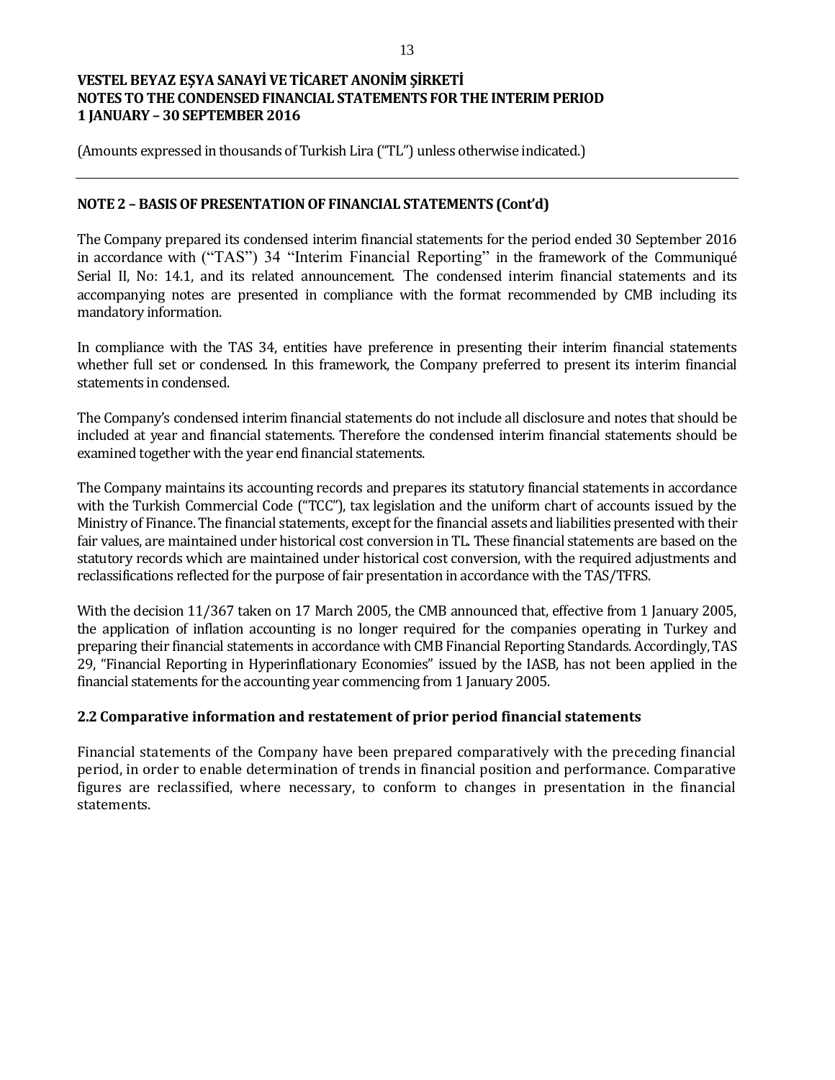(Amounts expressed in thousands of Turkish Lira ("TL") unless otherwise indicated.)

#### **NOTE 2 –BASIS OF PRESENTATION OF FINANCIAL STATEMENTS (Cont'd)**

The Company prepared its condensed interim financial statements for the period ended 30 September 2016 in accordance with ("TAS") 34 "Interim Financial Reporting" in the framework of the Communiqué Serial II, No: 14.1, and its related announcement. The condensed interim financial statements and its accompanying notes are presented in compliance with the format recommended by CMB including its mandatory information.

In compliance with the TAS 34, entities have preference in presenting their interim financial statements whether full set or condensed. In this framework, the Company preferred to present its interim financial statements in condensed.

The Company's condensed interim financial statements do not include all disclosure and notes that should be included at year and financial statements. Therefore the condensed interim financial statements should be examined together with the year end financial statements.

The Company maintains its accounting records and prepares its statutory financial statements in accordance with the Turkish Commercial Code ("TCC"), tax legislation and the uniform chart of accounts issued by the Ministry of Finance. The financial statements, except for the financial assets and liabilities presented with their fair values, are maintained under historical cost conversion in TL. These financial statements are based on the statutory records which are maintained under historical cost conversion, with the required adjustments and reclassifications reflected for the purpose of fair presentation in accordance with the TAS/TFRS.

With the decision 11/367 taken on 17 March 2005, the CMB announced that, effective from 1 January 2005, the application of inflation accounting is no longer required for the companies operating in Turkey and preparing their financial statements in accordance with CMB Financial Reporting Standards. Accordingly, TAS 29, "Financial Reporting in Hyperinflationary Economies" issued by the IASB, has not been applied in the financial statements for the accounting year commencing from 1 January 2005.

## **2.2 Comparative information and restatement of prior period financial statements**

Financial statements of the Company have been prepared comparatively with the preceding financial period, in order to enable determination of trends in financial position and performance. Comparative figures are reclassified, where necessary, to conform to changes in presentation in the financial statements.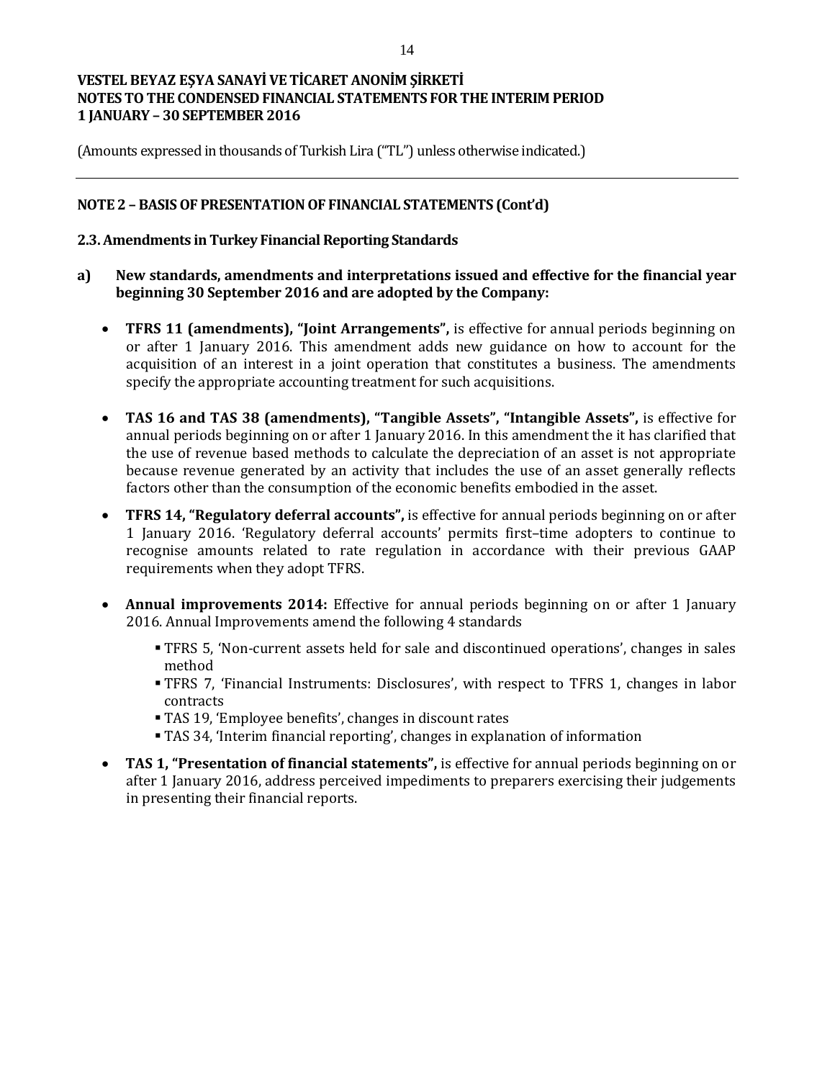(Amounts expressed in thousands of Turkish Lira ("TL") unless otherwise indicated.)

#### **NOTE 2 –BASIS OF PRESENTATION OF FINANCIAL STATEMENTS (Cont'd)**

### **2.3. Amendments in Turkey Financial Reporting Standards**

- **a) New standards, amendments and interpretations issued and effective for the financial year beginning 30 September 2016 and are adopted by the Company:**
	- **TFRS 11 (amendments), "Joint Arrangements",** is effective for annual periods beginning on or after 1 January 2016. This amendment adds new guidance on how to account for the acquisition of an interest in a joint operation that constitutes a business. The amendments specify the appropriate accounting treatment for such acquisitions.
	- **TAS 16 and TAS 38 (amendments), "Tangible Assets", "Intangible Assets",** is effective for annual periods beginning on or after 1 January 2016. In this amendment the it has clarified that the use of revenue based methods to calculate the depreciation of an asset is not appropriate because revenue generated by an activity that includes the use of an asset generally reflects factors other than the consumption of the economic benefits embodied in the asset.
	- **TFRS 14, "Regulatory deferral accounts",** is effective for annual periods beginning on or after 1 January 2016. 'Regulatory deferral accounts' permits first–time adopters to continue to recognise amounts related to rate regulation in accordance with their previous GAAP requirements when they adopt TFRS.
	- **Annual improvements 2014:** Effective for annual periods beginning on or after 1 January 2016. Annual Improvements amend the following 4 standards
		- TFRS 5, 'Non-current assets held for sale and discontinued operations', changes in sales method
		- TFRS 7, 'Financial Instruments: Disclosures', with respect to TFRS 1, changes in labor contracts
		- TAS 19, 'Employee benefits', changes in discount rates
		- TAS 34, 'Interim financial reporting', changes in explanation of information
	- **TAS 1, "Presentation of financial statements",** is effective for annual periods beginning on or after 1 January 2016, address perceived impediments to preparers exercising their judgements in presenting their financial reports.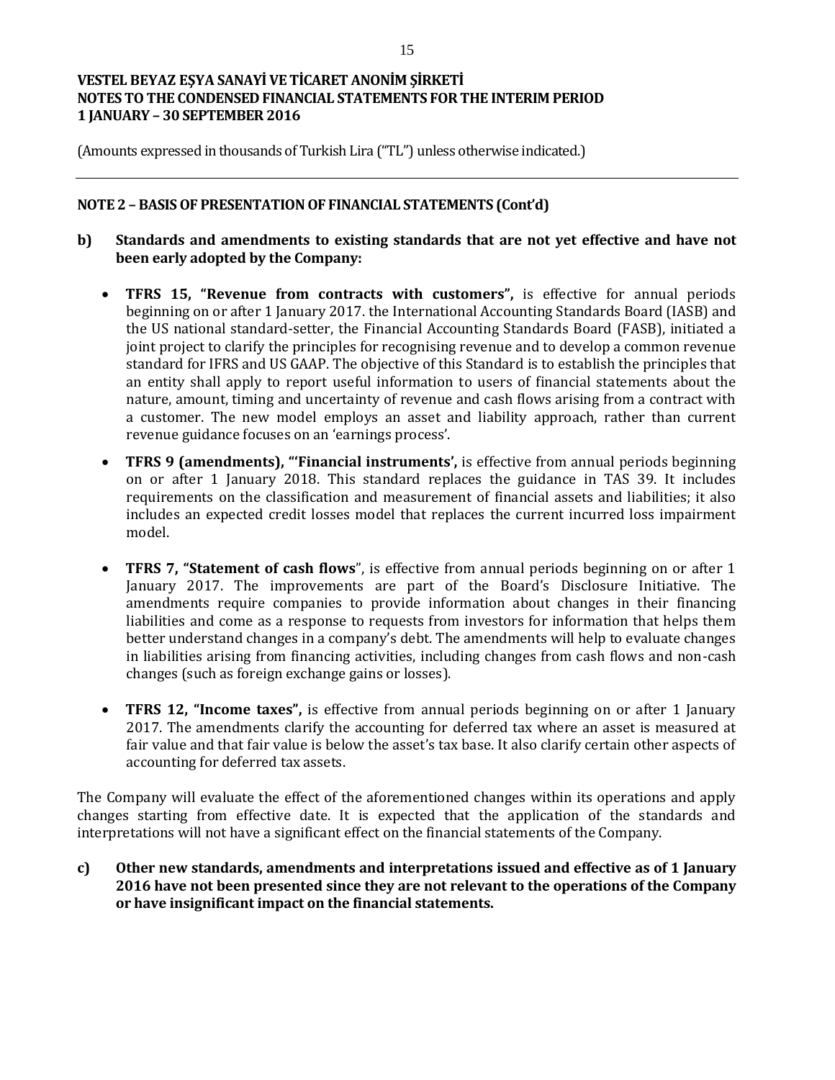(Amounts expressed in thousands of Turkish Lira ("TL") unless otherwise indicated.)

#### **NOTE 2 –BASIS OF PRESENTATION OF FINANCIAL STATEMENTS (Cont'd)**

- **b) Standards and amendments to existing standards that are not yet effective and have not been early adopted by the Company:**
	- **TFRS 15, "Revenue from contracts with customers",** is effective for annual periods beginning on or after 1 January 2017. the International Accounting Standards Board (IASB) and the US national standard-setter, the Financial Accounting Standards Board (FASB), initiated a joint project to clarify the principles for recognising revenue and to develop a common revenue standard for IFRS and US GAAP. The objective of this Standard is to establish the principles that an entity shall apply to report useful information to users of financial statements about the nature, amount, timing and uncertainty of revenue and cash flows arising from a contract with a customer. The new model employs an asset and liability approach, rather than current revenue guidance focuses on an 'earnings process'.
	- **TFRS 9 (amendments), "'Financial instruments',** is effective from annual periods beginning on or after 1 January 2018. This standard replaces the guidance in TAS 39. It includes requirements on the classification and measurement of financial assets and liabilities; it also includes an expected credit losses model that replaces the current incurred loss impairment model.
	- **TFRS 7, "Statement of cash flows**", is effective from annual periods beginning on or after 1 January 2017. The improvements are part of the Board's Disclosure Initiative. The amendments require companies to provide information about changes in their financing liabilities and come as a response to requests from investors for information that helps them better understand changes in a company's debt. The amendments will help to evaluate changes in liabilities arising from financing activities, including changes from cash flows and non-cash changes (such as foreign exchange gains or losses).
	- **TFRS 12, "Income taxes",** is effective from annual periods beginning on or after 1 January 2017. The amendments clarify the accounting for deferred tax where an asset is measured at fair value and that fair value is below the asset's tax base. It also clarify certain other aspects of accounting for deferred tax assets.

The Company will evaluate the effect of the aforementioned changes within its operations and apply changes starting from effective date. It is expected that the application of the standards and interpretations will not have a significant effect on the financial statements of the Company.

**c) Other new standards, amendments and interpretations issued and effective as of 1 January 2016 have not been presented since they are not relevant to the operations of the Company or have insignificant impact on the financial statements.**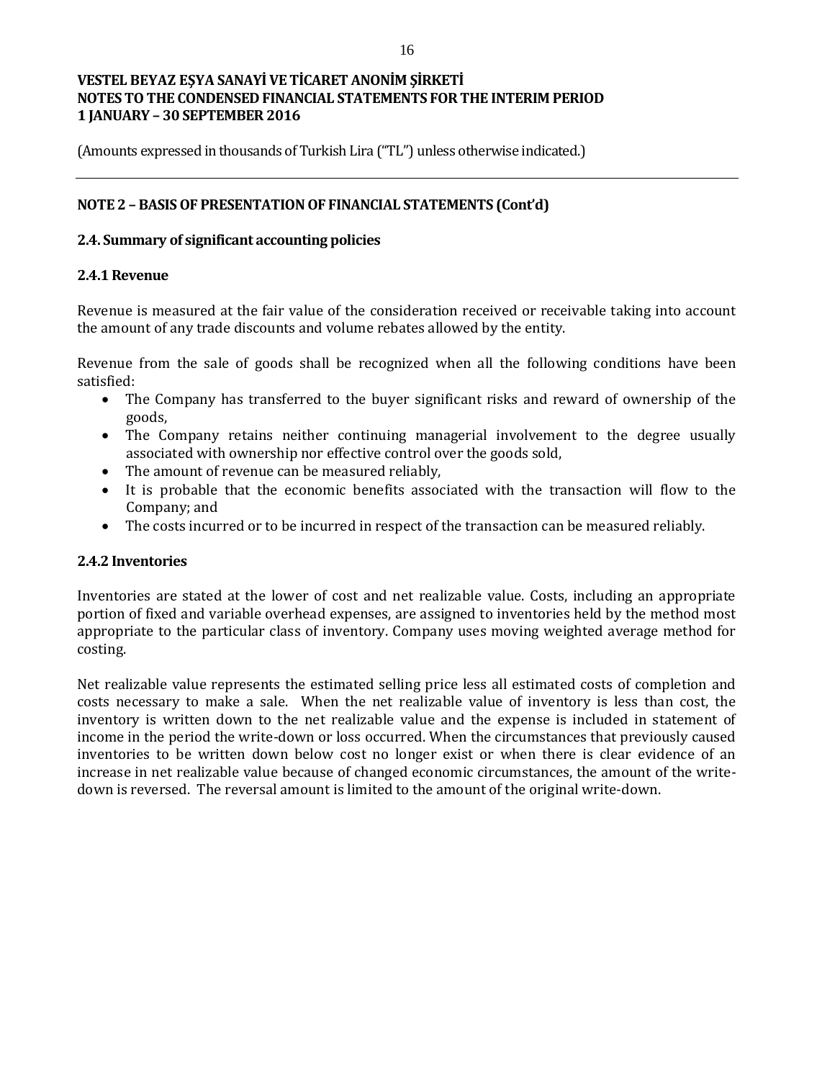(Amounts expressed in thousands of Turkish Lira ("TL") unless otherwise indicated.)

### **NOTE 2 –BASIS OF PRESENTATION OF FINANCIAL STATEMENTS (Cont'd)**

#### **2.4. Summary of significant accounting policies**

#### **2.4.1 Revenue**

Revenue is measured at the fair value of the consideration received or receivable taking into account the amount of any trade discounts and volume rebates allowed by the entity.

Revenue from the sale of goods shall be recognized when all the following conditions have been satisfied:

- The Company has transferred to the buyer significant risks and reward of ownership of the goods,
- The Company retains neither continuing managerial involvement to the degree usually associated with ownership nor effective control over the goods sold,
- The amount of revenue can be measured reliably,
- It is probable that the economic benefits associated with the transaction will flow to the Company; and
- The costs incurred or to be incurred in respect of the transaction can be measured reliably.

## **2.4.2 Inventories**

Inventories are stated at the lower of cost and net realizable value. Costs, including an appropriate portion of fixed and variable overhead expenses, are assigned to inventories held by the method most appropriate to the particular class of inventory. Company uses moving weighted average method for costing.

Net realizable value represents the estimated selling price less all estimated costs of completion and costs necessary to make a sale. When the net realizable value of inventory is less than cost, the inventory is written down to the net realizable value and the expense is included in statement of income in the period the write-down or loss occurred. When the circumstances that previously caused inventories to be written down below cost no longer exist or when there is clear evidence of an increase in net realizable value because of changed economic circumstances, the amount of the writedown is reversed. The reversal amount is limited to the amount of the original write-down.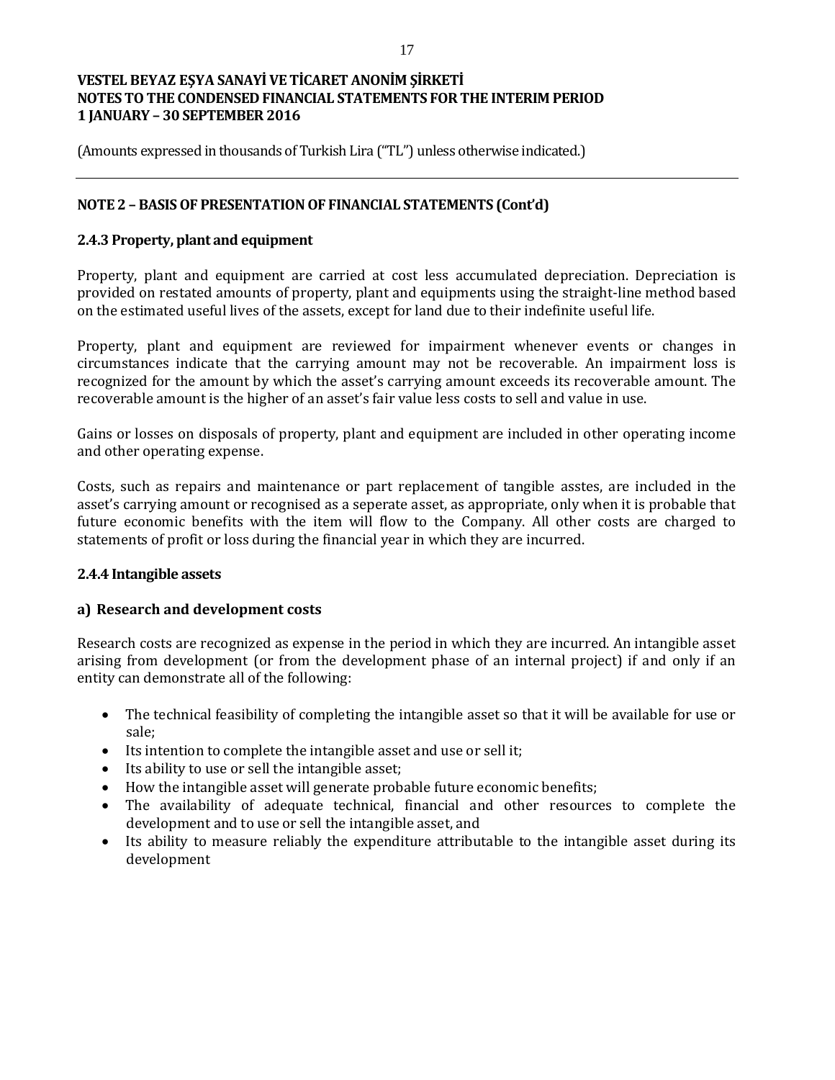(Amounts expressed in thousands of Turkish Lira ("TL") unless otherwise indicated.)

#### **NOTE 2 –BASIS OF PRESENTATION OF FINANCIAL STATEMENTS (Cont'd)**

#### **2.4.3 Property, plant and equipment**

Property, plant and equipment are carried at cost less accumulated depreciation. Depreciation is provided on restated amounts of property, plant and equipments using the straight-line method based on the estimated useful lives of the assets, except for land due to their indefinite useful life.

Property, plant and equipment are reviewed for impairment whenever events or changes in circumstances indicate that the carrying amount may not be recoverable. An impairment loss is recognized for the amount by which the asset's carrying amount exceeds its recoverable amount. The recoverable amount is the higher of an asset's fair value less costs to sell and value in use.

Gains or losses on disposals of property, plant and equipment are included in other operating income and other operating expense.

Costs, such as repairs and maintenance or part replacement of tangible asstes, are included in the asset's carrying amount or recognised as a seperate asset, as appropriate, only when it is probable that future economic benefits with the item will flow to the Company. All other costs are charged to statements of profit or loss during the financial year in which they are incurred.

#### **2.4.4 Intangible assets**

#### **a) Research and development costs**

Research costs are recognized as expense in the period in which they are incurred. An intangible asset arising from development (or from the development phase of an internal project) if and only if an entity can demonstrate all of the following:

- The technical feasibility of completing the intangible asset so that it will be available for use or sale;
- Its intention to complete the intangible asset and use or sell it;
- Its ability to use or sell the intangible asset;
- How the intangible asset will generate probable future economic benefits;
- The availability of adequate technical, financial and other resources to complete the development and to use or sell the intangible asset, and
- Its ability to measure reliably the expenditure attributable to the intangible asset during its development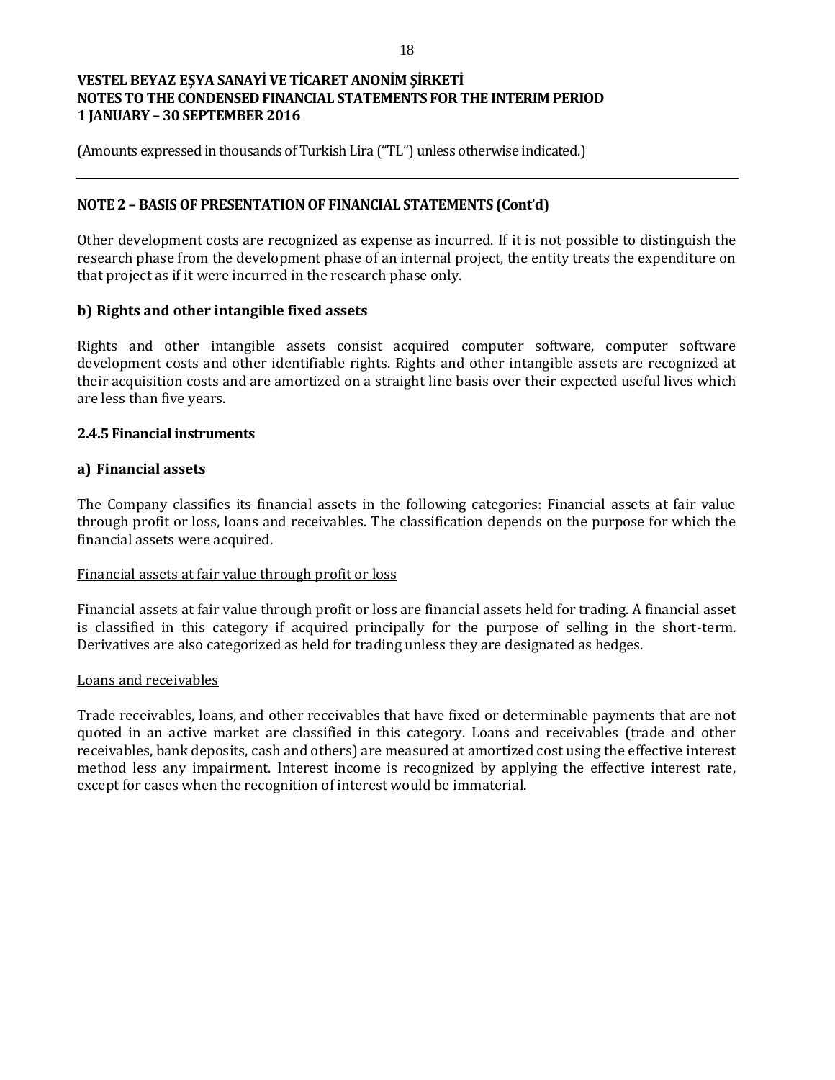(Amounts expressed in thousands of Turkish Lira ("TL") unless otherwise indicated.)

#### **NOTE 2 –BASIS OF PRESENTATION OF FINANCIAL STATEMENTS (Cont'd)**

Other development costs are recognized as expense as incurred. If it is not possible to distinguish the research phase from the development phase of an internal project, the entity treats the expenditure on that project as if it were incurred in the research phase only.

### **b) Rights and other intangible fixed assets**

Rights and other intangible assets consist acquired computer software, computer software development costs and other identifiable rights. Rights and other intangible assets are recognized at their acquisition costs and are amortized on a straight line basis over their expected useful lives which are less than five years.

#### **2.4.5 Financial instruments**

#### **a) Financial assets**

The Company classifies its financial assets in the following categories: Financial assets at fair value through profit or loss, loans and receivables. The classification depends on the purpose for which the financial assets were acquired.

#### Financial assets at fair value through profit or loss

Financial assets at fair value through profit or loss are financial assets held for trading. A financial asset is classified in this category if acquired principally for the purpose of selling in the short-term. Derivatives are also categorized as held for trading unless they are designated as hedges.

#### Loans and receivables

Trade receivables, loans, and other receivables that have fixed or determinable payments that are not quoted in an active market are classified in this category. Loans and receivables (trade and other receivables, bank deposits, cash and others) are measured at amortized cost using the effective interest method less any impairment. Interest income is recognized by applying the effective interest rate, except for cases when the recognition of interest would be immaterial.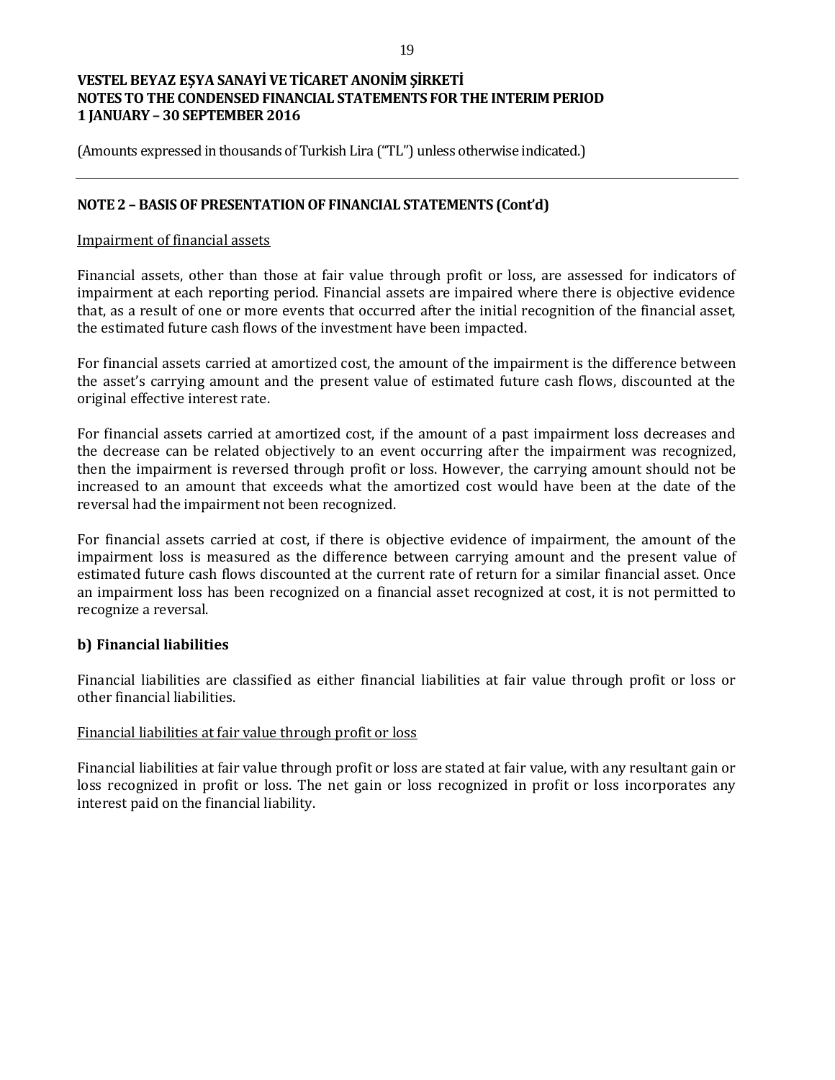(Amounts expressed in thousands of Turkish Lira ("TL") unless otherwise indicated.)

#### **NOTE 2 –BASIS OF PRESENTATION OF FINANCIAL STATEMENTS (Cont'd)**

#### Impairment of financial assets

Financial assets, other than those at fair value through profit or loss, are assessed for indicators of impairment at each reporting period. Financial assets are impaired where there is objective evidence that, as a result of one or more events that occurred after the initial recognition of the financial asset, the estimated future cash flows of the investment have been impacted.

For financial assets carried at amortized cost, the amount of the impairment is the difference between the asset's carrying amount and the present value of estimated future cash flows, discounted at the original effective interest rate.

For financial assets carried at amortized cost, if the amount of a past impairment loss decreases and the decrease can be related objectively to an event occurring after the impairment was recognized, then the impairment is reversed through profit or loss. However, the carrying amount should not be increased to an amount that exceeds what the amortized cost would have been at the date of the reversal had the impairment not been recognized.

For financial assets carried at cost, if there is objective evidence of impairment, the amount of the impairment loss is measured as the difference between carrying amount and the present value of estimated future cash flows discounted at the current rate of return for a similar financial asset. Once an impairment loss has been recognized on a financial asset recognized at cost, it is not permitted to recognize a reversal.

## **b) Financial liabilities**

Financial liabilities are classified as either financial liabilities at fair value through profit or loss or other financial liabilities.

#### Financial liabilities at fair value through profit or loss

Financial liabilities at fair value through profit or loss are stated at fair value, with any resultant gain or loss recognized in profit or loss. The net gain or loss recognized in profit or loss incorporates any interest paid on the financial liability.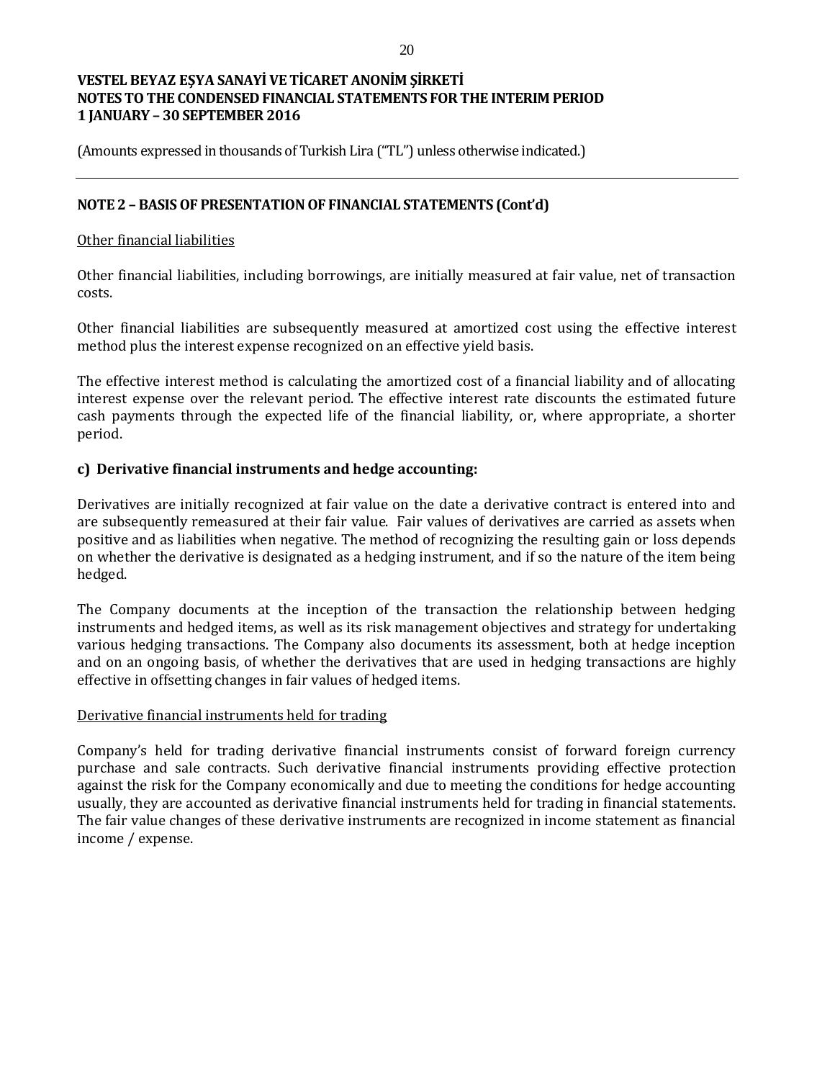(Amounts expressed in thousands of Turkish Lira ("TL") unless otherwise indicated.)

#### **NOTE 2 –BASIS OF PRESENTATION OF FINANCIAL STATEMENTS (Cont'd)**

#### Other financial liabilities

Other financial liabilities, including borrowings, are initially measured at fair value, net of transaction costs.

Other financial liabilities are subsequently measured at amortized cost using the effective interest method plus the interest expense recognized on an effective yield basis.

The effective interest method is calculating the amortized cost of a financial liability and of allocating interest expense over the relevant period. The effective interest rate discounts the estimated future cash payments through the expected life of the financial liability, or, where appropriate, a shorter period.

### **c) Derivative financial instruments and hedge accounting:**

Derivatives are initially recognized at fair value on the date a derivative contract is entered into and are subsequently remeasured at their fair value. Fair values of derivatives are carried as assets when positive and as liabilities when negative. The method of recognizing the resulting gain or loss depends on whether the derivative is designated as a hedging instrument, and if so the nature of the item being hedged.

The Company documents at the inception of the transaction the relationship between hedging instruments and hedged items, as well as its risk management objectives and strategy for undertaking various hedging transactions. The Company also documents its assessment, both at hedge inception and on an ongoing basis, of whether the derivatives that are used in hedging transactions are highly effective in offsetting changes in fair values of hedged items.

#### Derivative financial instruments held for trading

Company's held for trading derivative financial instruments consist of forward foreign currency purchase and sale contracts. Such derivative financial instruments providing effective protection against the risk for the Company economically and due to meeting the conditions for hedge accounting usually, they are accounted as derivative financial instruments held for trading in financial statements. The fair value changes of these derivative instruments are recognized in income statement as financial income / expense.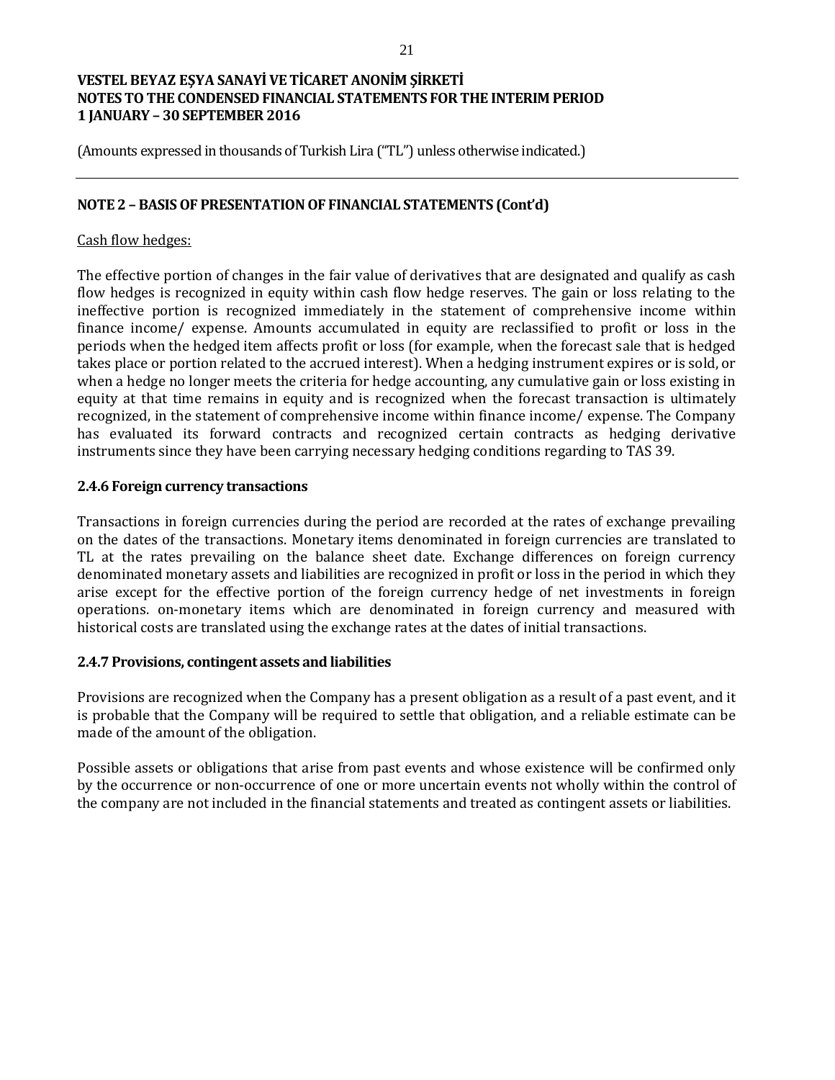(Amounts expressed in thousands of Turkish Lira ("TL") unless otherwise indicated.)

#### **NOTE 2 –BASIS OF PRESENTATION OF FINANCIAL STATEMENTS (Cont'd)**

#### Cash flow hedges:

The effective portion of changes in the fair value of derivatives that are designated and qualify as cash flow hedges is recognized in equity within cash flow hedge reserves. The gain or loss relating to the ineffective portion is recognized immediately in the statement of comprehensive income within finance income/ expense. Amounts accumulated in equity are reclassified to profit or loss in the periods when the hedged item affects profit or loss (for example, when the forecast sale that is hedged takes place or portion related to the accrued interest). When a hedging instrument expires or is sold, or when a hedge no longer meets the criteria for hedge accounting, any cumulative gain or loss existing in equity at that time remains in equity and is recognized when the forecast transaction is ultimately recognized, in the statement of comprehensive income within finance income/ expense. The Company has evaluated its forward contracts and recognized certain contracts as hedging derivative instruments since they have been carrying necessary hedging conditions regarding to TAS 39.

### **2.4.6 Foreign currency transactions**

Transactions in foreign currencies during the period are recorded at the rates of exchange prevailing on the dates of the transactions. Monetary items denominated in foreign currencies are translated to TL at the rates prevailing on the balance sheet date. Exchange differences on foreign currency denominated monetary assets and liabilities are recognized in profit or loss in the period in which they arise except for the effective portion of the foreign currency hedge of net investments in foreign operations. on-monetary items which are denominated in foreign currency and measured with historical costs are translated using the exchange rates at the dates of initial transactions.

#### **2.4.7 Provisions, contingent assets and liabilities**

Provisions are recognized when the Company has a present obligation as a result of a past event, and it is probable that the Company will be required to settle that obligation, and a reliable estimate can be made of the amount of the obligation.

Possible assets or obligations that arise from past events and whose existence will be confirmed only by the occurrence or non-occurrence of one or more uncertain events not wholly within the control of the company are not included in the financial statements and treated as contingent assets or liabilities.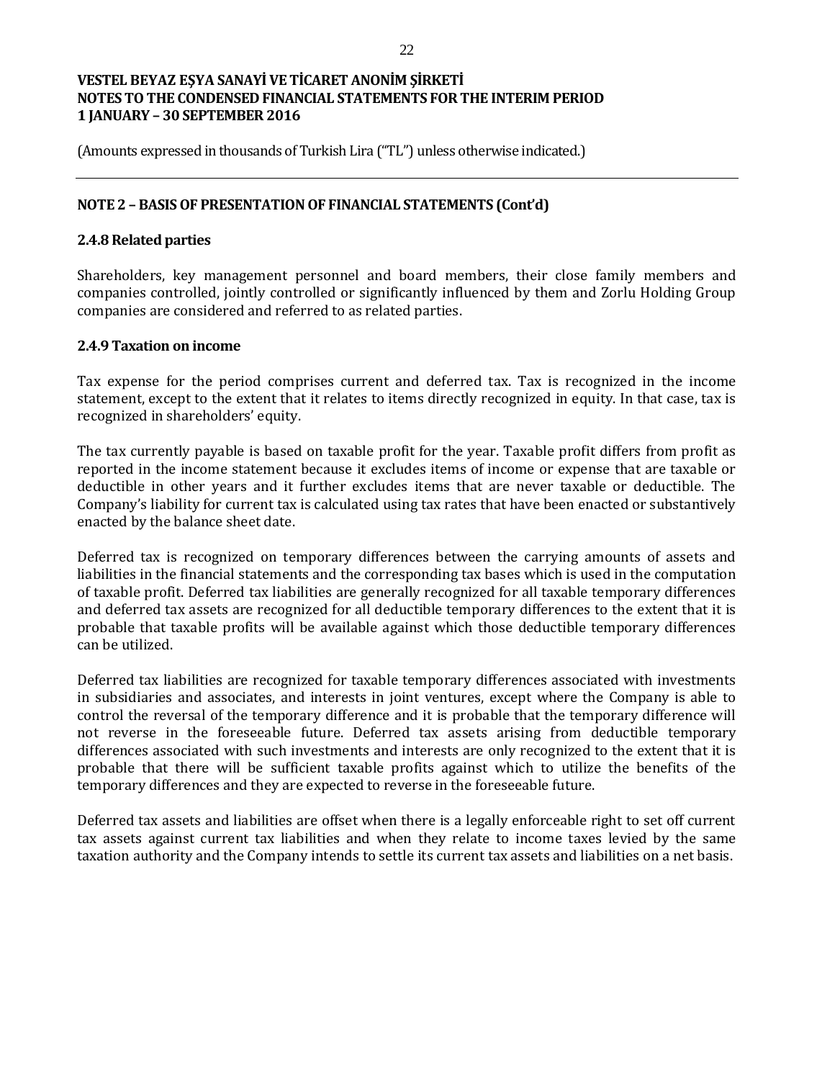(Amounts expressed in thousands of Turkish Lira ("TL") unless otherwise indicated.)

#### **NOTE 2 –BASIS OF PRESENTATION OF FINANCIAL STATEMENTS (Cont'd)**

### **2.4.8 Related parties**

Shareholders, key management personnel and board members, their close family members and companies controlled, jointly controlled or significantly influenced by them and Zorlu Holding Group companies are considered and referred to as related parties.

#### **2.4.9 Taxation on income**

Tax expense for the period comprises current and deferred tax. Tax is recognized in the income statement, except to the extent that it relates to items directly recognized in equity. In that case, tax is recognized in shareholders' equity.

The tax currently payable is based on taxable profit for the year. Taxable profit differs from profit as reported in the income statement because it excludes items of income or expense that are taxable or deductible in other years and it further excludes items that are never taxable or deductible. The Company's liability for current tax is calculated using tax rates that have been enacted or substantively enacted by the balance sheet date.

Deferred tax is recognized on temporary differences between the carrying amounts of assets and liabilities in the financial statements and the corresponding tax bases which is used in the computation of taxable profit. Deferred tax liabilities are generally recognized for all taxable temporary differences and deferred tax assets are recognized for all deductible temporary differences to the extent that it is probable that taxable profits will be available against which those deductible temporary differences can be utilized.

Deferred tax liabilities are recognized for taxable temporary differences associated with investments in subsidiaries and associates, and interests in joint ventures, except where the Company is able to control the reversal of the temporary difference and it is probable that the temporary difference will not reverse in the foreseeable future. Deferred tax assets arising from deductible temporary differences associated with such investments and interests are only recognized to the extent that it is probable that there will be sufficient taxable profits against which to utilize the benefits of the temporary differences and they are expected to reverse in the foreseeable future.

Deferred tax assets and liabilities are offset when there is a legally enforceable right to set off current tax assets against current tax liabilities and when they relate to income taxes levied by the same taxation authority and the Company intends to settle its current tax assets and liabilities on a net basis.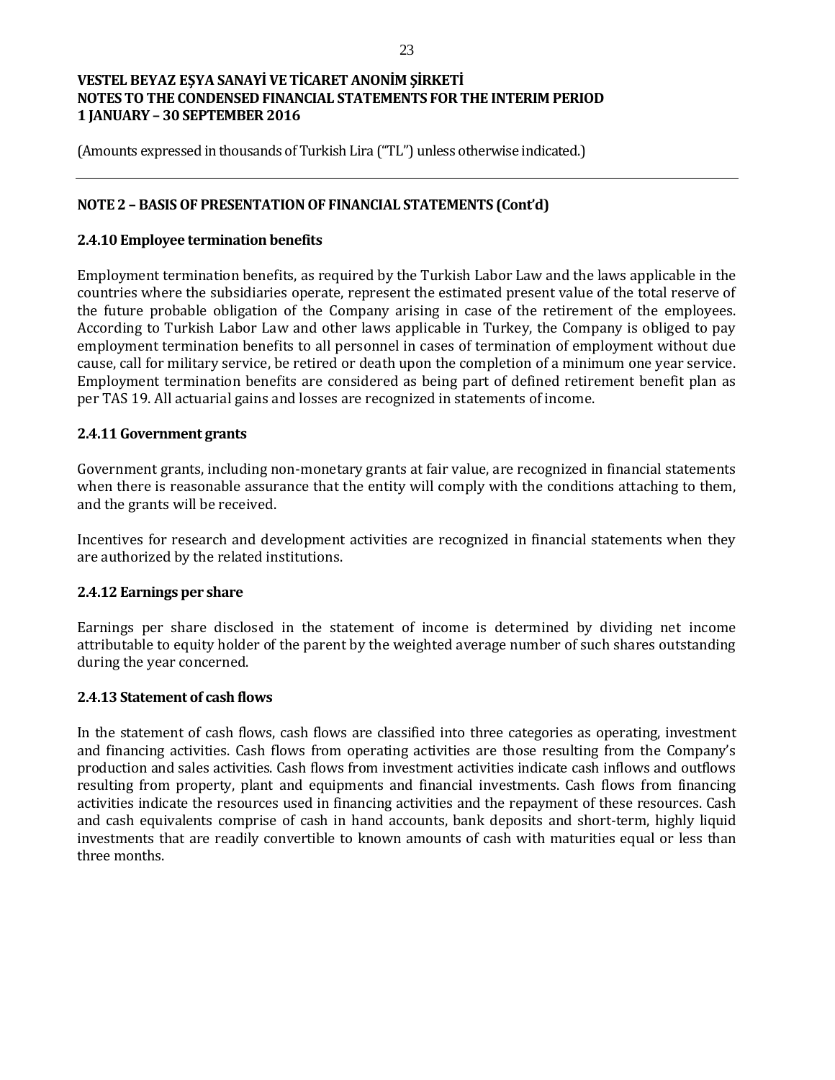(Amounts expressed in thousands of Turkish Lira ("TL") unless otherwise indicated.)

#### **NOTE 2 –BASIS OF PRESENTATION OF FINANCIAL STATEMENTS (Cont'd)**

#### **2.4.10 Employee termination benefits**

Employment termination benefits, as required by the Turkish Labor Law and the laws applicable in the countries where the subsidiaries operate, represent the estimated present value of the total reserve of the future probable obligation of the Company arising in case of the retirement of the employees. According to Turkish Labor Law and other laws applicable in Turkey, the Company is obliged to pay employment termination benefits to all personnel in cases of termination of employment without due cause, call for military service, be retired or death upon the completion of a minimum one year service. Employment termination benefits are considered as being part of defined retirement benefit plan as per TAS 19. All actuarial gains and losses are recognized in statements of income.

#### **2.4.11 Government grants**

Government grants, including non-monetary grants at fair value, are recognized in financial statements when there is reasonable assurance that the entity will comply with the conditions attaching to them, and the grants will be received.

Incentives for research and development activities are recognized in financial statements when they are authorized by the related institutions.

#### **2.4.12 Earnings per share**

Earnings per share disclosed in the statement of income is determined by dividing net income attributable to equity holder of the parent by the weighted average number of such shares outstanding during the year concerned.

### **2.4.13 Statement of cash flows**

In the statement of cash flows, cash flows are classified into three categories as operating, investment and financing activities. Cash flows from operating activities are those resulting from the Company's production and sales activities. Cash flows from investment activities indicate cash inflows and outflows resulting from property, plant and equipments and financial investments. Cash flows from financing activities indicate the resources used in financing activities and the repayment of these resources. Cash and cash equivalents comprise of cash in hand accounts, bank deposits and short-term, highly liquid investments that are readily convertible to known amounts of cash with maturities equal or less than three months.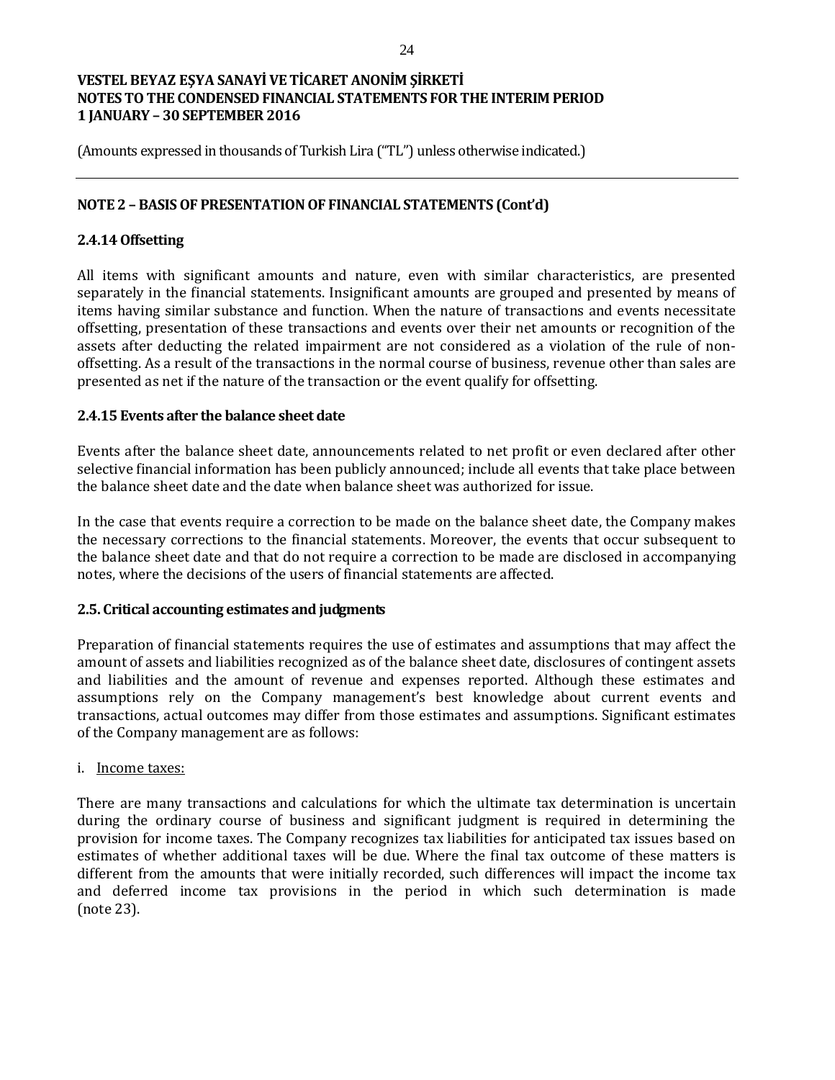(Amounts expressed in thousands of Turkish Lira ("TL") unless otherwise indicated.)

#### **NOTE 2 –BASIS OF PRESENTATION OF FINANCIAL STATEMENTS (Cont'd)**

## **2.4.14 Offsetting**

All items with significant amounts and nature, even with similar characteristics, are presented separately in the financial statements. Insignificant amounts are grouped and presented by means of items having similar substance and function. When the nature of transactions and events necessitate offsetting, presentation of these transactions and events over their net amounts or recognition of the assets after deducting the related impairment are not considered as a violation of the rule of nonoffsetting. As a result of the transactions in the normal course of business, revenue other than sales are presented as net if the nature of the transaction or the event qualify for offsetting.

#### **2.4.15 Events after the balance sheet date**

Events after the balance sheet date, announcements related to net profit or even declared after other selective financial information has been publicly announced; include all events that take place between the balance sheet date and the date when balance sheet was authorized for issue.

In the case that events require a correction to be made on the balance sheet date, the Company makes the necessary corrections to the financial statements. Moreover, the events that occur subsequent to the balance sheet date and that do not require a correction to be made are disclosed in accompanying notes, where the decisions of the users of financial statements are affected.

#### **2.5. Critical accounting estimates and judgments**

Preparation of financial statements requires the use of estimates and assumptions that may affect the amount of assets and liabilities recognized as of the balance sheet date, disclosures of contingent assets and liabilities and the amount of revenue and expenses reported. Although these estimates and assumptions rely on the Company management's best knowledge about current events and transactions, actual outcomes may differ from those estimates and assumptions. Significant estimates of the Company management are as follows:

#### i. Income taxes:

There are many transactions and calculations for which the ultimate tax determination is uncertain during the ordinary course of business and significant judgment is required in determining the provision for income taxes. The Company recognizes tax liabilities for anticipated tax issues based on estimates of whether additional taxes will be due. Where the final tax outcome of these matters is different from the amounts that were initially recorded, such differences will impact the income tax and deferred income tax provisions in the period in which such determination is made (note 23).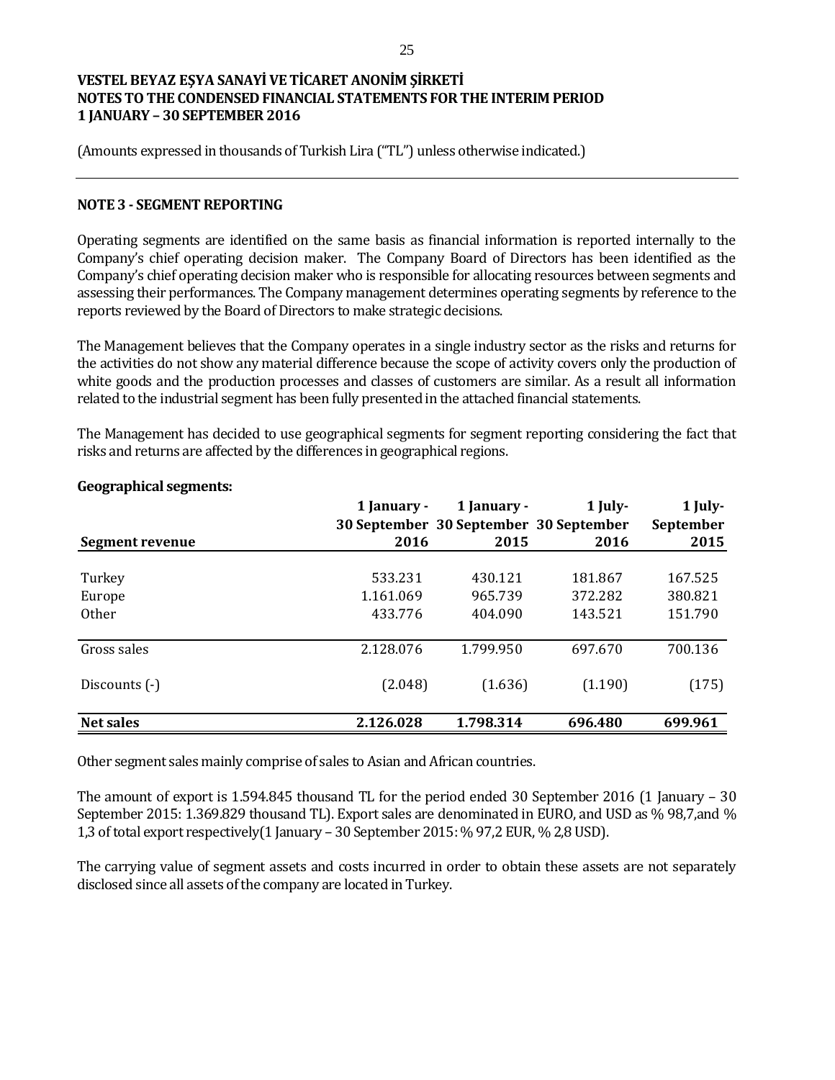(Amounts expressed in thousands of Turkish Lira ("TL") unless otherwise indicated.)

# **NOTE 3 - SEGMENT REPORTING**

Operating segments are identified on the same basis as financial information is reported internally to the Company's chief operating decision maker. The Company Board of Directors has been identified as the Company's chief operating decision maker who is responsible for allocating resources between segments and assessing their performances. The Company management determines operating segments by reference to the reports reviewed by the Board of Directors to make strategic decisions.

The Management believes that the Company operates in a single industry sector as the risks and returns for the activities do not show any material difference because the scope of activity covers only the production of white goods and the production processes and classes of customers are similar. As a result all information related to the industrial segment has been fully presented in the attached financial statements.

The Management has decided to use geographical segments for segment reporting considering the fact that risks and returns are affected by the differences in geographical regions.

|                  | 1 January - | 1 January -                            | 1 July- | 1 July-   |
|------------------|-------------|----------------------------------------|---------|-----------|
|                  |             | 30 September 30 September 30 September |         | September |
| Segment revenue  | 2016        | 2015                                   | 2016    | 2015      |
|                  |             |                                        |         |           |
| Turkey           | 533.231     | 430.121                                | 181.867 | 167.525   |
| Europe           | 1.161.069   | 965.739                                | 372.282 | 380.821   |
| <b>Other</b>     | 433.776     | 404.090                                | 143.521 | 151.790   |
| Gross sales      | 2.128.076   | 1.799.950                              | 697.670 | 700.136   |
| Discounts (-)    | (2.048)     | (1.636)                                | (1.190) | (175)     |
| <b>Net sales</b> | 2.126.028   | 1.798.314                              | 696.480 | 699.961   |

#### **Geographical segments:**

Other segment sales mainly comprise of sales to Asian and African countries.

The amount of export is 1.594.845 thousand TL for the period ended 30 September 2016 (1 January – 30 September 2015: 1.369.829 thousand TL). Export sales are denominated in EURO, and USD as % 98,7,and % 1,3 of total export respectively(1 January – 30 September 2015: % 97,2 EUR, % 2,8 USD).

The carrying value of segment assets and costs incurred in order to obtain these assets are not separately disclosed since all assets of the company are located in Turkey.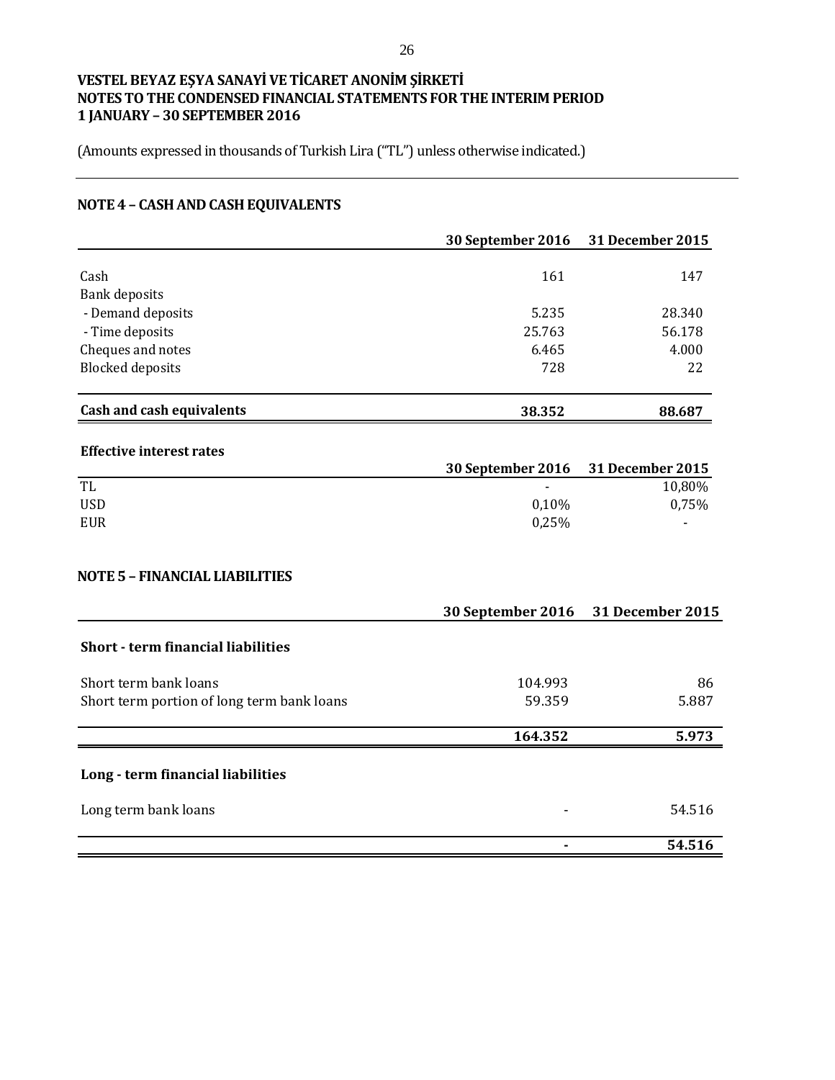(Amounts expressed in thousands of Turkish Lira ("TL") unless otherwise indicated.)

# **NOTE 4 – CASH AND CASH EQUIVALENTS**

|                                            | 30 September 2016 | 31 December 2015 |
|--------------------------------------------|-------------------|------------------|
| Cash                                       | 161               | 147              |
| <b>Bank</b> deposits                       |                   |                  |
| - Demand deposits                          | 5.235             | 28.340           |
| - Time deposits                            | 25.763            | 56.178           |
| Cheques and notes                          | 6.465             | 4.000            |
| <b>Blocked</b> deposits                    | 728               | 22               |
| <b>Cash and cash equivalents</b>           | 38.352            | 88.687           |
| <b>Effective interest rates</b>            |                   |                  |
|                                            | 30 September 2016 | 31 December 2015 |
| TL                                         |                   | 10,80%           |
| <b>USD</b>                                 | 0,10%             | 0,75%            |
| <b>EUR</b>                                 | 0,25%             |                  |
| <b>NOTE 5 - FINANCIAL LIABILITIES</b>      |                   |                  |
|                                            | 30 September 2016 | 31 December 2015 |
| Short - term financial liabilities         |                   |                  |
| Short term bank loans                      | 104.993           | 86               |
| Short term portion of long term bank loans | 59.359            | 5.887            |
|                                            | 164.352           | 5.973            |
| Long - term financial liabilities          |                   |                  |
| Long term bank loans                       |                   | 54.516           |
|                                            | $\blacksquare$    | 54.516           |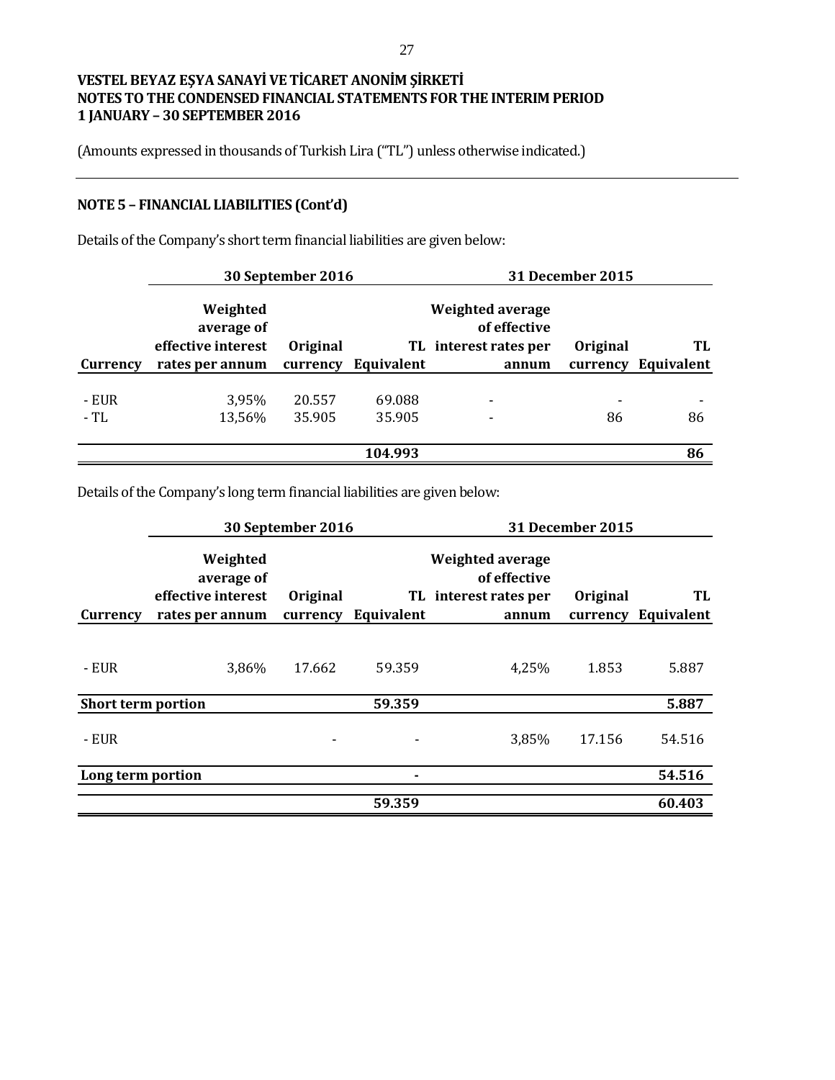(Amounts expressed in thousands of Turkish Lira ("TL") unless otherwise indicated.)

# **NOTE 5 – FINANCIAL LIABILITIES (Cont'd)**

|          |                                              | 30 September 2016 |            |                                                           | <b>31 December 2015</b> |                     |
|----------|----------------------------------------------|-------------------|------------|-----------------------------------------------------------|-------------------------|---------------------|
|          | Weighted<br>average of<br>effective interest | Original          |            | Weighted average<br>of effective<br>TL interest rates per | Original                | TL                  |
| Currency | rates per annum                              | currency          | Equivalent | annum                                                     |                         | currency Equivalent |
| - EUR    | 3,95%                                        | 20.557            | 69.088     |                                                           |                         |                     |
| - TL     | 13,56%                                       | 35.905            | 35.905     |                                                           | 86                      | 86                  |
|          |                                              |                   | 104.993    |                                                           |                         | 86                  |

Details of the Company's short term financial liabilities are given below:

Details of the Company's long term financial liabilities are given below:

|                           |                                                                 | 31 December 2015<br>30 September 2016 |            |                                                                           |          |                           |
|---------------------------|-----------------------------------------------------------------|---------------------------------------|------------|---------------------------------------------------------------------------|----------|---------------------------|
| Currency                  | Weighted<br>average of<br>effective interest<br>rates per annum | Original<br>currency                  | Equivalent | <b>Weighted average</b><br>of effective<br>TL interest rates per<br>annum | Original | TL<br>currency Equivalent |
|                           |                                                                 |                                       |            |                                                                           |          |                           |
| - EUR                     | 3,86%                                                           | 17.662                                | 59.359     | 4,25%                                                                     | 1.853    | 5.887                     |
| <b>Short term portion</b> |                                                                 |                                       | 59.359     |                                                                           |          | 5.887                     |
| - EUR                     |                                                                 |                                       |            | 3,85%                                                                     | 17.156   | 54.516                    |
| Long term portion         |                                                                 |                                       |            |                                                                           |          | 54.516                    |
|                           |                                                                 |                                       | 59.359     |                                                                           |          | 60.403                    |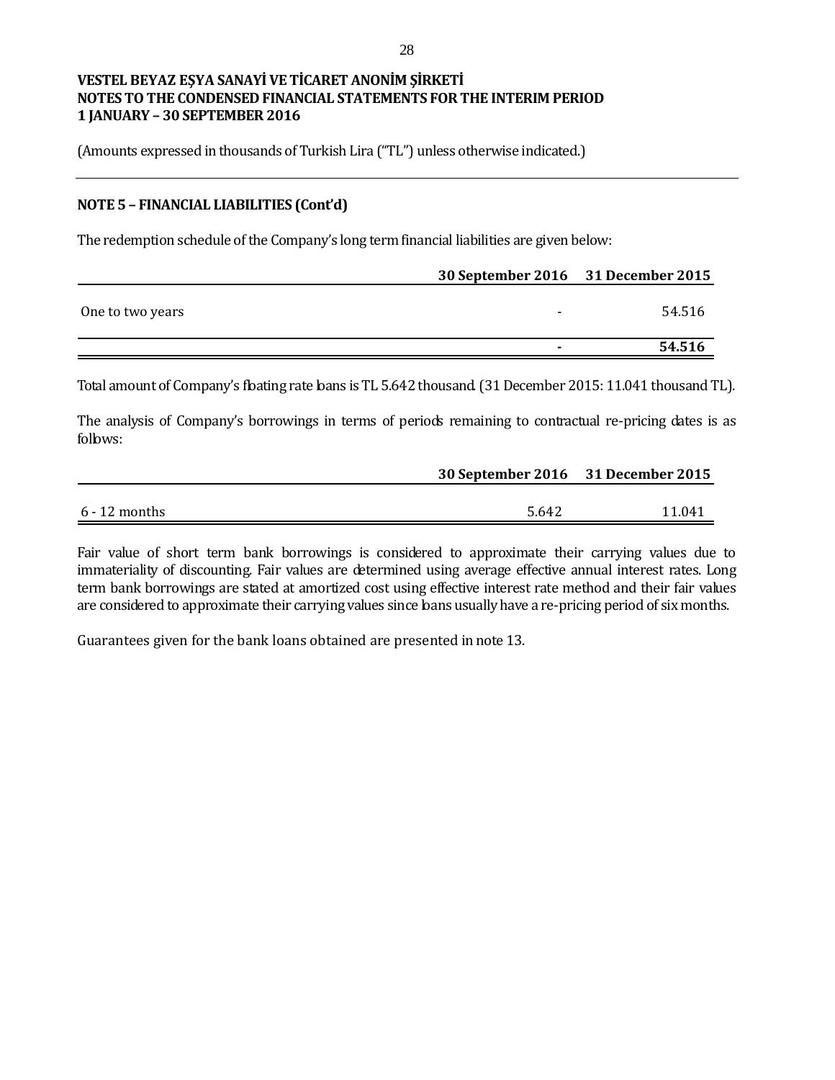(Amounts expressed in thousands of Turkish Lira ("TL") unless otherwise indicated.)

### **NOTE 5 – FINANCIAL LIABILITIES (Cont'd)**

The redemption schedule of the Company's long term financial liabilities are given below:

|                  | 30 September 2016 31 December 2015 |        |
|------------------|------------------------------------|--------|
| One to two years | $\blacksquare$                     | 54.516 |
|                  | $\sim$                             | 54.516 |

Total amount of Company's floating rate bans is TL 5.642 thousand (31 December 2015: 11.041 thousand TL).

The analysis of Company's borrowings in terms of periods remaining to contractual re-pricing dates is as follows:

|                 | 30 September 2016 31 December 2015 |        |
|-----------------|------------------------------------|--------|
|                 |                                    |        |
| $6 - 12$ months | 5.642                              | 11.041 |

Fair value of short term bank borrowings is considered to approximate their carrying values due to immateriality of discounting. Fair values are determined using average effective annual interest rates. Long term bank borrowings are stated at amortized cost using effective interest rate method and their fair values are considered to approximate their carrying values since loans usually have a re-pricing period of six months.

Guarantees given for the bank loans obtained are presented in note 13.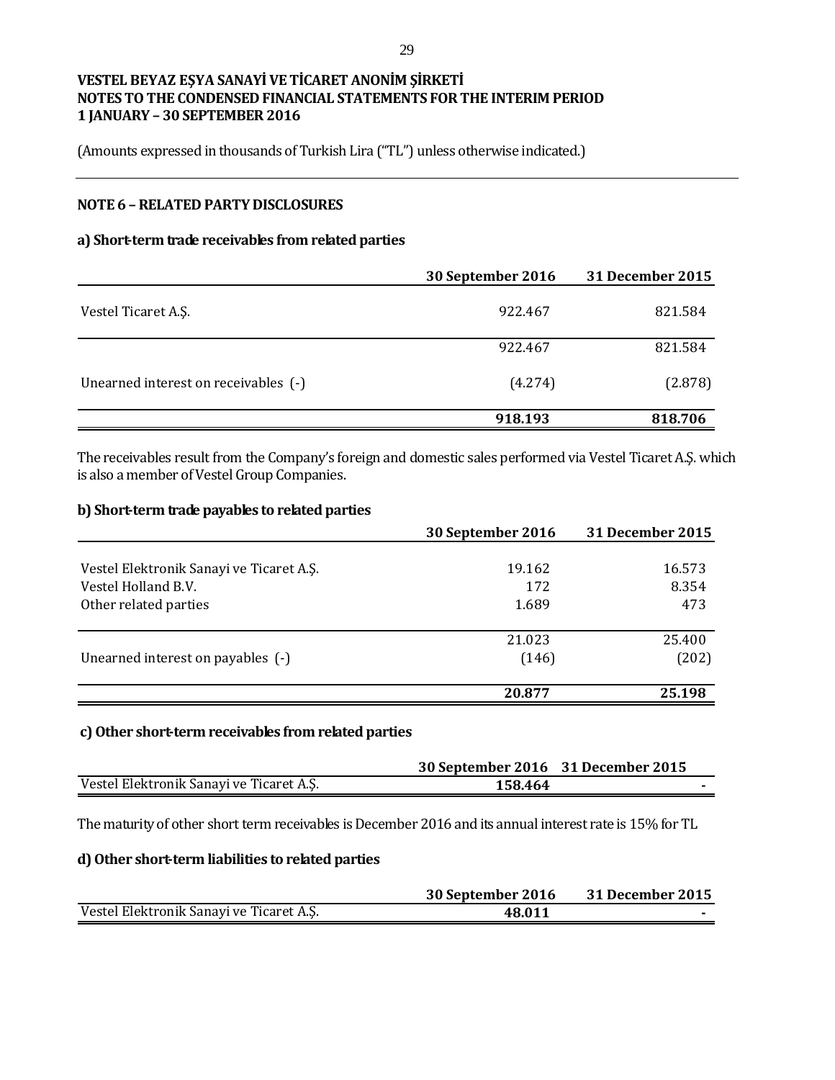(Amounts expressed in thousands of Turkish Lira ("TL") unless otherwise indicated.)

### **NOTE 6 –RELATED PARTY DISCLOSURES**

#### **a) Short-term trade receivables from related parties**

|                                      | 30 September 2016 | <b>31 December 2015</b> |
|--------------------------------------|-------------------|-------------------------|
| Vestel Ticaret A.S.                  | 922.467           | 821.584                 |
|                                      | 922.467           | 821.584                 |
| Unearned interest on receivables (-) | (4.274)           | (2.878)                 |
|                                      | 918.193           | 818.706                 |

The receivables result from the Company's foreign and domestic sales performed via Vestel Ticaret A.Ş. which is also a member of Vestel Group Companies.

### **b) Short-term trade payables to related parties**

|                                          | 30 September 2016 | <b>31 December 2015</b> |
|------------------------------------------|-------------------|-------------------------|
|                                          |                   |                         |
| Vestel Elektronik Sanayi ve Ticaret A.S. | 19.162            | 16.573                  |
| Vestel Holland B.V.                      | 172               | 8.354                   |
| Other related parties                    | 1.689             | 473                     |
|                                          | 21.023            | 25.400                  |
| Unearned interest on payables (-)        | (146)             | (202)                   |
|                                          | 20.877            | 25.198                  |

#### **c) Other short-term receivables from related parties**

|                                          | 30 September 2016 31 December 2015 |  |
|------------------------------------------|------------------------------------|--|
| Vestel Elektronik Sanavi ve Ticaret A.S. | 158.464                            |  |

The maturity of other short term receivables is December 2016 and its annual interest rate is 15% for TL

#### **d) Other short-term liabilities to related parties**

|                                          | 30 September 2016 | 31 December 2015 |
|------------------------------------------|-------------------|------------------|
| Vestel Elektronik Sanayi ve Ticaret A.S. | 48.011            |                  |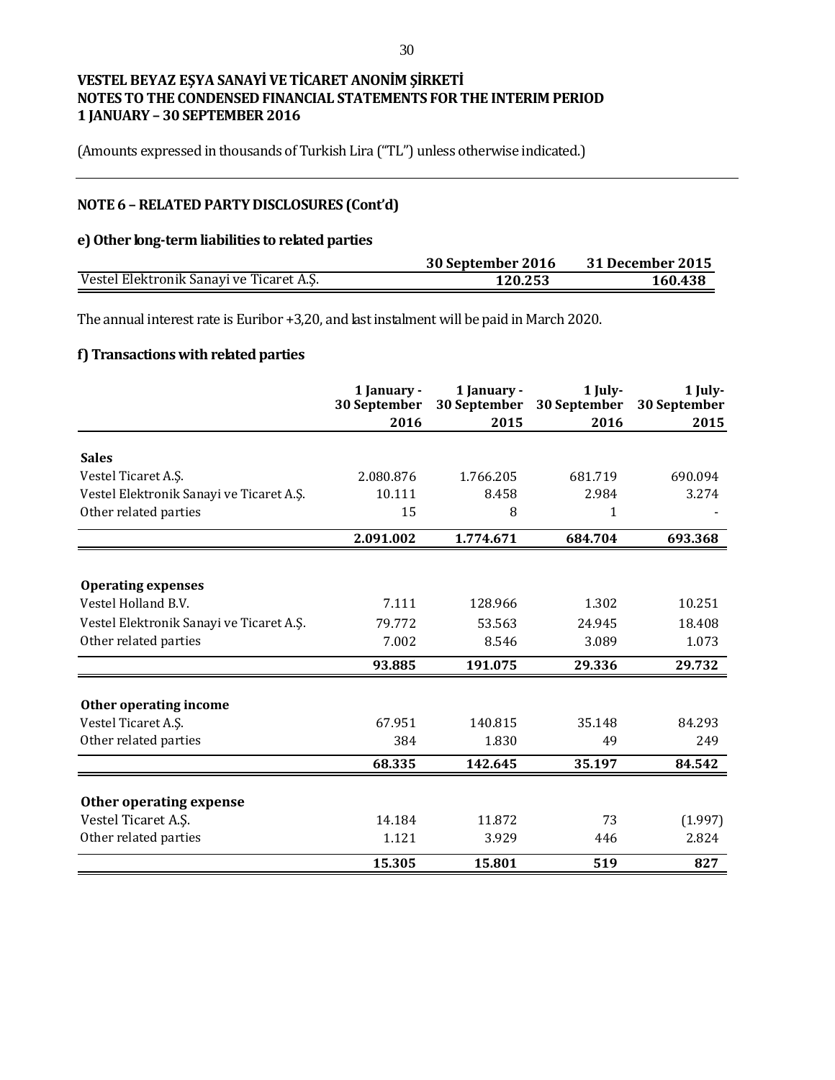(Amounts expressed in thousands of Turkish Lira ("TL") unless otherwise indicated.)

# **NOTE 6 –RELATED PARTY DISCLOSURES (Cont'd)**

#### **e) Other long-term liabilities to related parties**

|                                          | 30 September 2016 | 31 December 2015 |
|------------------------------------------|-------------------|------------------|
| Vestel Elektronik Sanayi ve Ticaret A.S. | 120.253           | 160.438          |

The annual interest rate is Euribor +3,20, and last instalment will be paid in March 2020.

### **f) Transactions with related parties**

|                                                | 1 January -<br>30 September | 1 January -<br>30 September | 1 July-<br>30 September | 1 July-<br>30 September |
|------------------------------------------------|-----------------------------|-----------------------------|-------------------------|-------------------------|
|                                                | 2016                        | 2015                        | 2016                    | 2015                    |
| <b>Sales</b>                                   |                             |                             |                         |                         |
| Vestel Ticaret A.Ş.                            | 2.080.876                   | 1.766.205                   | 681.719                 | 690.094                 |
| Vestel Elektronik Sanayi ve Ticaret A.Ş.       | 10.111                      | 8.458                       | 2.984                   | 3.274                   |
| Other related parties                          | 15                          | 8                           | 1                       |                         |
|                                                | 2.091.002                   | 1.774.671                   | 684.704                 | 693.368                 |
|                                                |                             |                             |                         |                         |
| <b>Operating expenses</b>                      |                             |                             |                         |                         |
| Vestel Holland B.V.                            | 7.111                       | 128.966                     | 1.302                   | 10.251                  |
| Vestel Elektronik Sanayi ve Ticaret A.Ş.       | 79.772                      | 53.563                      | 24.945                  | 18.408                  |
| Other related parties                          | 7.002                       | 8.546                       | 3.089                   | 1.073                   |
|                                                | 93.885                      | 191.075                     | 29.336                  | 29.732                  |
| Other operating income                         |                             |                             |                         |                         |
| Vestel Ticaret A.Ş.                            | 67.951                      | 140.815                     | 35.148                  | 84.293                  |
| Other related parties                          | 384                         | 1.830                       | 49                      | 249                     |
|                                                | 68.335                      | 142.645                     | 35.197                  | 84.542                  |
|                                                |                             |                             |                         |                         |
| Other operating expense<br>Vestel Ticaret A.S. | 14.184                      | 11.872                      | 73                      | (1.997)                 |
| Other related parties                          | 1.121                       | 3.929                       | 446                     | 2.824                   |
|                                                |                             |                             |                         |                         |
|                                                | 15.305                      | 15.801                      | 519                     | 827                     |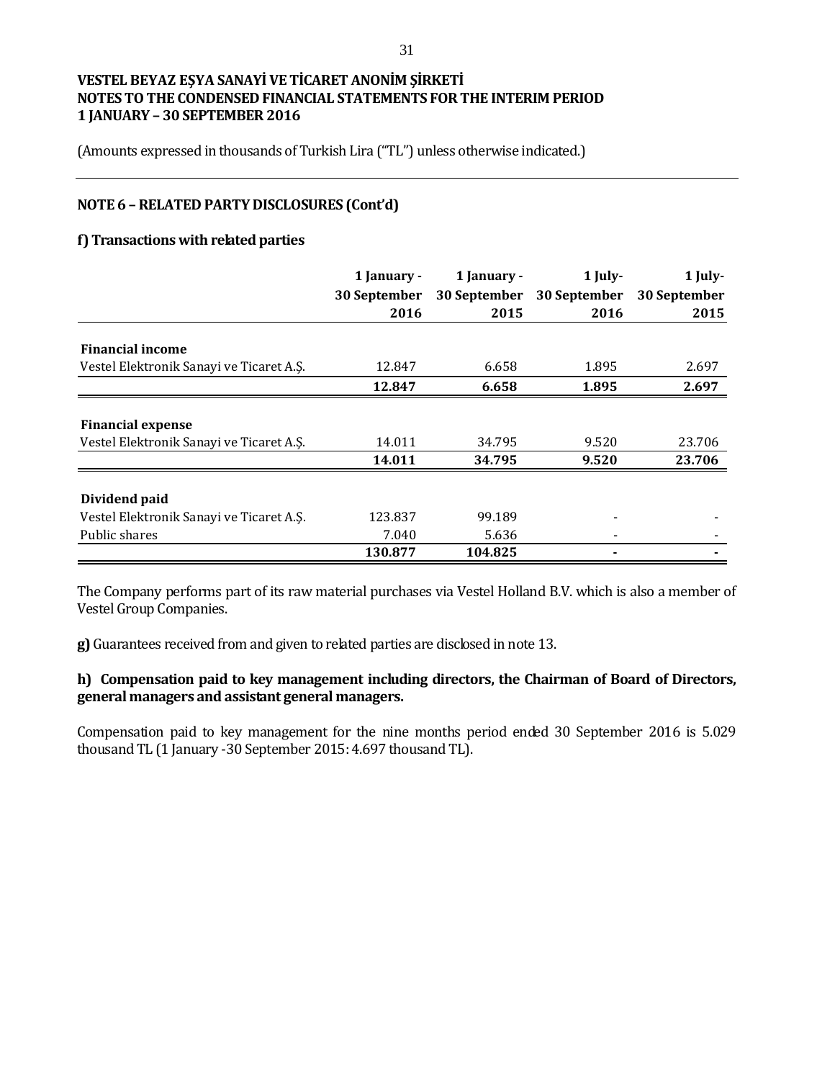(Amounts expressed in thousands of Turkish Lira ("TL") unless otherwise indicated.)

#### **NOTE 6 –RELATED PARTY DISCLOSURES (Cont'd)**

### **f) Transactions with related parties**

|                                          | 1 January -         | 1 January -  | 1 July-      | 1 July-      |
|------------------------------------------|---------------------|--------------|--------------|--------------|
|                                          | <b>30 September</b> | 30 September | 30 September | 30 September |
|                                          | 2016                | 2015         | 2016         | 2015         |
|                                          |                     |              |              |              |
| <b>Financial income</b>                  |                     |              |              |              |
| Vestel Elektronik Sanayi ve Ticaret A.Ş. | 12.847              | 6.658        | 1.895        | 2.697        |
|                                          | 12.847              | 6.658        | 1.895        | 2.697        |
| <b>Financial expense</b>                 |                     |              |              |              |
| Vestel Elektronik Sanayi ve Ticaret A.Ş. | 14.011              | 34.795       | 9.520        | 23.706       |
|                                          | 14.011              | 34.795       | 9.520        | 23.706       |
| Dividend paid                            |                     |              |              |              |
| Vestel Elektronik Sanayi ve Ticaret A.Ş. | 123.837             | 99.189       |              |              |
| Public shares                            | 7.040               | 5.636        |              |              |
|                                          | 130.877             | 104.825      |              |              |

The Company performs part of its raw material purchases via Vestel Holland B.V. which is also a member of Vestel Group Companies.

**g)** Guarantees received from and given to related parties are disclosed in note 13.

### **h) Compensation paid to key management including directors, the Chairman of Board of Directors, general managers and assistant general managers.**

Compensation paid to key management for the nine months period ended 30 September 2016 is 5.029 thousand TL (1 January -30 September 2015: 4.697 thousand TL).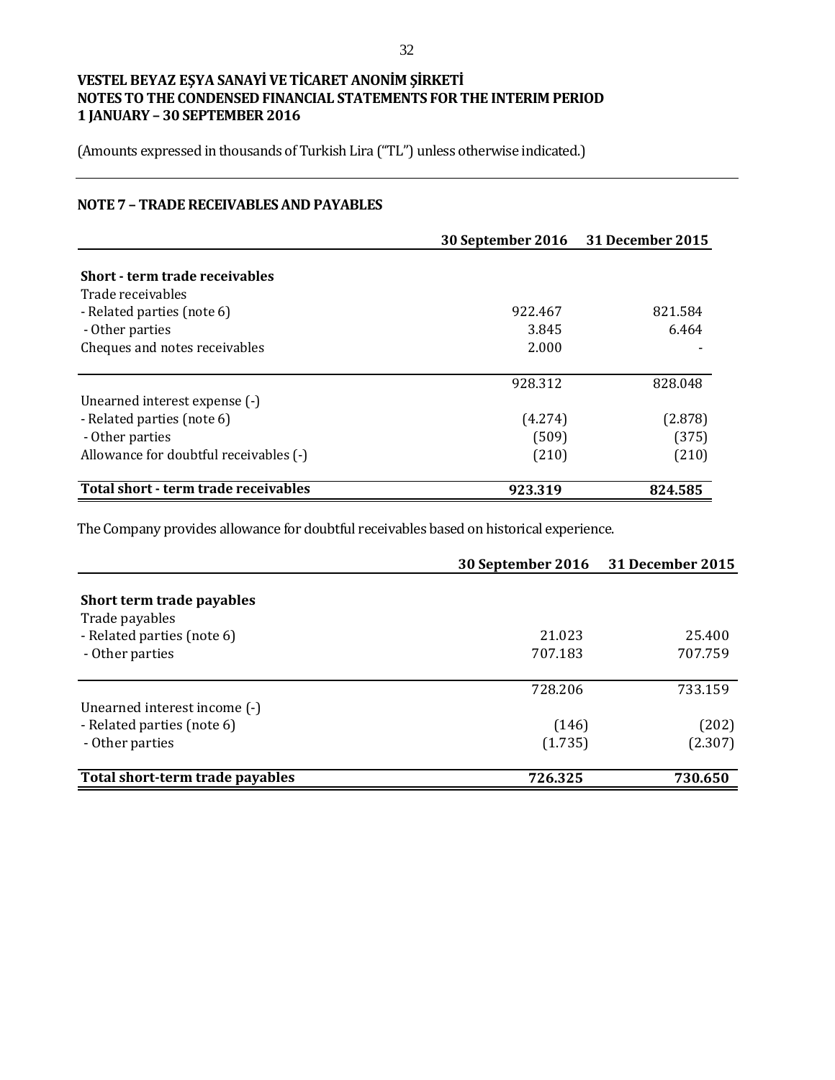(Amounts expressed in thousands of Turkish Lira ("TL") unless otherwise indicated.)

# **NOTE 7 – TRADE RECEIVABLES AND PAYABLES**

|                                        | 30 September 2016 31 December 2015 |         |
|----------------------------------------|------------------------------------|---------|
|                                        |                                    |         |
| Short - term trade receivables         |                                    |         |
| Trade receivables                      |                                    |         |
| - Related parties (note 6)             | 922.467                            | 821.584 |
| - Other parties                        | 3.845                              | 6.464   |
| Cheques and notes receivables          | 2.000                              |         |
|                                        |                                    |         |
|                                        | 928.312                            | 828.048 |
| Unearned interest expense (-)          |                                    |         |
| - Related parties (note 6)             | (4.274)                            | (2.878) |
| - Other parties                        | (509)                              | (375)   |
| Allowance for doubtful receivables (-) | (210)                              | (210)   |
| Total short - term trade receivables   | 923.319                            | 824.585 |

The Company provides allowance for doubtful receivables based on historical experience.

|                                 | 30 September 2016 | 31 December 2015 |
|---------------------------------|-------------------|------------------|
|                                 |                   |                  |
| Short term trade payables       |                   |                  |
| Trade payables                  |                   |                  |
| - Related parties (note 6)      | 21.023            | 25.400           |
| - Other parties                 | 707.183           | 707.759          |
|                                 |                   |                  |
|                                 | 728.206           | 733.159          |
| Unearned interest income (-)    |                   |                  |
| - Related parties (note 6)      | (146)             | (202)            |
| - Other parties                 | (1.735)           | (2.307)          |
|                                 |                   |                  |
| Total short-term trade payables | 726.325           | 730.650          |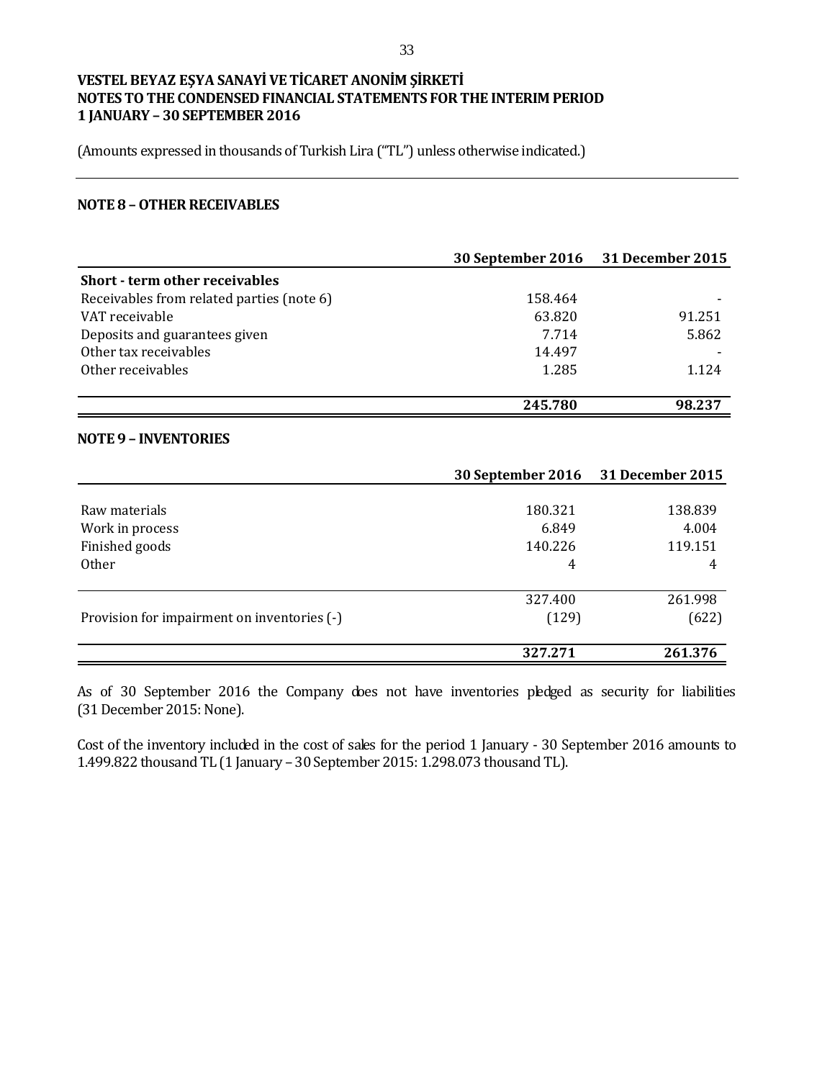(Amounts expressed in thousands of Turkish Lira ("TL") unless otherwise indicated.)

#### **NOTE 8 –OTHER RECEIVABLES**

|                                           | 30 September 2016 31 December 2015 |        |
|-------------------------------------------|------------------------------------|--------|
| <b>Short - term other receivables</b>     |                                    |        |
| Receivables from related parties (note 6) | 158.464                            |        |
| VAT receivable                            | 63.820                             | 91.251 |
| Deposits and guarantees given             | 7.714                              | 5.862  |
| Other tax receivables                     | 14.497                             |        |
| Other receivables                         | 1.285                              | 1.124  |
|                                           | 245.780                            | 98.237 |
|                                           |                                    |        |

#### **NOTE 9 – INVENTORIES**

|                                             | 30 September 2016 31 December 2015 |         |
|---------------------------------------------|------------------------------------|---------|
|                                             |                                    |         |
| Raw materials                               | 180.321                            | 138.839 |
| Work in process                             | 6.849                              | 4.004   |
| Finished goods                              | 140.226                            | 119.151 |
| <b>Other</b>                                | 4                                  | 4       |
|                                             | 327.400                            | 261.998 |
| Provision for impairment on inventories (-) | (129)                              | (622)   |
|                                             | 327.271                            | 261.376 |
|                                             |                                    |         |

As of 30 September 2016 the Company does not have inventories pledged as security for liabilities (31 December 2015: None).

Cost of the inventory included in the cost of sales for the period 1 January - 30 September 2016 amounts to 1.499.822 thousand TL (1 January – 30 September 2015: 1.298.073 thousand TL).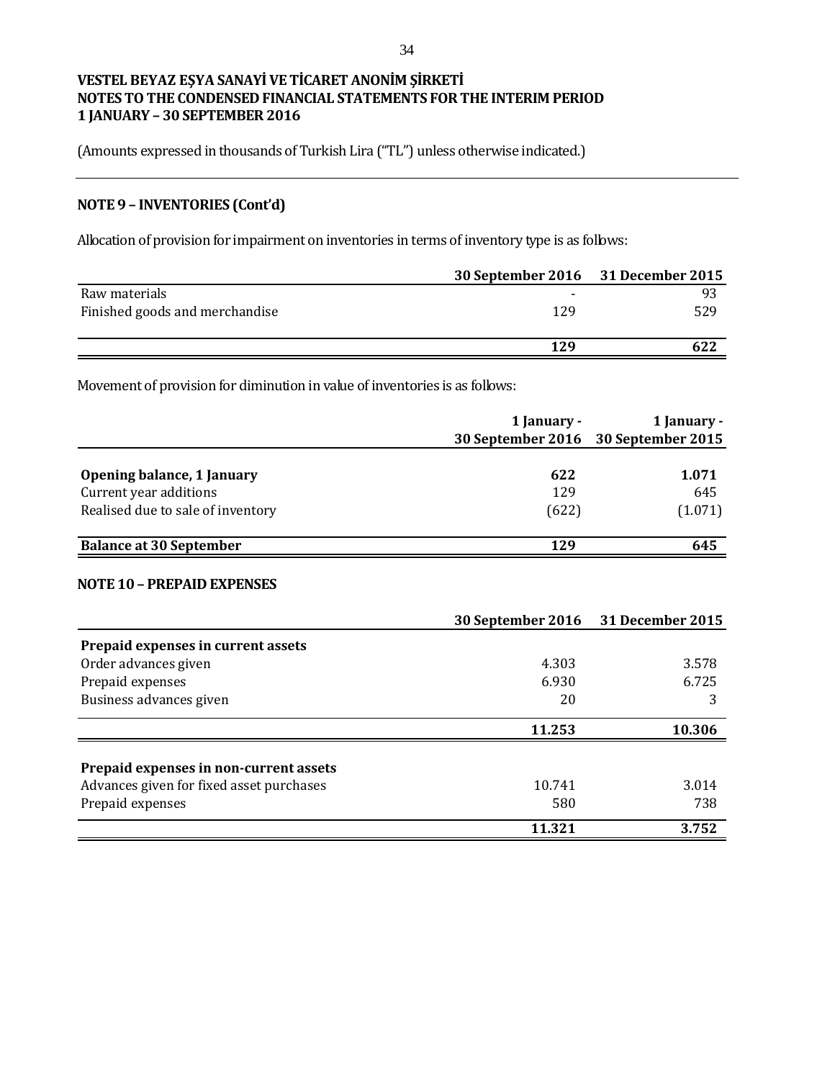(Amounts expressed in thousands of Turkish Lira ("TL") unless otherwise indicated.)

# **NOTE 9 – INVENTORIES (Cont'd)**

Allocation of provision for impairment on inventories in terms of inventory type is as follows:

|                                | 30 September 2016 31 December 2015 |     |
|--------------------------------|------------------------------------|-----|
| Raw materials                  | $\overline{\phantom{0}}$           | 93  |
| Finished goods and merchandise | 129                                | 529 |
|                                |                                    |     |
|                                | 129                                |     |

Movement of provision for diminution in value of inventories is as follows:

|                                   | 1 January - | 1 January -<br>30 September 2016 30 September 2015 |
|-----------------------------------|-------------|----------------------------------------------------|
| Opening balance, 1 January        | 622         | 1.071                                              |
| Current year additions            | 129         | 645                                                |
| Realised due to sale of inventory | (622)       | (1.071)                                            |
| <b>Balance at 30 September</b>    | 129         | 645                                                |

#### **NOTE 10 – PREPAID EXPENSES**

|                                          | 30 September 2016 31 December 2015 |        |
|------------------------------------------|------------------------------------|--------|
| Prepaid expenses in current assets       |                                    |        |
| Order advances given                     | 4.303                              | 3.578  |
| Prepaid expenses                         | 6.930                              | 6.725  |
| Business advances given                  | 20                                 | 3      |
|                                          | 11.253                             | 10.306 |
| Prepaid expenses in non-current assets   |                                    |        |
| Advances given for fixed asset purchases | 10.741                             | 3.014  |
| Prepaid expenses                         | 580                                | 738    |
|                                          | 11.321                             | 3.752  |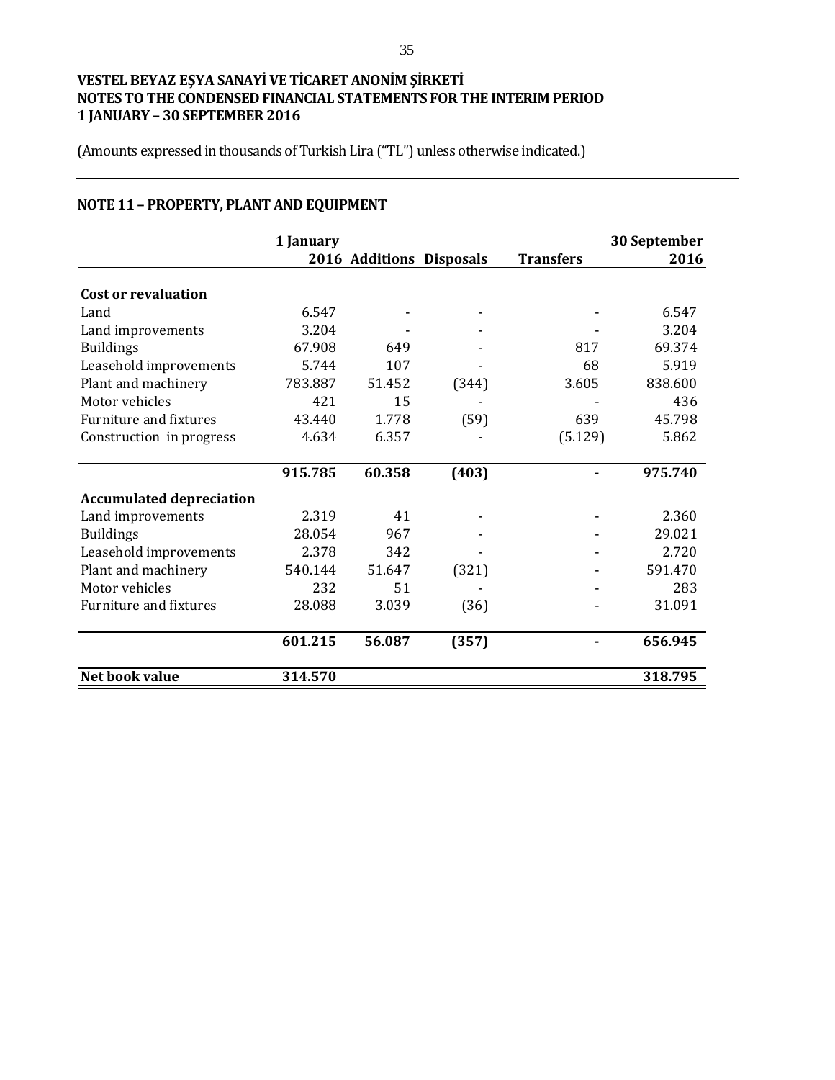(Amounts expressed in thousands of Turkish Lira ("TL") unless otherwise indicated.)

# **NOTE 11 – PROPERTY, PLANT AND EQUIPMENT**

|                                 | 1 January |                          |       |                  | 30 September |
|---------------------------------|-----------|--------------------------|-------|------------------|--------------|
|                                 |           | 2016 Additions Disposals |       | <b>Transfers</b> | 2016         |
| <b>Cost or revaluation</b>      |           |                          |       |                  |              |
| Land                            | 6.547     |                          |       |                  | 6.547        |
| Land improvements               | 3.204     |                          |       |                  | 3.204        |
| <b>Buildings</b>                | 67.908    | 649                      |       | 817              | 69.374       |
| Leasehold improvements          | 5.744     | 107                      |       | 68               | 5.919        |
| Plant and machinery             | 783.887   | 51.452                   | (344) | 3.605            | 838.600      |
| Motor vehicles                  | 421       | 15                       |       |                  | 436          |
| Furniture and fixtures          | 43.440    | 1.778                    | (59)  | 639              | 45.798       |
| Construction in progress        | 4.634     | 6.357                    |       | (5.129)          | 5.862        |
|                                 | 915.785   | 60.358                   | (403) |                  | 975.740      |
| <b>Accumulated depreciation</b> |           |                          |       |                  |              |
| Land improvements               | 2.319     | 41                       |       |                  | 2.360        |
| <b>Buildings</b>                | 28.054    | 967                      |       |                  | 29.021       |
| Leasehold improvements          | 2.378     | 342                      |       |                  | 2.720        |
| Plant and machinery             | 540.144   | 51.647                   | (321) |                  | 591.470      |
| Motor vehicles                  | 232       | 51                       |       |                  | 283          |
| Furniture and fixtures          | 28.088    | 3.039                    | (36)  |                  | 31.091       |
|                                 | 601.215   | 56.087                   | (357) |                  | 656.945      |
| Net book value                  | 314.570   |                          |       |                  | 318.795      |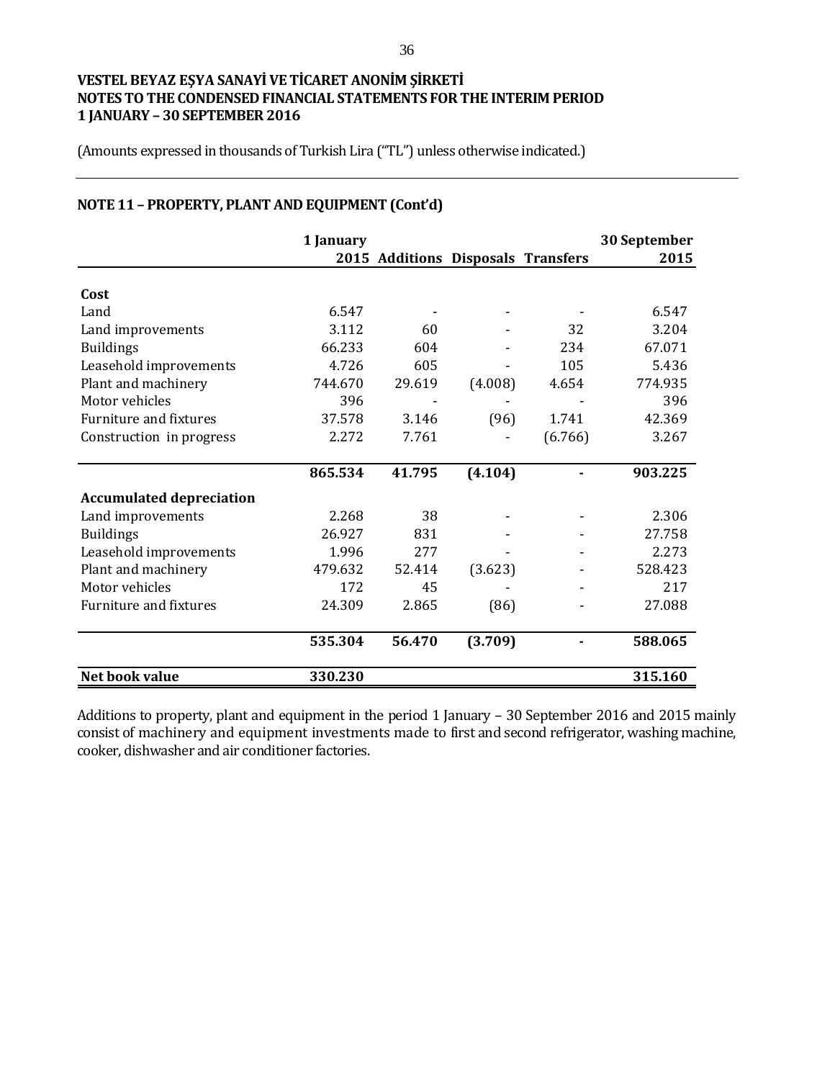(Amounts expressed in thousands of Turkish Lira ("TL") unless otherwise indicated.)

| NOTE 11 - PROPERTY, PLANT AND EQUIPMENT (Cont'd) |  |  |
|--------------------------------------------------|--|--|
|                                                  |  |  |

|                                 | 1 January |                                    |         |         | 30 September |
|---------------------------------|-----------|------------------------------------|---------|---------|--------------|
|                                 |           | 2015 Additions Disposals Transfers |         |         | 2015         |
| Cost                            |           |                                    |         |         |              |
| Land                            | 6.547     |                                    |         |         | 6.547        |
| Land improvements               | 3.112     | 60                                 |         | 32      | 3.204        |
| <b>Buildings</b>                | 66.233    | 604                                |         | 234     | 67.071       |
| Leasehold improvements          | 4.726     | 605                                |         | 105     | 5.436        |
| Plant and machinery             | 744.670   | 29.619                             | (4.008) | 4.654   | 774.935      |
| Motor vehicles                  | 396       |                                    |         |         | 396          |
| <b>Furniture and fixtures</b>   | 37.578    | 3.146                              | (96)    | 1.741   | 42.369       |
| Construction in progress        | 2.272     | 7.761                              |         | (6.766) | 3.267        |
|                                 | 865.534   | 41.795                             | (4.104) |         | 903.225      |
| <b>Accumulated depreciation</b> |           |                                    |         |         |              |
| Land improvements               | 2.268     | 38                                 |         |         | 2.306        |
| <b>Buildings</b>                | 26.927    | 831                                |         |         | 27.758       |
| Leasehold improvements          | 1.996     | 277                                |         |         | 2.273        |
| Plant and machinery             | 479.632   | 52.414                             | (3.623) |         | 528.423      |
| Motor vehicles                  | 172       | 45                                 |         |         | 217          |
| <b>Furniture and fixtures</b>   | 24.309    | 2.865                              | (86)    |         | 27.088       |
|                                 | 535.304   | 56.470                             | (3.709) |         | 588.065      |
| Net book value                  | 330.230   |                                    |         |         | 315.160      |

Additions to property, plant and equipment in the period 1 January – 30 September 2016 and 2015 mainly consist of machinery and equipment investments made to first and second refrigerator, washing machine, cooker, dishwasher and air conditioner factories.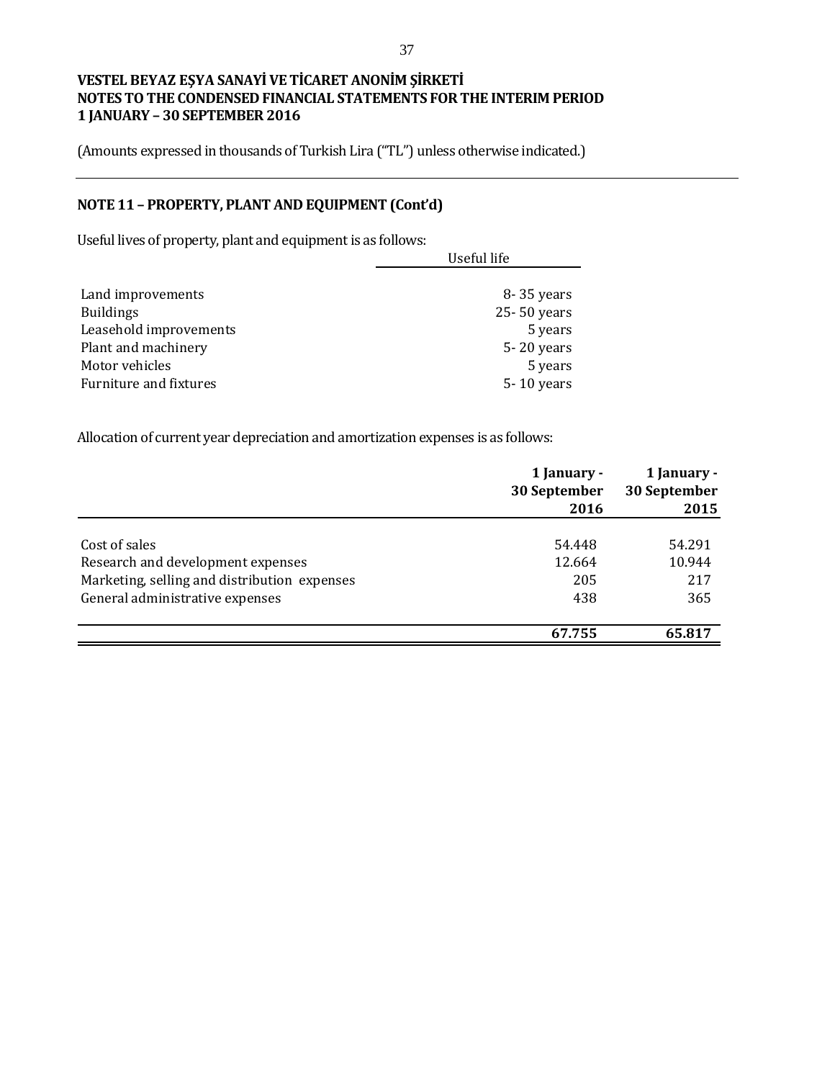(Amounts expressed in thousands of Turkish Lira ("TL") unless otherwise indicated.)

# **NOTE 11 – PROPERTY, PLANT AND EQUIPMENT (Cont'd)**

Useful lives of property, plant and equipment is as follows:

|                        | Useful life |  |
|------------------------|-------------|--|
|                        |             |  |
| Land improvements      | 8-35 years  |  |
| <b>Buildings</b>       | 25-50 years |  |
| Leasehold improvements | 5 years     |  |
| Plant and machinery    | 5-20 years  |  |
| Motor vehicles         | 5 years     |  |
| Furniture and fixtures | 5-10 years  |  |
|                        |             |  |

Allocation of current year depreciation and amortization expenses is as follows:

|                                              | 1 January -<br>30 September<br>2016 | 1 January -<br>30 September<br>2015 |
|----------------------------------------------|-------------------------------------|-------------------------------------|
|                                              |                                     |                                     |
| Cost of sales                                | 54.448                              | 54.291                              |
| Research and development expenses            | 12.664                              | 10.944                              |
| Marketing, selling and distribution expenses | 205                                 | 217                                 |
| General administrative expenses              | 438                                 | 365                                 |
|                                              | 67.755                              | 65.817                              |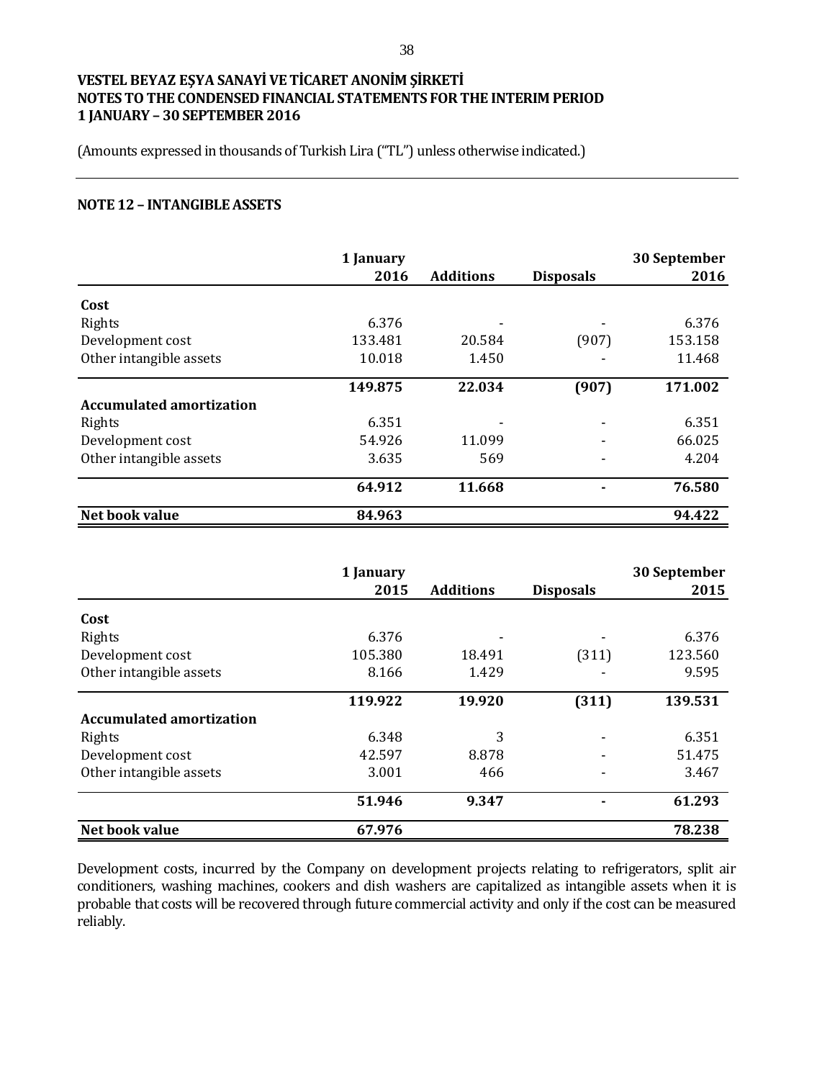(Amounts expressed in thousands of Turkish Lira ("TL") unless otherwise indicated.)

#### **NOTE 12 – INTANGIBLE ASSETS**

|                                 | 1 January |                  |                  | 30 September |
|---------------------------------|-----------|------------------|------------------|--------------|
|                                 | 2016      | <b>Additions</b> | <b>Disposals</b> | 2016         |
| Cost                            |           |                  |                  |              |
| Rights                          | 6.376     |                  |                  | 6.376        |
| Development cost                | 133.481   | 20.584           | (907)            | 153.158      |
| Other intangible assets         | 10.018    | 1.450            |                  | 11.468       |
|                                 | 149.875   | 22.034           | (907)            | 171.002      |
| <b>Accumulated amortization</b> |           |                  |                  |              |
| Rights                          | 6.351     |                  |                  | 6.351        |
| Development cost                | 54.926    | 11.099           |                  | 66.025       |
| Other intangible assets         | 3.635     | 569              |                  | 4.204        |
|                                 | 64.912    | 11.668           | $\blacksquare$   | 76.580       |
| Net book value                  | 84.963    |                  |                  | 94.422       |

|                                 | 1 January |                  |                  | 30 September |
|---------------------------------|-----------|------------------|------------------|--------------|
|                                 | 2015      | <b>Additions</b> | <b>Disposals</b> | 2015         |
| Cost                            |           |                  |                  |              |
| Rights                          | 6.376     |                  |                  | 6.376        |
| Development cost                | 105.380   | 18.491           | (311)            | 123.560      |
| Other intangible assets         | 8.166     | 1.429            |                  | 9.595        |
|                                 | 119.922   | 19.920           | (311)            | 139.531      |
| <b>Accumulated amortization</b> |           |                  |                  |              |
| Rights                          | 6.348     | 3                |                  | 6.351        |
| Development cost                | 42.597    | 8.878            |                  | 51.475       |
| Other intangible assets         | 3.001     | 466              |                  | 3.467        |
|                                 | 51.946    | 9.347            |                  | 61.293       |
| Net book value                  | 67.976    |                  |                  | 78.238       |

Development costs, incurred by the Company on development projects relating to refrigerators, split air conditioners, washing machines, cookers and dish washers are capitalized as intangible assets when it is probable that costs will be recovered through future commercial activity and only if the cost can be measured reliably.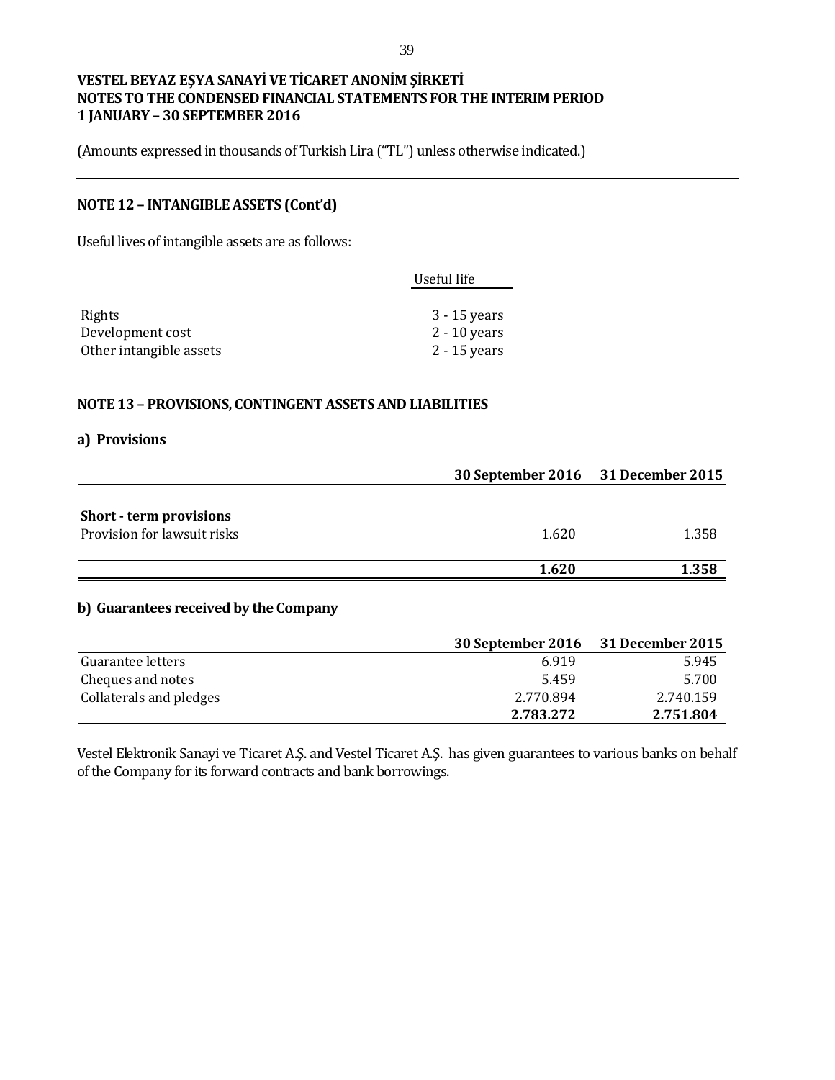(Amounts expressed in thousands of Turkish Lira ("TL") unless otherwise indicated.)

# **NOTE 12 – INTANGIBLE ASSETS (Cont'd)**

Useful lives of intangible assets are as follows:

|                         | Useful life    |  |
|-------------------------|----------------|--|
|                         |                |  |
| Rights                  | 3 - 15 years   |  |
| Development cost        | $2 - 10$ years |  |
| Other intangible assets | $2 - 15$ years |  |

#### **NOTE 13 – PROVISIONS, CONTINGENT ASSETS AND LIABILITIES**

#### **a) Provisions**

|                                | 30 September 2016 31 December 2015 |       |
|--------------------------------|------------------------------------|-------|
|                                |                                    |       |
| <b>Short - term provisions</b> |                                    |       |
| Provision for lawsuit risks    | 1.620                              | 1.358 |
|                                |                                    |       |
|                                | 1.620                              | 1.358 |
|                                |                                    |       |

### **b) Guarantees received by the Company**

|                         | 30 September 2016 31 December 2015 |           |
|-------------------------|------------------------------------|-----------|
| Guarantee letters       | 6.919                              | 5.945     |
| Cheques and notes       | 5.459                              | 5.700     |
| Collaterals and pledges | 2.770.894                          | 2.740.159 |
|                         | 2.783.272                          | 2.751.804 |

Vestel Elektronik Sanayi ve Ticaret A.Ş. and Vestel Ticaret A.Ş. has given guarantees to various banks on behalf of the Company for its forward contracts and bank borrowings.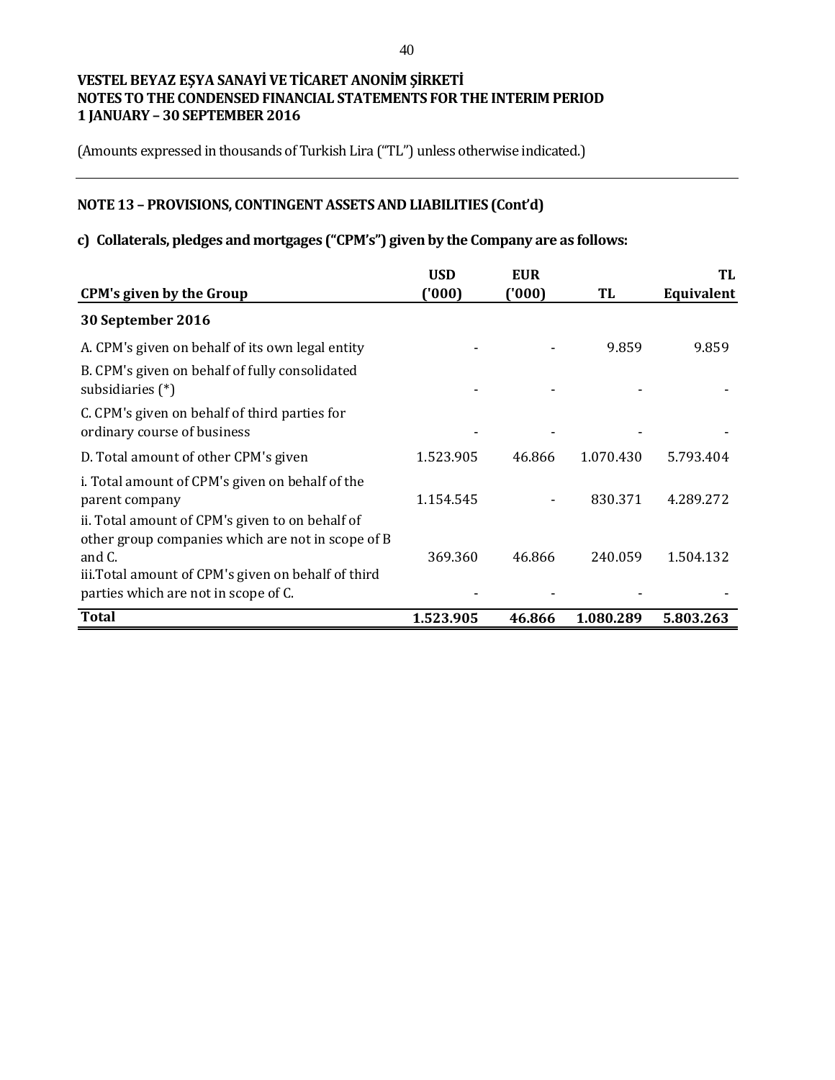(Amounts expressed in thousands of Turkish Lira ("TL") unless otherwise indicated.)

# **NOTE 13 – PROVISIONS, CONTINGENT ASSETS AND LIABILITIES (Cont'd)**

# **c) Collaterals, pledges and mortgages ("CPM's") given by the Company are as follows:**

|                                                                                                                                                            | <b>USD</b> | <b>EUR</b> |           | TL         |
|------------------------------------------------------------------------------------------------------------------------------------------------------------|------------|------------|-----------|------------|
| <b>CPM's given by the Group</b>                                                                                                                            | ('000)     | ('000)     | TL        | Equivalent |
| 30 September 2016                                                                                                                                          |            |            |           |            |
| A. CPM's given on behalf of its own legal entity                                                                                                           |            |            | 9.859     | 9.859      |
| B. CPM's given on behalf of fully consolidated<br>subsidiaries $(*)$                                                                                       |            |            |           |            |
| C. CPM's given on behalf of third parties for<br>ordinary course of business                                                                               |            |            |           |            |
| D. Total amount of other CPM's given                                                                                                                       | 1.523.905  | 46.866     | 1.070.430 | 5.793.404  |
| i. Total amount of CPM's given on behalf of the<br>parent company<br>ii. Total amount of CPM's given to on behalf of                                       | 1.154.545  |            | 830.371   | 4.289.272  |
| other group companies which are not in scope of B<br>and C.<br>iii. Total amount of CPM's given on behalf of third<br>parties which are not in scope of C. | 369.360    | 46.866     | 240.059   | 1.504.132  |
| <b>Total</b>                                                                                                                                               | 1.523.905  | 46.866     | 1.080.289 | 5.803.263  |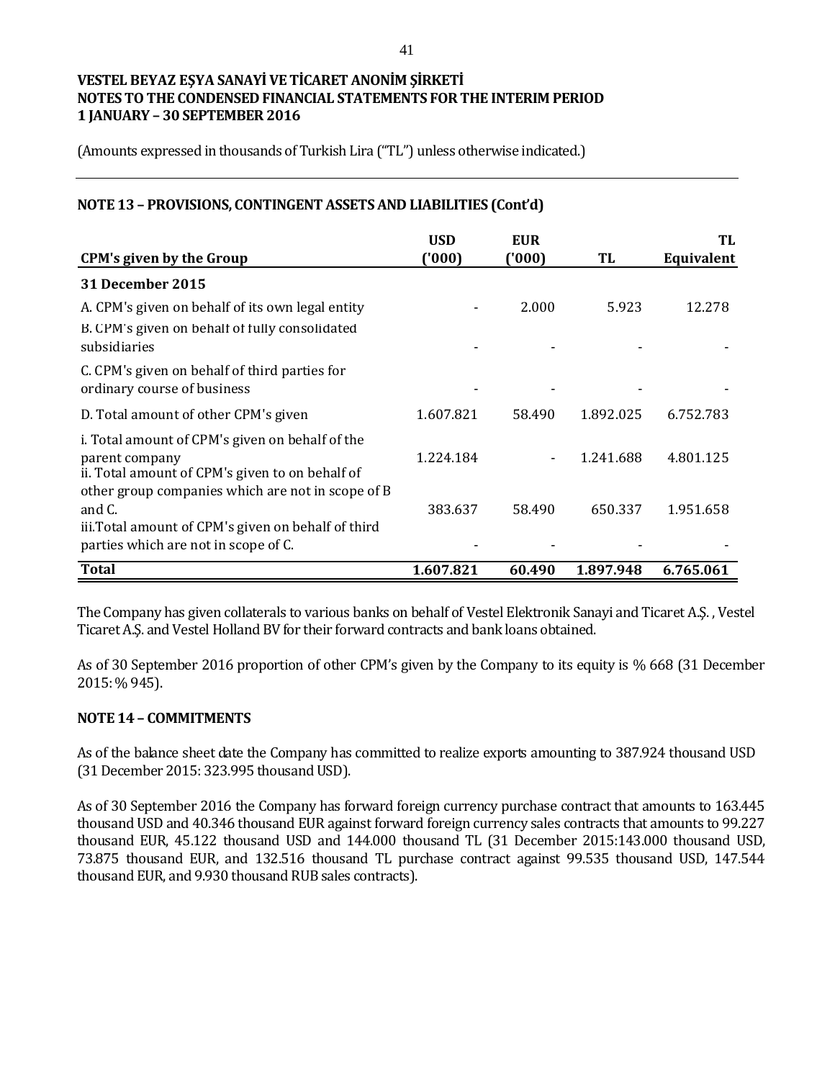(Amounts expressed in thousands of Turkish Lira ("TL") unless otherwise indicated.)

#### **NOTE 13 – PROVISIONS, CONTINGENT ASSETS AND LIABILITIES (Cont'd)**

|                                                                                                                                                            | <b>USD</b> | <b>EUR</b> |           | TL         |
|------------------------------------------------------------------------------------------------------------------------------------------------------------|------------|------------|-----------|------------|
| <b>CPM's given by the Group</b>                                                                                                                            | ('000)     | ('000)     | TL        | Equivalent |
| <b>31 December 2015</b>                                                                                                                                    |            |            |           |            |
| A. CPM's given on behalf of its own legal entity                                                                                                           |            | 2.000      | 5.923     | 12.278     |
| B. CPM's given on behalf of fully consolidated<br>subsidiaries                                                                                             |            |            |           |            |
| C. CPM's given on behalf of third parties for<br>ordinary course of business                                                                               |            |            |           |            |
| D. Total amount of other CPM's given                                                                                                                       | 1.607.821  | 58.490     | 1.892.025 | 6.752.783  |
| i. Total amount of CPM's given on behalf of the<br>parent company<br>ii. Total amount of CPM's given to on behalf of                                       | 1.224.184  |            | 1.241.688 | 4.801.125  |
| other group companies which are not in scope of B<br>and C.<br>iii. Total amount of CPM's given on behalf of third<br>parties which are not in scope of C. | 383.637    | 58.490     | 650.337   | 1.951.658  |
| <b>Total</b>                                                                                                                                               | 1.607.821  | 60.490     | 1.897.948 | 6.765.061  |

The Company has given collaterals to various banks on behalf of Vestel Elektronik Sanayi and Ticaret A.Ş. , Vestel Ticaret A.Ş. and Vestel Holland BV for their forward contracts and bank loans obtained.

As of 30 September 2016 proportion of other CPM's given by the Company to its equity is % 668 (31 December 2015: % 945).

# **NOTE 14 – COMMITMENTS**

As of the balance sheet date the Company has committed to realize exports amounting to 387.924 thousand USD (31 December 2015: 323.995 thousand USD).

As of 30 September 2016 the Company has forward foreign currency purchase contract that amounts to 163.445 thousand USD and 40.346 thousand EUR against forward foreign currency sales contracts that amounts to 99.227 thousand EUR, 45.122 thousand USD and 144.000 thousand TL (31 December 2015:143.000 thousand USD, 73.875 thousand EUR, and 132.516 thousand TL purchase contract against 99.535 thousand USD, 147.544 thousand EUR, and 9.930 thousand RUB sales contracts).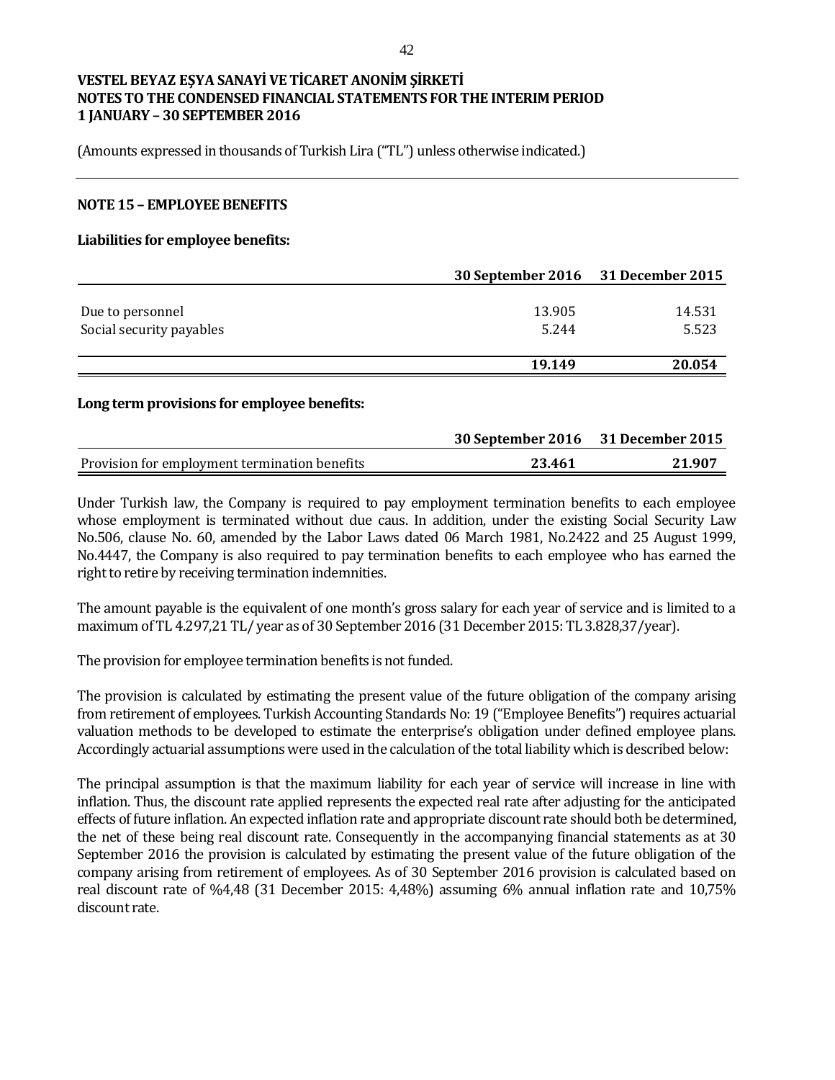(Amounts expressed in thousands of Turkish Lira ("TL") unless otherwise indicated.)

#### **NOTE 15 – EMPLOYEE BENEFITS**

#### **Liabilities for employee benefits:**

|                          | 30 September 2016 31 December 2015 |        |
|--------------------------|------------------------------------|--------|
|                          |                                    |        |
| Due to personnel         | 13.905                             | 14.531 |
| Social security payables | 5.244                              | 5.523  |
|                          |                                    |        |
|                          | 19.149                             | 20.054 |

#### **Long term provisions for employee benefits:**

|                                               | 30 September 2016 31 December 2015 |        |
|-----------------------------------------------|------------------------------------|--------|
| Provision for employment termination benefits | 23.461                             | 21.907 |

Under Turkish law, the Company is required to pay employment termination benefits to each employee whose employment is terminated without due caus. In addition, under the existing Social Security Law No.506, clause No. 60, amended by the Labor Laws dated 06 March 1981, No.2422 and 25 August 1999, No.4447, the Company is also required to pay termination benefits to each employee who has earned the right to retire by receiving termination indemnities.

The amount payable is the equivalent of one month's gross salary for each year of service and is limited to a maximum of TL 4.297,21 TL/ year as of 30 September 2016 (31 December 2015: TL 3.828,37/year).

The provision for employee termination benefits is not funded.

The provision is calculated by estimating the present value of the future obligation of the company arising from retirement of employees. Turkish Accounting Standards No: 19 ("Employee Benefits") requires actuarial valuation methods to be developed to estimate the enterprise's obligation under defined employee plans. Accordingly actuarial assumptions were used in the calculation of the total liability which is described below:

The principal assumption is that the maximum liability for each year of service will increase in line with inflation. Thus, the discount rate applied represents the expected real rate after adjusting for the anticipated effects of future inflation. An expected inflation rate and appropriate discount rate should both be determined, the net of these being real discount rate. Consequently in the accompanying financial statements as at 30 September 2016 the provision is calculated by estimating the present value of the future obligation of the company arising from retirement of employees. As of 30 September 2016 provision is calculated based on real discount rate of %4,48 (31 December 2015: 4,48%) assuming 6% annual inflation rate and 10,75% discount rate.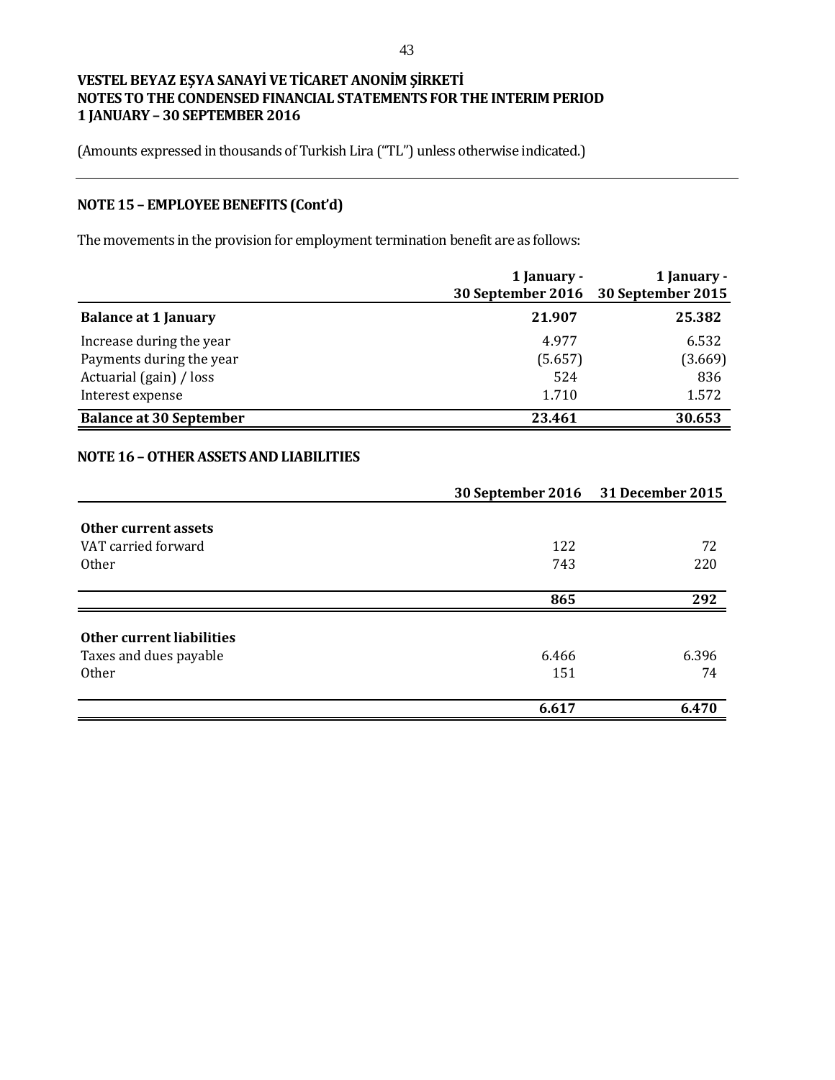(Amounts expressed in thousands of Turkish Lira ("TL") unless otherwise indicated.)

# **NOTE 15 – EMPLOYEE BENEFITS (Cont'd)**

The movements in the provision for employment termination benefit are as follows:

|                                | 1 January - | 1 January -<br>30 September 2016 30 September 2015 |
|--------------------------------|-------------|----------------------------------------------------|
| <b>Balance at 1 January</b>    | 21.907      | 25.382                                             |
| Increase during the year       | 4.977       | 6.532                                              |
| Payments during the year       | (5.657)     | (3.669)                                            |
| Actuarial (gain) / loss        | 524         | 836                                                |
| Interest expense               | 1.710       | 1.572                                              |
| <b>Balance at 30 September</b> | 23.461      | 30.653                                             |

#### **NOTE 16 –OTHER ASSETS AND LIABILITIES**

|                           |       | 30 September 2016 31 December 2015 |
|---------------------------|-------|------------------------------------|
| Other current assets      |       |                                    |
| VAT carried forward       | 122   | 72                                 |
| <b>Other</b>              | 743   | 220                                |
|                           | 865   | 292                                |
| Other current liabilities |       |                                    |
|                           | 6.466 | 6.396                              |
| Taxes and dues payable    |       |                                    |
| <b>Other</b>              | 151   | 74                                 |
|                           | 6.617 | 6.470                              |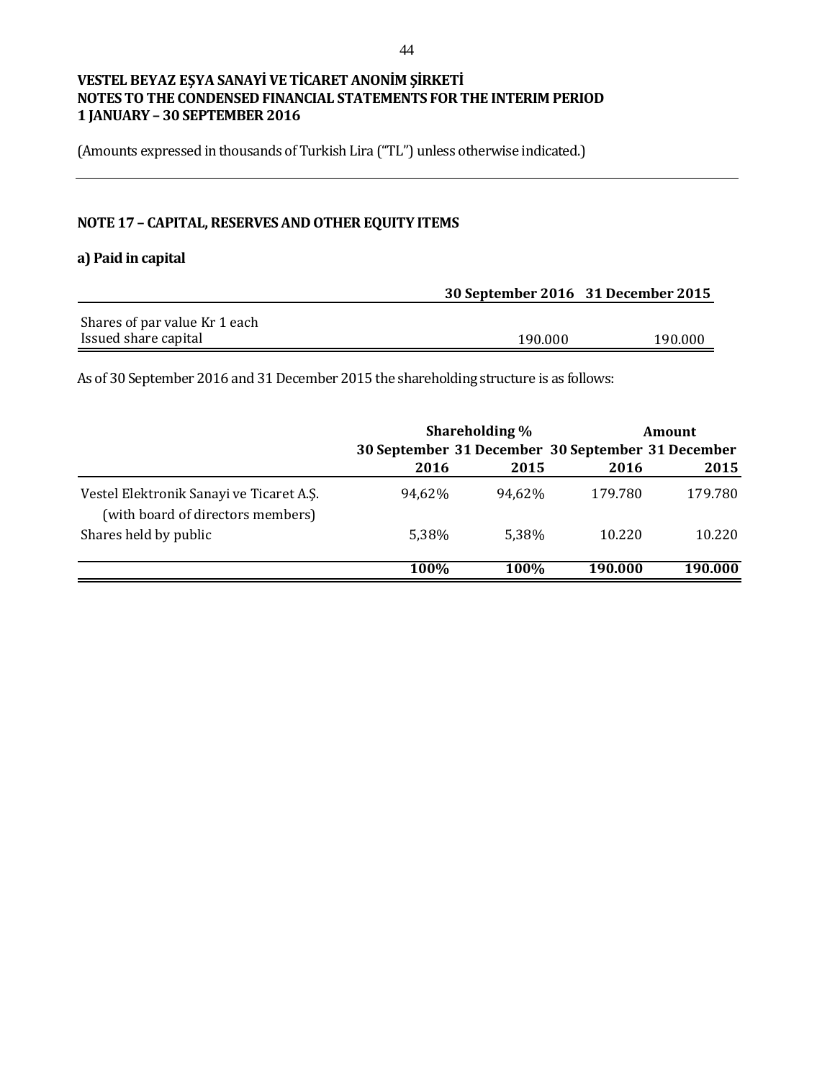(Amounts expressed in thousands of Turkish Lira ("TL") unless otherwise indicated.)

#### **NOTE 17 – CAPITAL, RESERVES AND OTHER EQUITY ITEMS**

## **a) Paid in capital**

|                               | 30 September 2016 31 December 2015 |         |  |
|-------------------------------|------------------------------------|---------|--|
| Shares of par value Kr 1 each |                                    |         |  |
| Issued share capital          | 190.000                            | 190.000 |  |

As of 30 September 2016 and 31 December 2015 the shareholding structure is as follows:

|                                                                               |                                                   | <b>Shareholding</b> % | Amount  |         |
|-------------------------------------------------------------------------------|---------------------------------------------------|-----------------------|---------|---------|
|                                                                               | 30 September 31 December 30 September 31 December |                       |         |         |
|                                                                               | 2016                                              | 2015                  | 2016    | 2015    |
| Vestel Elektronik Sanayi ve Ticaret A.S.<br>(with board of directors members) | 94.62%                                            | 94,62%                | 179.780 | 179.780 |
| Shares held by public                                                         | 5.38%                                             | 5,38%                 | 10.220  | 10.220  |
|                                                                               |                                                   |                       |         |         |
|                                                                               | 100%                                              | 100%                  | 190.000 | 190.000 |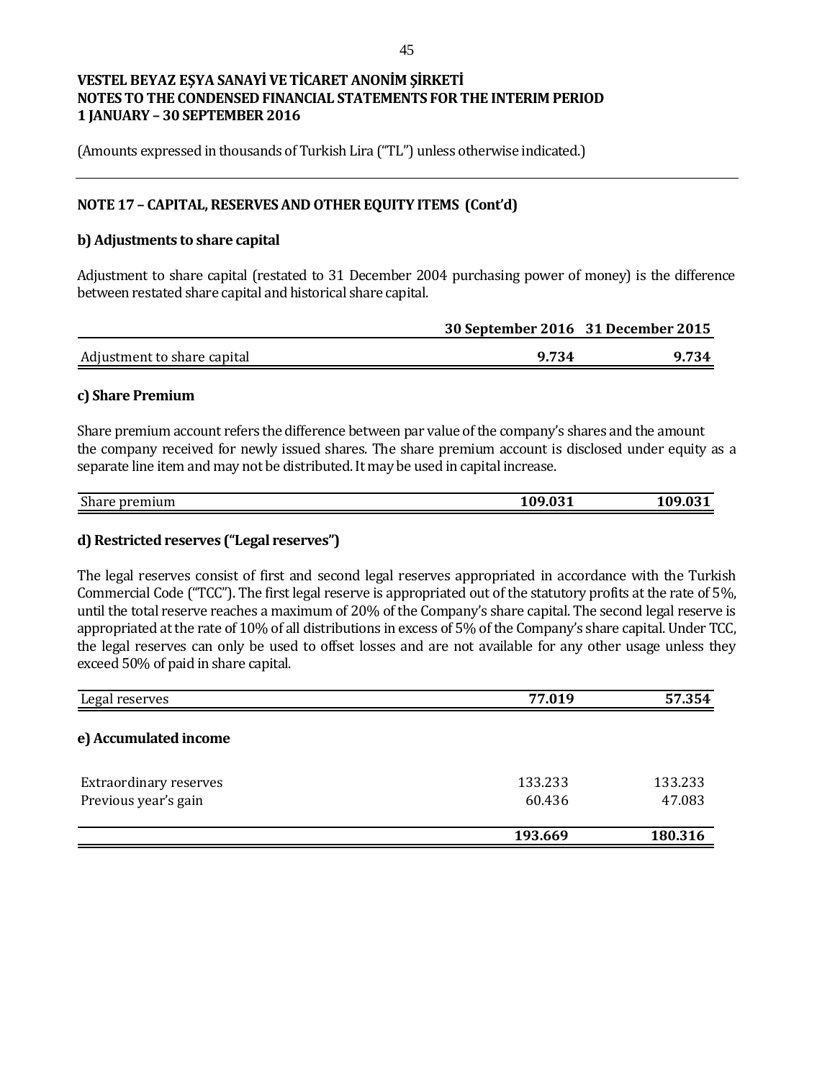(Amounts expressed in thousands of Turkish Lira ("TL") unless otherwise indicated.)

### **NOTE 17 – CAPITAL, RESERVES AND OTHER EQUITY ITEMS (Cont'd)**

#### **b) Adjustments to share capital**

Adjustment to share capital (restated to 31 December 2004 purchasing power of money) is the difference between restated share capital and historical share capital.

|                             | 30 September 2016 31 December 2015 |       |
|-----------------------------|------------------------------------|-------|
| Adjustment to share capital | 9.734                              | 9.734 |

#### **c) Share Premium**

Share premium account refers the difference between par value of the company's shares and the amount the company received for newly issued shares. The share premium account is disclosed under equity as a separate line item and may not be distributed. It may be used in capital increase.

| $\sim$<br>-Shar<br>-----<br>emuum<br>ωı | 0.01<br>.vji<br>_____ | $\sim$ $\sim$ $\sim$<br>m<br>. J T<br>_____ |
|-----------------------------------------|-----------------------|---------------------------------------------|
|                                         |                       |                                             |

#### **d) Restricted reserves ("Legal reserves")**

The legal reserves consist of first and second legal reserves appropriated in accordance with the Turkish Commercial Code ("TCC"). The first legal reserve is appropriated out of the statutory profits at the rate of 5%, until the total reserve reaches a maximum of 20% of the Company's share capital. The second legal reserve is appropriated at the rate of 10% of all distributions in excess of 5% of the Company's share capital. Under TCC, the legal reserves can only be used to offset losses and are not available for any other usage unless they exceed 50% of paid in share capital.

| Legal reserves                | 77.019  | 57.354  |
|-------------------------------|---------|---------|
| e) Accumulated income         |         |         |
| <b>Extraordinary reserves</b> | 133.233 | 133.233 |
| Previous year's gain          | 60.436  | 47.083  |
|                               | 193.669 | 180.316 |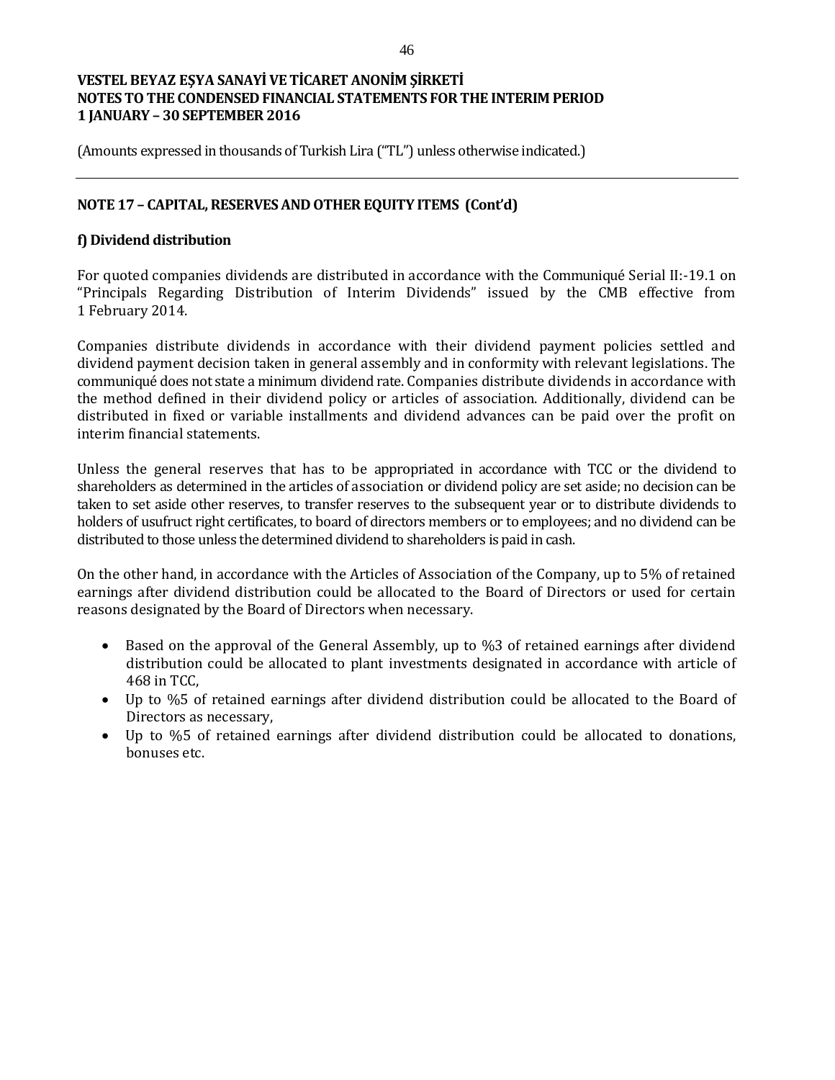(Amounts expressed in thousands of Turkish Lira ("TL") unless otherwise indicated.)

### **NOTE 17 – CAPITAL, RESERVES AND OTHER EQUITY ITEMS (Cont'd)**

#### **f) Dividend distribution**

For quoted companies dividends are distributed in accordance with the Communiqué Serial II:-19.1 on "Principals Regarding Distribution of Interim Dividends" issued by the CMB effective from 1 February 2014.

Companies distribute dividends in accordance with their dividend payment policies settled and dividend payment decision taken in general assembly and in conformity with relevant legislations. The communiqué does not state a minimum dividend rate. Companies distribute dividends in accordance with the method defined in their dividend policy or articles of association. Additionally, dividend can be distributed in fixed or variable installments and dividend advances can be paid over the profit on interim financial statements.

Unless the general reserves that has to be appropriated in accordance with TCC or the dividend to shareholders as determined in the articles of association or dividend policy are set aside; no decision can be taken to set aside other reserves, to transfer reserves to the subsequent year or to distribute dividends to holders of usufruct right certificates, to board of directors members or to employees; and no dividend can be distributed to those unless the determined dividend to shareholders is paid in cash.

On the other hand, in accordance with the Articles of Association of the Company, up to 5% of retained earnings after dividend distribution could be allocated to the Board of Directors or used for certain reasons designated by the Board of Directors when necessary.

- Based on the approval of the General Assembly, up to %3 of retained earnings after dividend distribution could be allocated to plant investments designated in accordance with article of 468 in TCC,
- Up to %5 of retained earnings after dividend distribution could be allocated to the Board of Directors as necessary,
- Up to %5 of retained earnings after dividend distribution could be allocated to donations, bonuses etc.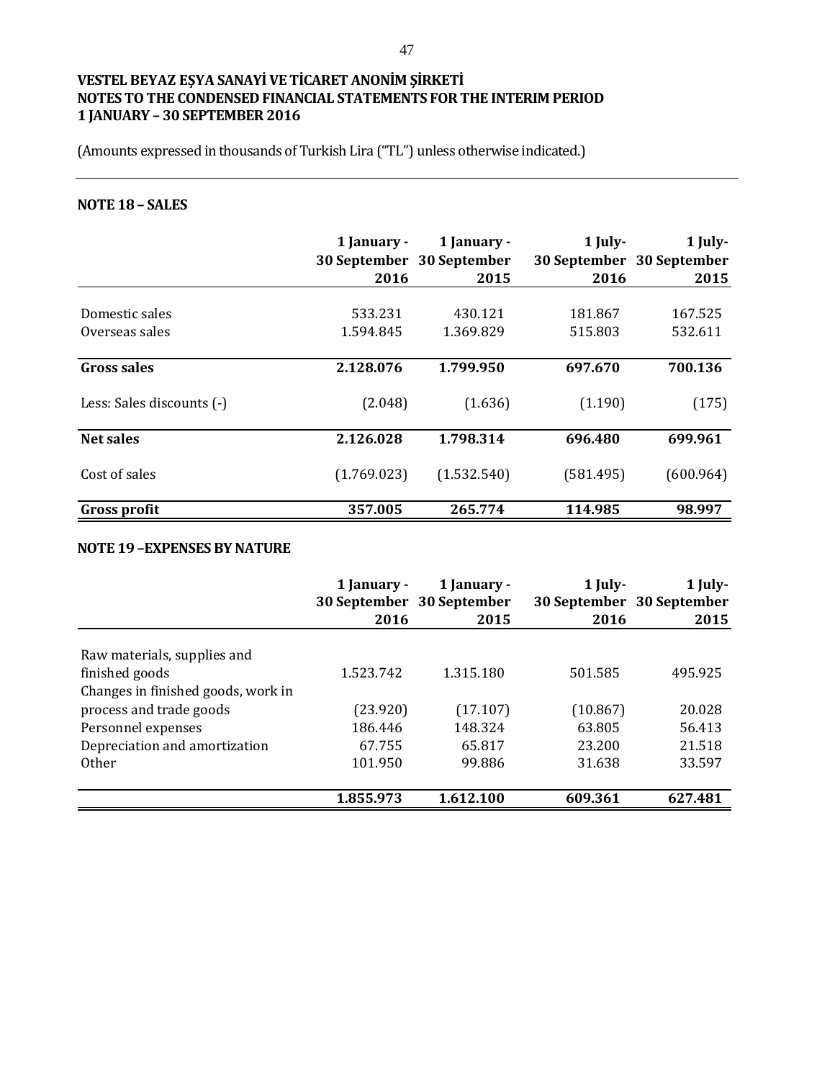(Amounts expressed in thousands of Turkish Lira ("TL") unless otherwise indicated.)

# **NOTE 18 – SALES**

|                           | 1 January -<br>2016 | 1 January -<br>30 September 30 September<br>2015 | 1 July-<br>2016 | 1 July-<br>30 September 30 September<br>2015 |
|---------------------------|---------------------|--------------------------------------------------|-----------------|----------------------------------------------|
|                           |                     |                                                  |                 |                                              |
| Domestic sales            | 533.231             | 430.121                                          | 181.867         | 167.525                                      |
| Overseas sales            | 1.594.845           | 1.369.829                                        | 515.803         | 532.611                                      |
| <b>Gross sales</b>        | 2.128.076           | 1.799.950                                        | 697.670         | 700.136                                      |
| Less: Sales discounts (-) | (2.048)             | (1.636)                                          | (1.190)         | (175)                                        |
| <b>Net sales</b>          | 2.126.028           | 1.798.314                                        | 696.480         | 699.961                                      |
| Cost of sales             | (1.769.023)         | (1.532.540)                                      | (581.495)       | (600.964)                                    |
| <b>Gross profit</b>       | 357.005             | 265.774                                          | 114.985         | 98.997                                       |

#### **NOTE 19 - EXPENSES BY NATURE**

|                                    | 1 January -<br>2016 | 1 January -<br>30 September 30 September<br>2015 | 1 July-<br>2016 | 1 July-<br>30 September 30 September<br>2015 |
|------------------------------------|---------------------|--------------------------------------------------|-----------------|----------------------------------------------|
| Raw materials, supplies and        |                     |                                                  |                 |                                              |
| finished goods                     | 1.523.742           | 1.315.180                                        | 501.585         | 495.925                                      |
| Changes in finished goods, work in |                     |                                                  |                 |                                              |
| process and trade goods            | (23.920)            | (17.107)                                         | (10.867)        | 20.028                                       |
| Personnel expenses                 | 186.446             | 148.324                                          | 63.805          | 56.413                                       |
| Depreciation and amortization      | 67.755              | 65.817                                           | 23.200          | 21.518                                       |
| <b>Other</b>                       | 101.950             | 99.886                                           | 31.638          | 33.597                                       |
|                                    |                     |                                                  |                 |                                              |
|                                    | 1.855.973           | 1.612.100                                        | 609.361         | 627.481                                      |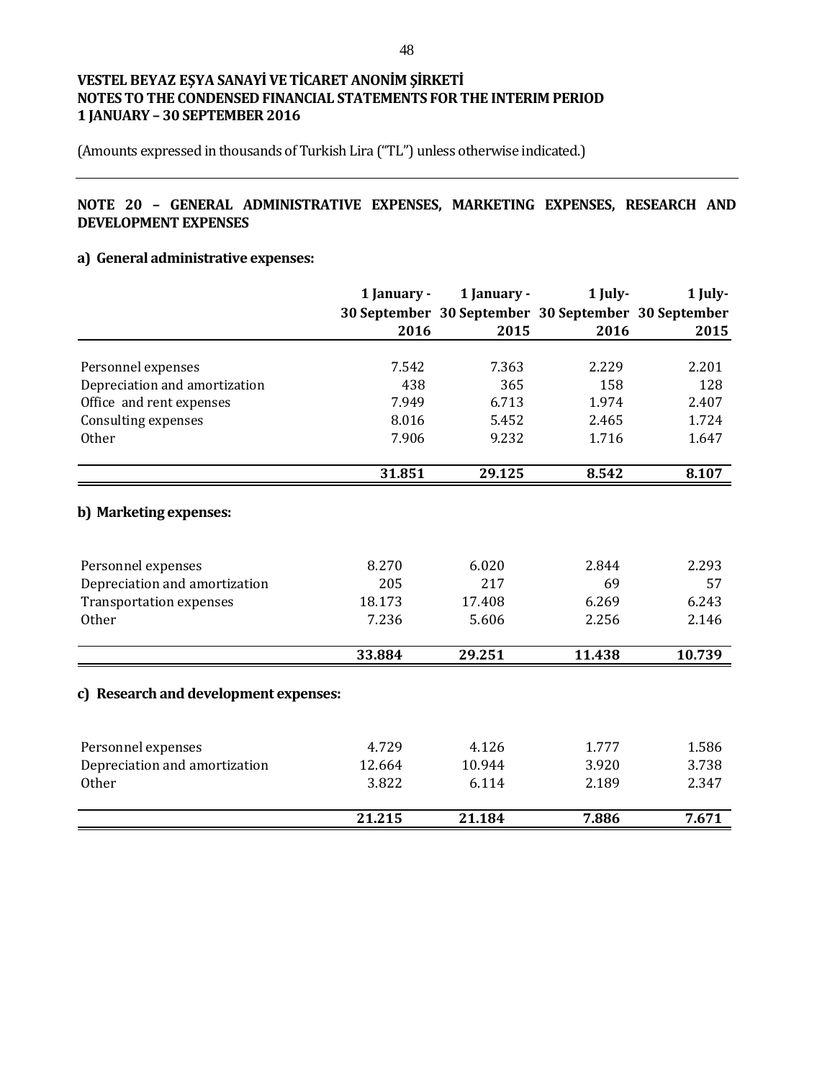(Amounts expressed in thousands of Turkish Lira ("TL") unless otherwise indicated.)

# **NOTE 20 – GENERAL ADMINISTRATIVE EXPENSES, MARKETING EXPENSES, RESEARCH AND DEVELOPMENT EXPENSES**

### **a) General administrative expenses:**

|                                       | 1 January - | 1 January -                                         | 1 July- | 1 July- |
|---------------------------------------|-------------|-----------------------------------------------------|---------|---------|
|                                       |             | 30 September 30 September 30 September 30 September |         |         |
|                                       | 2016        | 2015                                                | 2016    | 2015    |
|                                       |             |                                                     |         |         |
| Personnel expenses                    | 7.542       | 7.363                                               | 2.229   | 2.201   |
| Depreciation and amortization         | 438         | 365                                                 | 158     | 128     |
| Office and rent expenses              | 7.949       | 6.713                                               | 1.974   | 2.407   |
| Consulting expenses                   | 8.016       | 5.452                                               | 2.465   | 1.724   |
| Other                                 | 7.906       | 9.232                                               | 1.716   | 1.647   |
|                                       | 31.851      | 29.125                                              | 8.542   | 8.107   |
| b) Marketing expenses:                |             |                                                     |         |         |
| Personnel expenses                    | 8.270       | 6.020                                               | 2.844   | 2.293   |
| Depreciation and amortization         | 205         | 217                                                 | 69      | 57      |
| <b>Transportation expenses</b>        | 18.173      | 17.408                                              | 6.269   | 6.243   |
| <b>Other</b>                          | 7.236       | 5.606                                               | 2.256   | 2.146   |
|                                       | 33.884      | 29.251                                              | 11.438  | 10.739  |
| c) Research and development expenses: |             |                                                     |         |         |
| Personnel expenses                    | 4.729       | 4.126                                               | 1.777   | 1.586   |
| Depreciation and amortization         | 12.664      | 10.944                                              | 3.920   | 3.738   |
| Other                                 | 3.822       | 6.114                                               | 2.189   | 2.347   |
|                                       | 21.215      | 21.184                                              | 7.886   | 7.671   |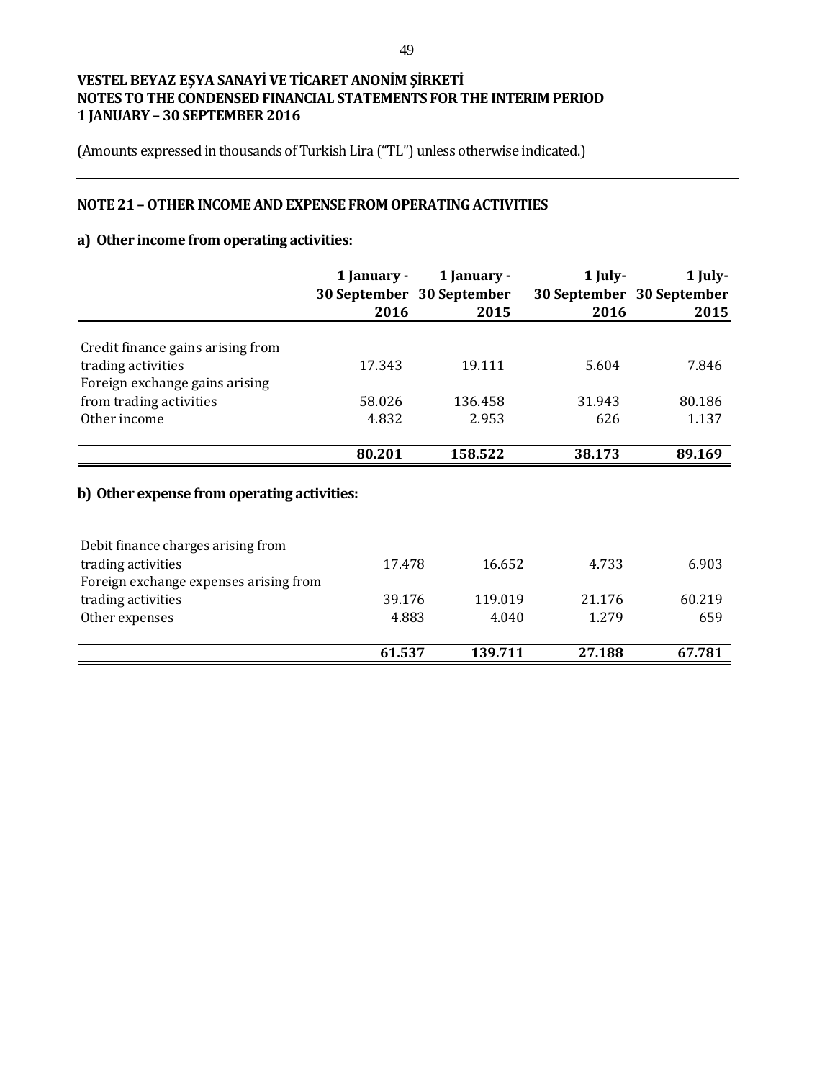(Amounts expressed in thousands of Turkish Lira ("TL") unless otherwise indicated.)

### **NOTE 21 –OTHER INCOME AND EXPENSE FROM OPERATING ACTIVITIES**

# **a) Other income from operating activities:**

|                                             | 1 January - | 1 January -               | 1 July- | 1 July-                   |
|---------------------------------------------|-------------|---------------------------|---------|---------------------------|
|                                             |             | 30 September 30 September |         | 30 September 30 September |
|                                             | 2016        | 2015                      | 2016    | 2015                      |
| Credit finance gains arising from           |             |                           |         |                           |
| trading activities                          | 17.343      | 19.111                    | 5.604   | 7.846                     |
| Foreign exchange gains arising              |             |                           |         |                           |
|                                             | 58.026      | 136.458                   | 31.943  | 80.186                    |
| from trading activities                     |             |                           |         |                           |
| Other income                                | 4.832       | 2.953                     | 626     | 1.137                     |
|                                             | 80.201      | 158.522                   | 38.173  | 89.169                    |
| b) Other expense from operating activities: |             |                           |         |                           |
| Debit finance charges arising from          |             |                           |         |                           |
| trading activities                          | 17.478      | 16.652                    | 4.733   | 6.903                     |
| Foreign exchange expenses arising from      |             |                           |         |                           |
| trading activities                          | 39.176      | 119.019                   | 21.176  | 60.219                    |
| Other expenses                              | 4.883       | 4.040                     | 1.279   | 659                       |
|                                             |             |                           |         |                           |
|                                             | 61.537      | 139.711                   | 27.188  | 67.781                    |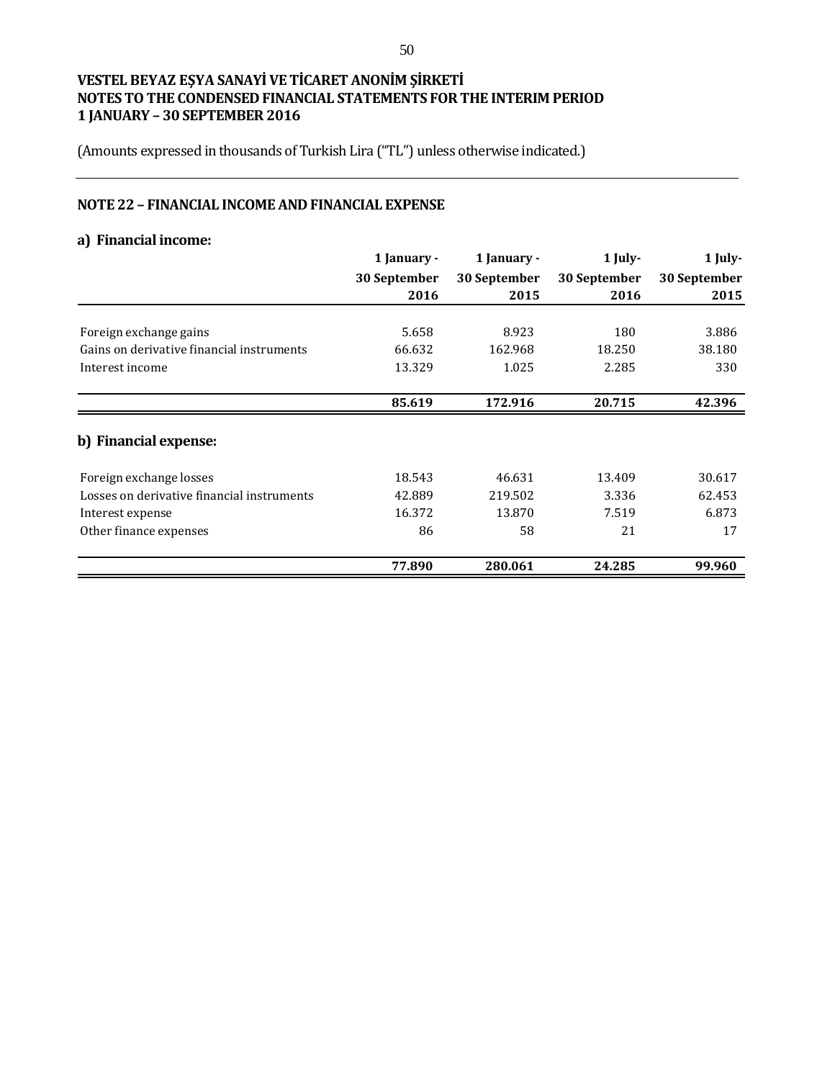(Amounts expressed in thousands of Turkish Lira ("TL") unless otherwise indicated.)

## **NOTE 22 – FINANCIAL INCOME AND FINANCIAL EXPENSE**

# **a) Financial income:**

|                                            | 1 January -  | 1 January -  | 1 July-      | 1 July-      |
|--------------------------------------------|--------------|--------------|--------------|--------------|
|                                            | 30 September | 30 September | 30 September | 30 September |
|                                            | 2016         | 2015         | 2016         | 2015         |
|                                            |              |              |              |              |
| Foreign exchange gains                     | 5.658        | 8.923        | 180          | 3.886        |
| Gains on derivative financial instruments  | 66.632       | 162.968      | 18.250       | 38.180       |
| Interest income                            | 13.329       | 1.025        | 2.285        | 330          |
|                                            | 85.619       | 172.916      | 20.715       | 42.396       |
| b) Financial expense:                      |              |              |              |              |
| Foreign exchange losses                    | 18.543       | 46.631       | 13.409       | 30.617       |
| Losses on derivative financial instruments | 42.889       | 219.502      | 3.336        | 62.453       |
| Interest expense                           | 16.372       | 13.870       | 7.519        | 6.873        |
| Other finance expenses                     | 86           | 58           | 21           | 17           |
|                                            | 77.890       | 280.061      | 24.285       | 99.960       |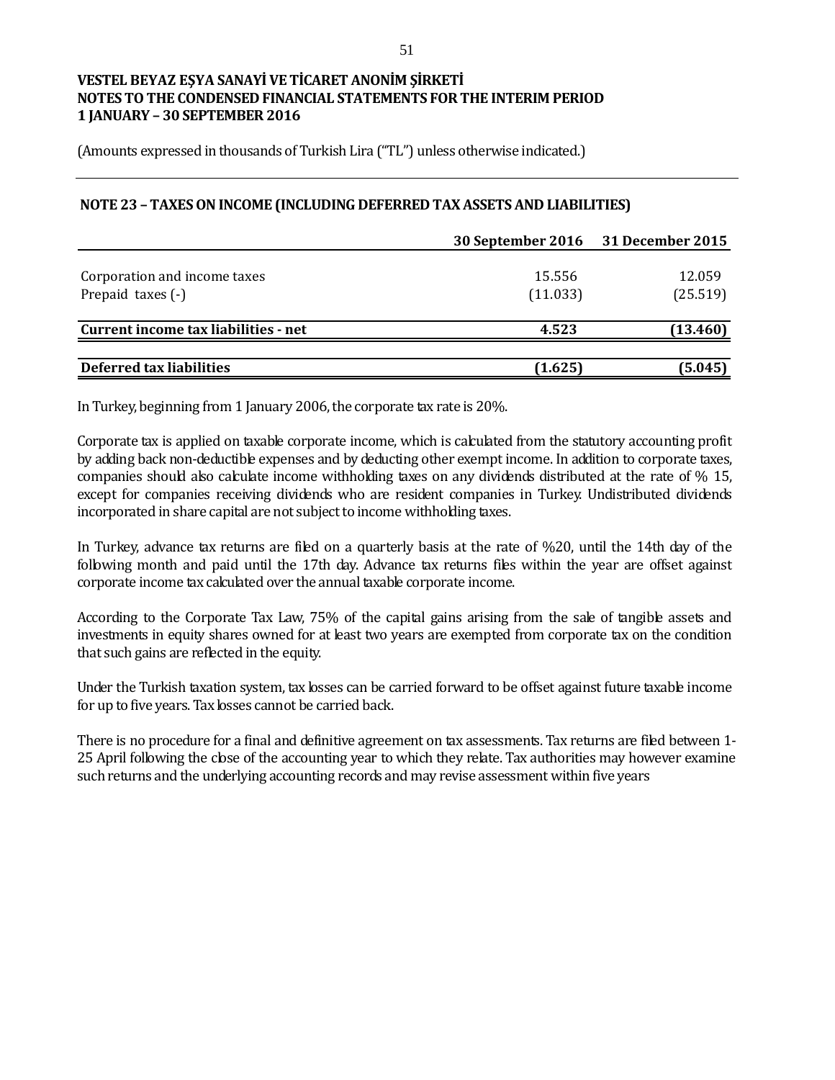(Amounts expressed in thousands of Turkish Lira ("TL") unless otherwise indicated.)

### **NOTE 23 –TAXES ON INCOME (INCLUDING DEFERRED TAX ASSETS AND LIABILITIES)**

|                                                   | 30 September 2016 31 December 2015 |                    |
|---------------------------------------------------|------------------------------------|--------------------|
| Corporation and income taxes<br>Prepaid taxes (-) | 15.556<br>(11.033)                 | 12.059<br>(25.519) |
| Current income tax liabilities - net              | 4.523                              | (13.460)           |
| Deferred tax liabilities                          | (1.625)                            | (5.045)            |

In Turkey, beginning from 1 January 2006, the corporate tax rate is 20%.

Corporate tax is applied on taxable corporate income, which is calculated from the statutory accounting profit by adding back non-deductible expenses and by deducting other exempt income. In addition to corporate taxes, companies should also calculate income withholding taxes on any dividends distributed at the rate of % 15, except for companies receiving dividends who are resident companies in Turkey. Undistributed dividends incorporated in share capital are not subject to income withholding taxes.

In Turkey, advance tax returns are filed on a quarterly basis at the rate of %20, until the 14th day of the following month and paid until the 17th day. Advance tax returns files within the year are offset against corporate income tax calculated over the annual taxable corporate income.

According to the Corporate Tax Law, 75% of the capital gains arising from the sale of tangible assets and investments in equity shares owned for at least two years are exempted from corporate tax on the condition that such gains are reflected in the equity.

Under the Turkish taxation system, tax losses can be carried forward to be offset against future taxable income for up to five years. Tax losses cannot be carried back.

There is no procedure for a final and definitive agreement on tax assessments. Tax returns are filed between 1- 25 April following the close of the accounting year to which they relate. Tax authorities may however examine such returns and the underlying accounting records and may revise assessment within five years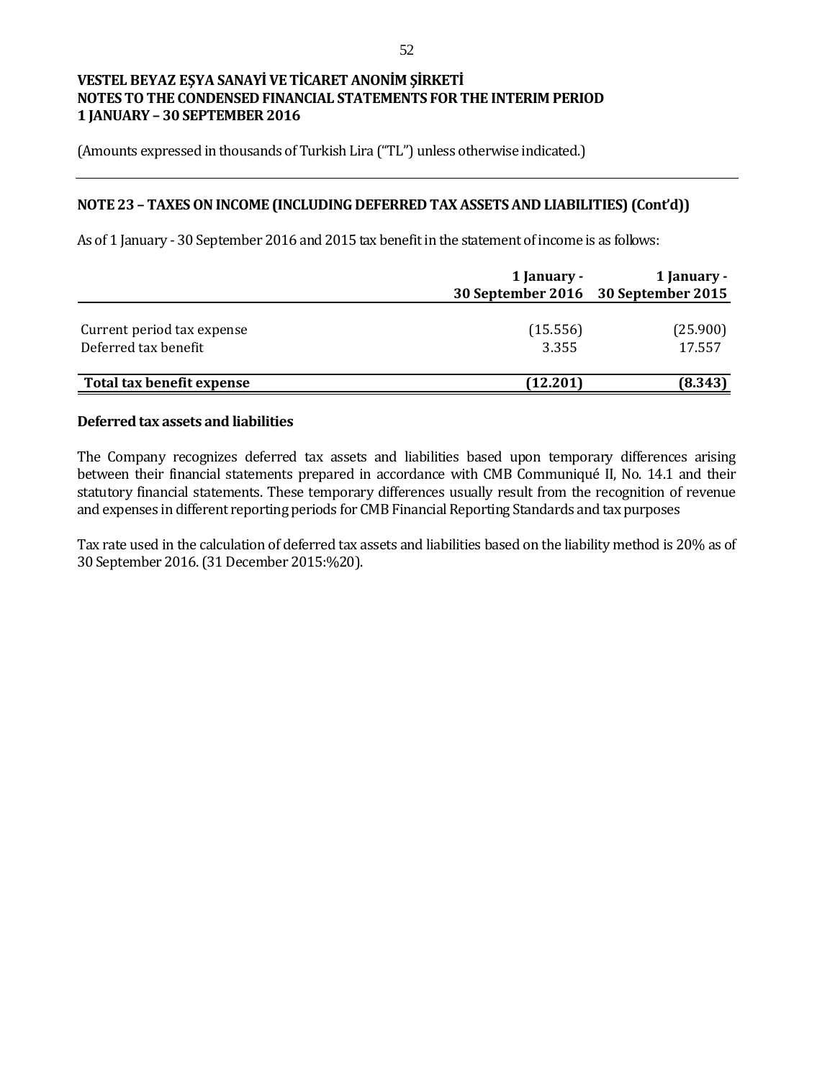(Amounts expressed in thousands of Turkish Lira ("TL") unless otherwise indicated.)

### **NOTE 23 – TAXES ON INCOME (INCLUDING DEFERRED TAX ASSETS AND LIABILITIES) (Cont'd))**

As of 1 January - 30 September 2016 and 2015 tax benefit in the statement of income is as follows:

|                                                    | 1 January -       | 1 January -<br>30 September 2016 30 September 2015 |
|----------------------------------------------------|-------------------|----------------------------------------------------|
| Current period tax expense<br>Deferred tax benefit | (15.556)<br>3.355 | (25.900)<br>17.557                                 |
| Total tax benefit expense                          | (12.201)          | (8.343)                                            |

#### **Deferred tax assets and liabilities**

The Company recognizes deferred tax assets and liabilities based upon temporary differences arising between their financial statements prepared in accordance with CMB Communiqué II, No. 14.1 and their statutory financial statements. These temporary differences usually result from the recognition of revenue and expenses in different reporting periods for CMB Financial Reporting Standards and tax purposes

Tax rate used in the calculation of deferred tax assets and liabilities based on the liability method is 20% as of 30 September 2016. (31 December 2015:%20).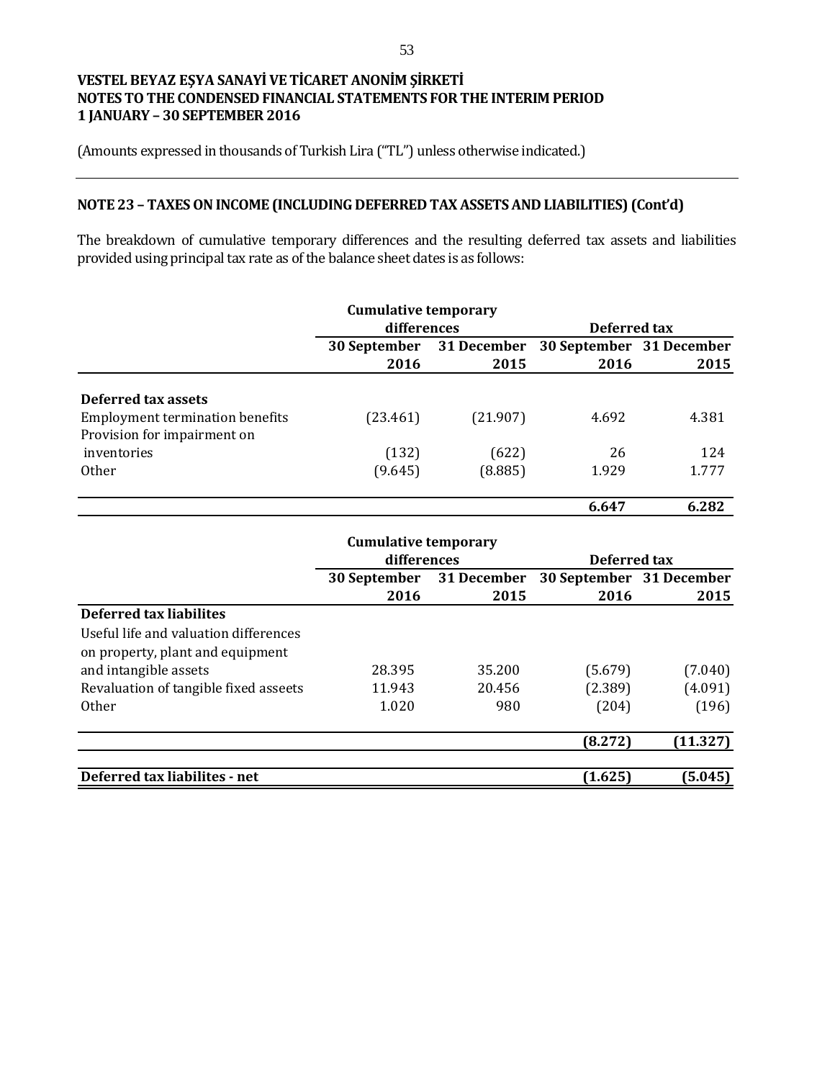(Amounts expressed in thousands of Turkish Lira ("TL") unless otherwise indicated.)

# **NOTE 23 – TAXES ON INCOME (INCLUDING DEFERRED TAX ASSETS AND LIABILITIES) (Cont'd)**

The breakdown of cumulative temporary differences and the resulting deferred tax assets and liabilities provided using principal tax rate as of the balance sheet dates is as follows:

| <b>Cumulative temporary</b>                                                                                                 |                              |                              |                          |                       |  |
|-----------------------------------------------------------------------------------------------------------------------------|------------------------------|------------------------------|--------------------------|-----------------------|--|
|                                                                                                                             | differences                  |                              | Deferred tax             |                       |  |
|                                                                                                                             | <b>30 September</b>          | 31 December                  | 30 September 31 December |                       |  |
|                                                                                                                             | 2016                         | 2015                         | 2016                     | 2015                  |  |
| Deferred tax assets<br><b>Employment termination benefits</b><br>Provision for impairment on<br>inventories<br><b>Other</b> | (23.461)<br>(132)<br>(9.645) | (21.907)<br>(622)<br>(8.885) | 4.692<br>26<br>1.929     | 4.381<br>124<br>1.777 |  |

 **6.647 6.282**

|                                       | <b>Cumulative temporary</b> |             |                          |          |
|---------------------------------------|-----------------------------|-------------|--------------------------|----------|
|                                       | differences                 |             | Deferred tax             |          |
|                                       | 30 September                | 31 December | 30 September 31 December |          |
|                                       | 2016                        | 2015        | 2016                     | 2015     |
| <b>Deferred tax liabilites</b>        |                             |             |                          |          |
| Useful life and valuation differences |                             |             |                          |          |
| on property, plant and equipment      |                             |             |                          |          |
| and intangible assets                 | 28.395                      | 35.200      | (5.679)                  | (7.040)  |
| Revaluation of tangible fixed asseets | 11.943                      | 20.456      | (2.389)                  | (4.091)  |
| <b>Other</b>                          | 1.020                       | 980         | (204)                    | (196)    |
|                                       |                             |             | (8.272)                  | (11.327) |
| Deferred tax liabilites - net         |                             |             | (1.625)                  | (5.045)  |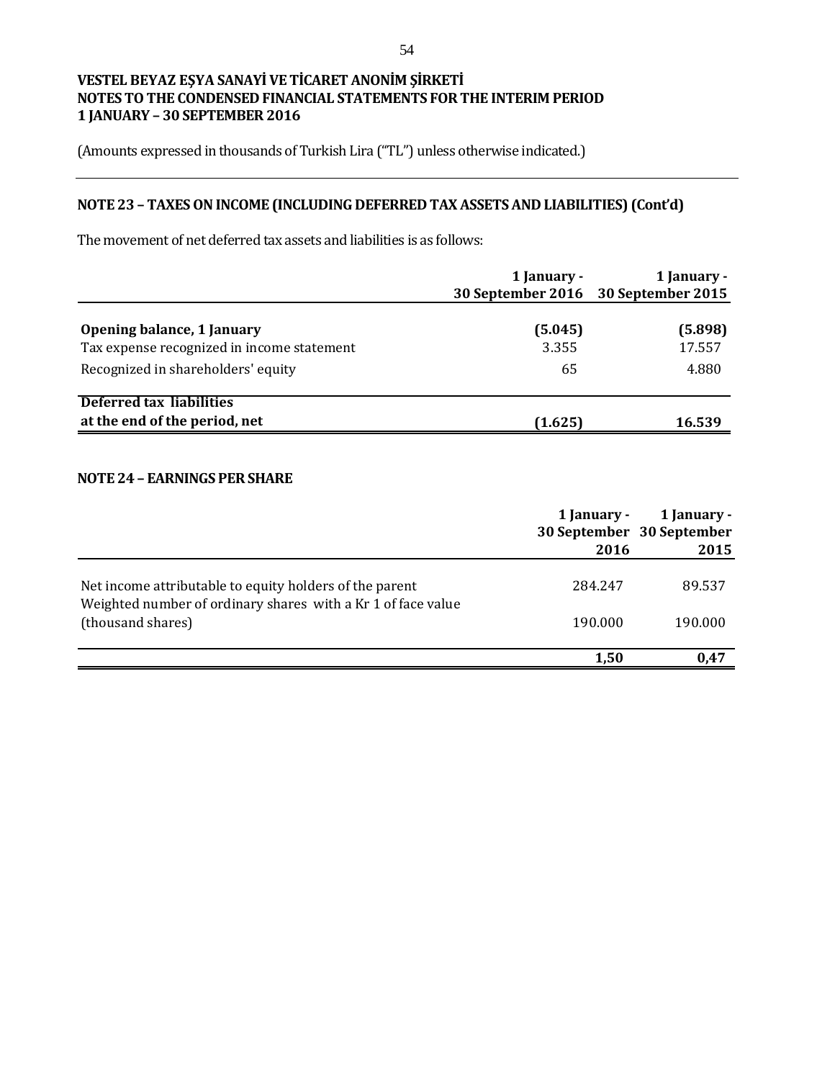(Amounts expressed in thousands of Turkish Lira ("TL") unless otherwise indicated.)

# **NOTE 23 – TAXES ON INCOME (INCLUDING DEFERRED TAX ASSETS AND LIABILITIES) (Cont'd)**

The movement of net deferred tax assets and liabilities is as follows:

|                                            | 1 January - | 1 January -                         |
|--------------------------------------------|-------------|-------------------------------------|
|                                            |             | 30 September 2016 30 September 2015 |
| Opening balance, 1 January                 | (5.045)     | (5.898)                             |
| Tax expense recognized in income statement | 3.355       | 17.557                              |
| Recognized in shareholders' equity         | 65          | 4.880                               |
| <b>Deferred tax liabilities</b>            |             |                                     |
| at the end of the period, net              | (1.625)     | 16.539                              |

#### **NOTE 24 – EARNINGS PER SHARE**

|                                                                                   | 1 January -<br>2016 | 1 January -<br>30 September 30 September<br>2015 |
|-----------------------------------------------------------------------------------|---------------------|--------------------------------------------------|
| Net income attributable to equity holders of the parent                           | 284.247             | 89.537                                           |
| Weighted number of ordinary shares with a Kr 1 of face value<br>(thousand shares) | 190.000             | 190.000                                          |
|                                                                                   | 1.50                | 0.47                                             |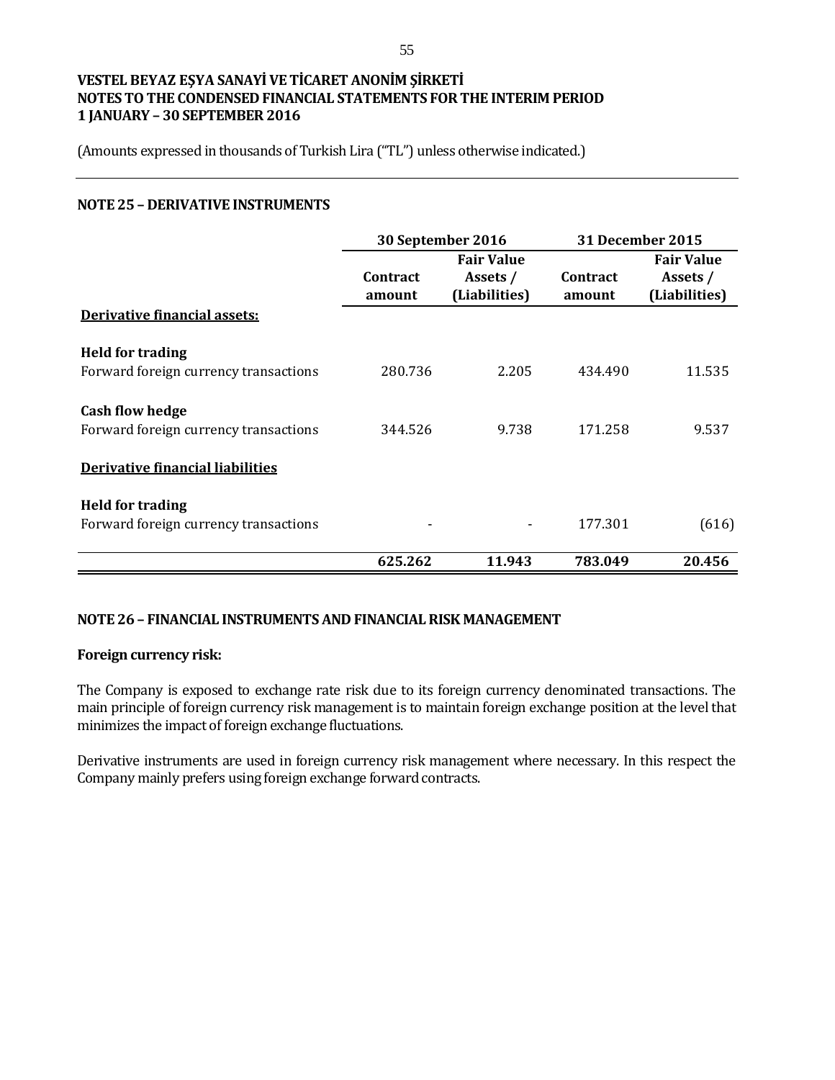(Amounts expressed in thousands of Turkish Lira ("TL") unless otherwise indicated.)

#### **NOTE 25 – DERIVATIVE INSTRUMENTS**

|                                       | 30 September 2016  |                                                | <b>31 December 2015</b>   |                                                |
|---------------------------------------|--------------------|------------------------------------------------|---------------------------|------------------------------------------------|
|                                       | Contract<br>amount | <b>Fair Value</b><br>Assets /<br>(Liabilities) | <b>Contract</b><br>amount | <b>Fair Value</b><br>Assets /<br>(Liabilities) |
| Derivative financial assets:          |                    |                                                |                           |                                                |
| <b>Held for trading</b>               |                    |                                                |                           |                                                |
| Forward foreign currency transactions | 280.736            | 2.205                                          | 434.490                   | 11.535                                         |
| <b>Cash flow hedge</b>                |                    |                                                |                           |                                                |
| Forward foreign currency transactions | 344.526            | 9.738                                          | 171.258                   | 9.537                                          |
| Derivative financial liabilities      |                    |                                                |                           |                                                |
| <b>Held for trading</b>               |                    |                                                |                           |                                                |
| Forward foreign currency transactions |                    |                                                | 177.301                   | (616)                                          |
|                                       | 625.262            | 11.943                                         | 783.049                   | 20.456                                         |

#### **NOTE 26 – FINANCIAL INSTRUMENTS AND FINANCIAL RISK MANAGEMENT**

#### **Foreign currency risk:**

The Company is exposed to exchange rate risk due to its foreign currency denominated transactions. The main principle of foreign currency risk management is to maintain foreign exchange position at the level that minimizes the impact of foreign exchange fluctuations.

Derivative instruments are used in foreign currency risk management where necessary. In this respect the Company mainly prefers using foreign exchange forward contracts.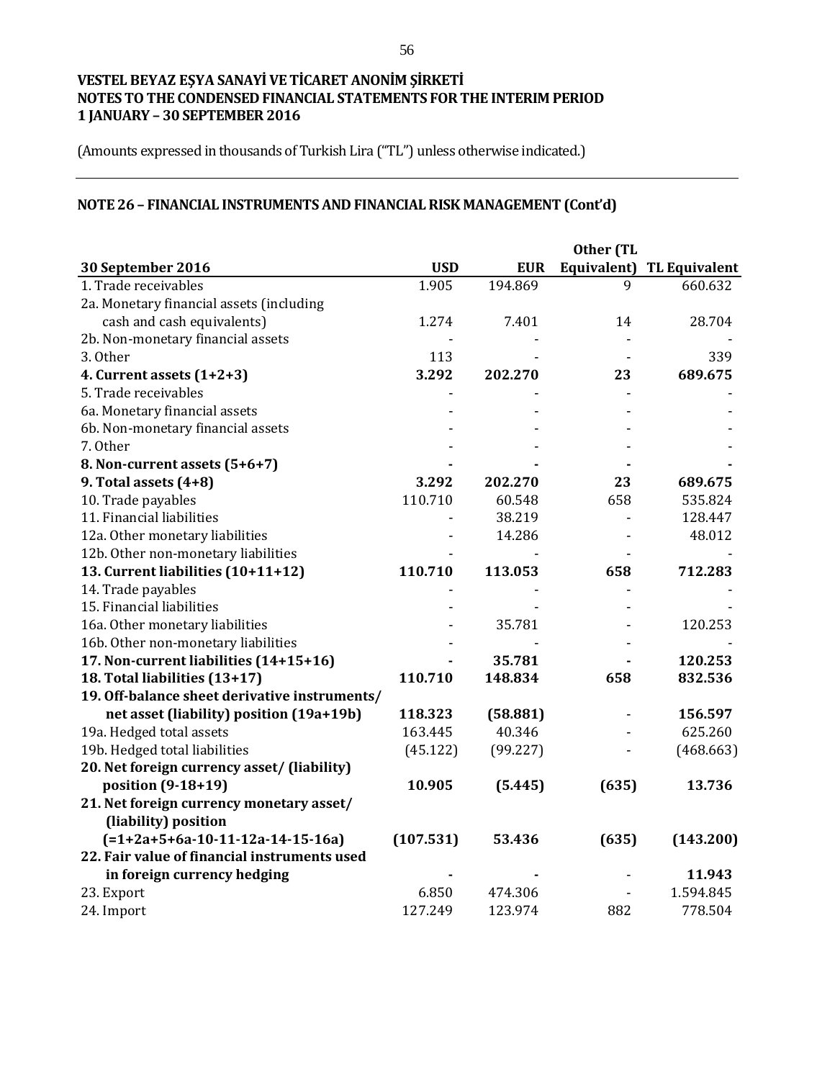(Amounts expressed in thousands of Turkish Lira ("TL") unless otherwise indicated.)

# **NOTE 26 – FINANCIAL INSTRUMENTS AND FINANCIAL RISK MANAGEMENT (Cont'd)**

|                                               |            |            | Other (TL   |                      |
|-----------------------------------------------|------------|------------|-------------|----------------------|
| 30 September 2016                             | <b>USD</b> | <b>EUR</b> | Equivalent) | <b>TL Equivalent</b> |
| 1. Trade receivables                          | 1.905      | 194.869    | 9           | 660.632              |
| 2a. Monetary financial assets (including      |            |            |             |                      |
| cash and cash equivalents)                    | 1.274      | 7.401      | 14          | 28.704               |
| 2b. Non-monetary financial assets             |            |            |             |                      |
| 3. Other                                      | 113        |            |             | 339                  |
| 4. Current assets $(1+2+3)$                   | 3.292      | 202.270    | 23          | 689.675              |
| 5. Trade receivables                          |            |            |             |                      |
| 6a. Monetary financial assets                 |            |            |             |                      |
| 6b. Non-monetary financial assets             |            |            |             |                      |
| 7. Other                                      |            |            |             |                      |
| 8. Non-current assets (5+6+7)                 |            |            |             |                      |
| 9. Total assets (4+8)                         | 3.292      | 202.270    | 23          | 689.675              |
| 10. Trade payables                            | 110.710    | 60.548     | 658         | 535.824              |
| 11. Financial liabilities                     |            | 38.219     |             | 128.447              |
| 12a. Other monetary liabilities               |            | 14.286     |             | 48.012               |
| 12b. Other non-monetary liabilities           |            |            |             |                      |
| 13. Current liabilities (10+11+12)            | 110.710    | 113.053    | 658         | 712.283              |
| 14. Trade payables                            |            |            |             |                      |
| 15. Financial liabilities                     |            |            |             |                      |
| 16a. Other monetary liabilities               |            | 35.781     |             | 120.253              |
| 16b. Other non-monetary liabilities           |            |            |             |                      |
| 17. Non-current liabilities (14+15+16)        |            | 35.781     |             | 120.253              |
| 18. Total liabilities (13+17)                 | 110.710    | 148.834    | 658         | 832.536              |
| 19. Off-balance sheet derivative instruments/ |            |            |             |                      |
| net asset (liability) position (19a+19b)      | 118.323    | (58.881)   |             | 156.597              |
| 19a. Hedged total assets                      | 163.445    | 40.346     |             | 625.260              |
| 19b. Hedged total liabilities                 | (45.122)   | (99.227)   |             | (468.663)            |
| 20. Net foreign currency asset/ (liability)   |            |            |             |                      |
| position (9-18+19)                            | 10.905     | (5.445)    | (635)       | 13.736               |
| 21. Net foreign currency monetary asset/      |            |            |             |                      |
| (liability) position                          |            |            |             |                      |
| $(=1+2a+5+6a-10-11-12a-14-15-16a)$            | (107.531)  | 53.436     | (635)       | (143.200)            |
| 22. Fair value of financial instruments used  |            |            |             |                      |
| in foreign currency hedging                   |            |            |             | 11.943               |
| 23. Export                                    | 6.850      | 474.306    |             | 1.594.845            |
| 24. Import                                    | 127.249    | 123.974    | 882         | 778.504              |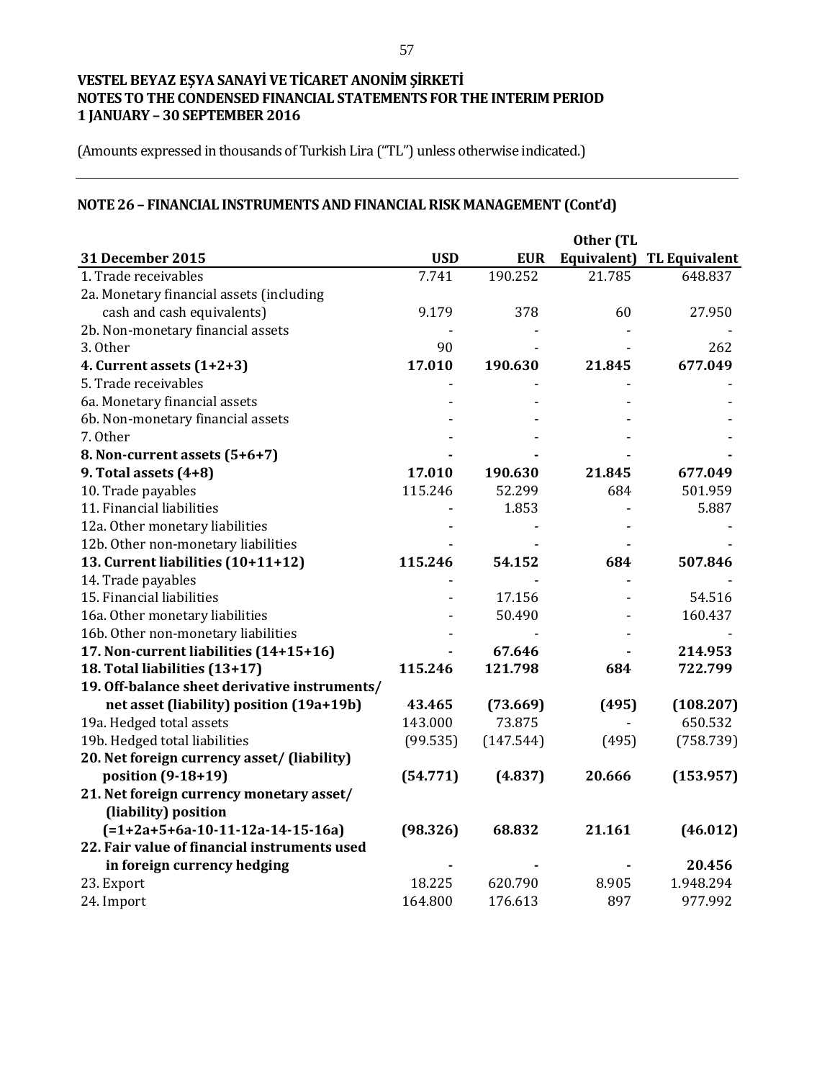(Amounts expressed in thousands of Turkish Lira ("TL") unless otherwise indicated.)

# **NOTE 26 – FINANCIAL INSTRUMENTS AND FINANCIAL RISK MANAGEMENT (Cont'd)**

|                                               |            |            | Other (TL   |                      |
|-----------------------------------------------|------------|------------|-------------|----------------------|
| 31 December 2015                              | <b>USD</b> | <b>EUR</b> | Equivalent) | <b>TL Equivalent</b> |
| 1. Trade receivables                          | 7.741      | 190.252    | 21.785      | 648.837              |
| 2a. Monetary financial assets (including      |            |            |             |                      |
| cash and cash equivalents)                    | 9.179      | 378        | 60          | 27.950               |
| 2b. Non-monetary financial assets             |            |            |             |                      |
| 3. Other                                      | 90         |            |             | 262                  |
| 4. Current assets (1+2+3)                     | 17.010     | 190.630    | 21.845      | 677.049              |
| 5. Trade receivables                          |            |            |             |                      |
| 6a. Monetary financial assets                 |            |            |             |                      |
| 6b. Non-monetary financial assets             |            |            |             |                      |
| 7. Other                                      |            |            |             |                      |
| 8. Non-current assets (5+6+7)                 |            |            |             |                      |
| 9. Total assets $(4+8)$                       | 17.010     | 190.630    | 21.845      | 677.049              |
| 10. Trade payables                            | 115.246    | 52.299     | 684         | 501.959              |
| 11. Financial liabilities                     |            | 1.853      |             | 5.887                |
| 12a. Other monetary liabilities               |            |            |             |                      |
| 12b. Other non-monetary liabilities           |            |            |             |                      |
| 13. Current liabilities (10+11+12)            | 115.246    | 54.152     | 684         | 507.846              |
| 14. Trade payables                            |            |            |             |                      |
| 15. Financial liabilities                     |            | 17.156     |             | 54.516               |
| 16a. Other monetary liabilities               |            | 50.490     |             | 160.437              |
| 16b. Other non-monetary liabilities           |            |            |             |                      |
| 17. Non-current liabilities (14+15+16)        |            | 67.646     |             | 214.953              |
| 18. Total liabilities (13+17)                 | 115.246    | 121.798    | 684         | 722.799              |
| 19. Off-balance sheet derivative instruments/ |            |            |             |                      |
| net asset (liability) position (19a+19b)      | 43.465     | (73.669)   | (495)       | (108.207)            |
| 19a. Hedged total assets                      | 143.000    | 73.875     |             | 650.532              |
| 19b. Hedged total liabilities                 | (99.535)   | (147.544)  | (495)       | (758.739)            |
| 20. Net foreign currency asset/ (liability)   |            |            |             |                      |
| position (9-18+19)                            | (54.771)   | (4.837)    | 20.666      | (153.957)            |
| 21. Net foreign currency monetary asset/      |            |            |             |                      |
| (liability) position                          |            |            |             |                      |
| $(=1+2a+5+6a-10-11-12a-14-15-16a)$            | (98.326)   | 68.832     | 21.161      | (46.012)             |
| 22. Fair value of financial instruments used  |            |            |             |                      |
| in foreign currency hedging                   |            |            |             | 20.456               |
| 23. Export                                    | 18.225     | 620.790    | 8.905       | 1.948.294            |
| 24. Import                                    | 164.800    | 176.613    | 897         | 977.992              |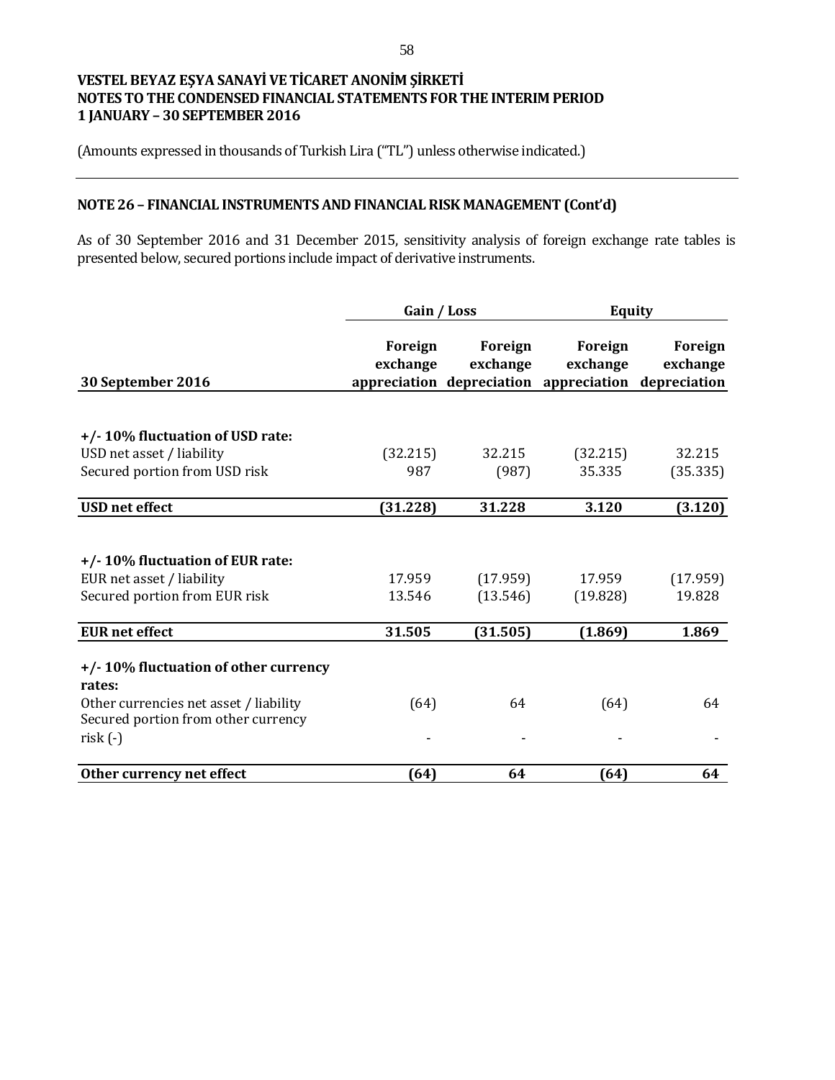(Amounts expressed in thousands of Turkish Lira ("TL") unless otherwise indicated.)

# **NOTE 26 – FINANCIAL INSTRUMENTS AND FINANCIAL RISK MANAGEMENT (Cont'd)**

As of 30 September 2016 and 31 December 2015, sensitivity analysis of foreign exchange rate tables is presented below, secured portions include impact of derivative instruments.

|                                                                               | Gain / Loss         |                     | <b>Equity</b>                                                              |                     |
|-------------------------------------------------------------------------------|---------------------|---------------------|----------------------------------------------------------------------------|---------------------|
| 30 September 2016                                                             | Foreign<br>exchange | Foreign<br>exchange | Foreign<br>exchange<br>appreciation depreciation appreciation depreciation | Foreign<br>exchange |
|                                                                               |                     |                     |                                                                            |                     |
| +/-10% fluctuation of USD rate:                                               |                     |                     |                                                                            |                     |
| USD net asset / liability                                                     | (32.215)            | 32.215              | (32.215)                                                                   | 32.215              |
| Secured portion from USD risk                                                 | 987                 | (987)               | 35.335                                                                     | (35.335)            |
| <b>USD</b> net effect                                                         | (31.228)            | 31.228              | 3.120                                                                      | (3.120)             |
| +/-10% fluctuation of EUR rate:                                               |                     |                     |                                                                            |                     |
| EUR net asset / liability                                                     | 17.959              | (17.959)            | 17.959                                                                     | (17.959)            |
| Secured portion from EUR risk                                                 | 13.546              | (13.546)            | (19.828)                                                                   | 19.828              |
| <b>EUR</b> net effect                                                         | 31.505              | (31.505)            | (1.869)                                                                    | 1.869               |
| +/-10% fluctuation of other currency<br>rates:                                |                     |                     |                                                                            |                     |
| Other currencies net asset / liability<br>Secured portion from other currency | (64)                | 64                  | (64)                                                                       | 64                  |
| $risk(-)$                                                                     |                     |                     |                                                                            |                     |
| Other currency net effect                                                     | (64)                | 64                  | (64)                                                                       | 64                  |